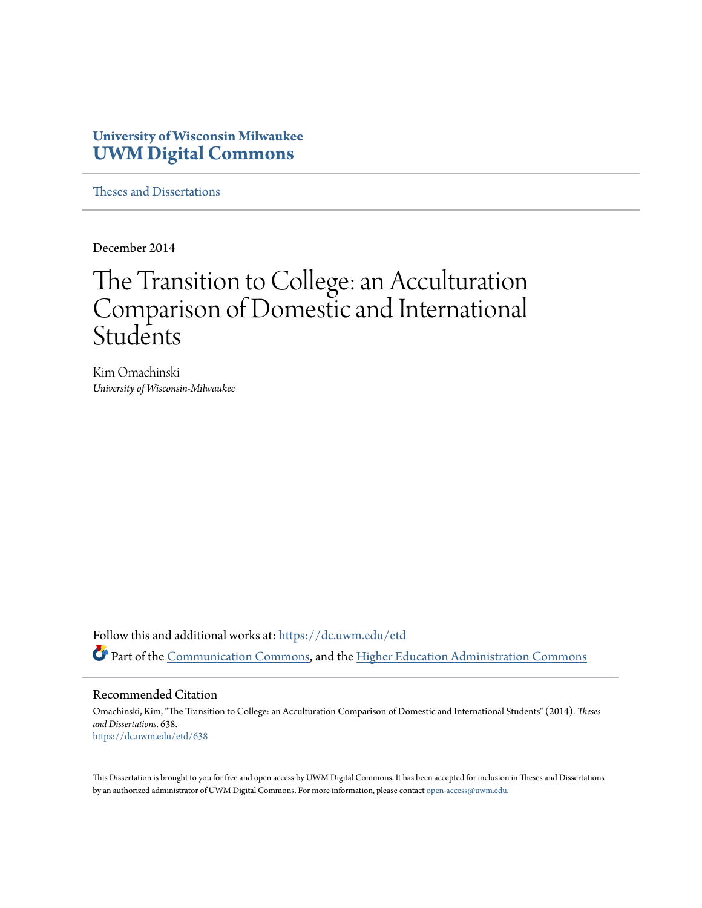## **University of Wisconsin Milwaukee [UWM Digital Commons](https://dc.uwm.edu/?utm_source=dc.uwm.edu%2Fetd%2F638&utm_medium=PDF&utm_campaign=PDFCoverPages)**

[Theses and Dissertations](https://dc.uwm.edu/etd?utm_source=dc.uwm.edu%2Fetd%2F638&utm_medium=PDF&utm_campaign=PDFCoverPages)

December 2014

# The Transition to College: an Acculturation Comparison of Domestic and International **Students**

Kim Omachinski *University of Wisconsin-Milwaukee*

Follow this and additional works at: [https://dc.uwm.edu/etd](https://dc.uwm.edu/etd?utm_source=dc.uwm.edu%2Fetd%2F638&utm_medium=PDF&utm_campaign=PDFCoverPages) Part of the [Communication Commons](http://network.bepress.com/hgg/discipline/325?utm_source=dc.uwm.edu%2Fetd%2F638&utm_medium=PDF&utm_campaign=PDFCoverPages), and the [Higher Education Administration Commons](http://network.bepress.com/hgg/discipline/791?utm_source=dc.uwm.edu%2Fetd%2F638&utm_medium=PDF&utm_campaign=PDFCoverPages)

#### Recommended Citation

Omachinski, Kim, "The Transition to College: an Acculturation Comparison of Domestic and International Students" (2014). *Theses and Dissertations*. 638. [https://dc.uwm.edu/etd/638](https://dc.uwm.edu/etd/638?utm_source=dc.uwm.edu%2Fetd%2F638&utm_medium=PDF&utm_campaign=PDFCoverPages)

This Dissertation is brought to you for free and open access by UWM Digital Commons. It has been accepted for inclusion in Theses and Dissertations by an authorized administrator of UWM Digital Commons. For more information, please contact [open-access@uwm.edu](mailto:open-access@uwm.edu).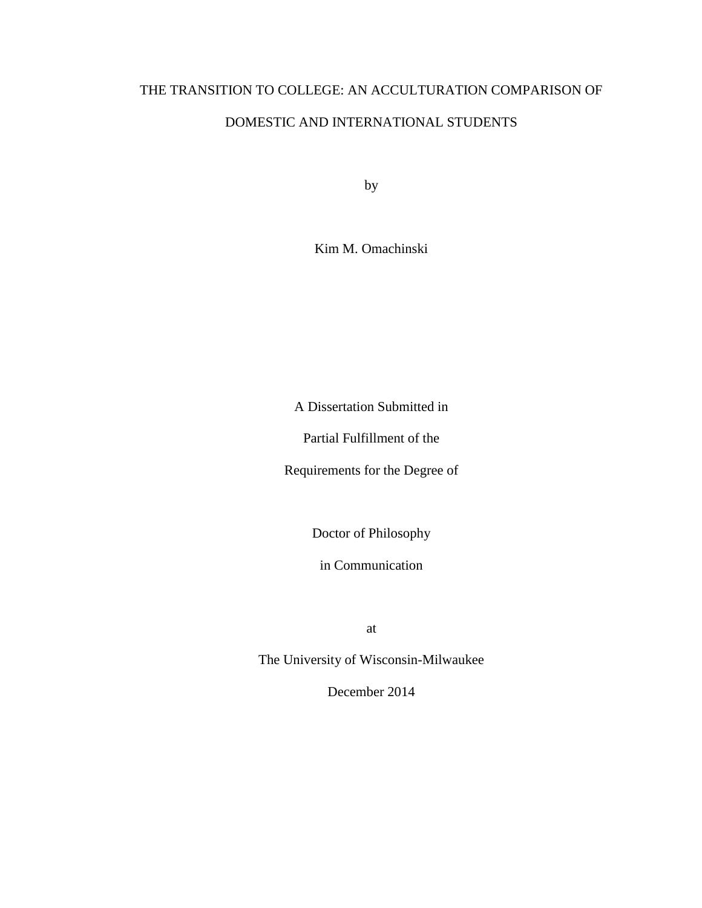## THE TRANSITION TO COLLEGE: AN ACCULTURATION COMPARISON OF

### DOMESTIC AND INTERNATIONAL STUDENTS

by

Kim M. Omachinski

A Dissertation Submitted in

Partial Fulfillment of the

Requirements for the Degree of

Doctor of Philosophy

in Communication

at

The University of Wisconsin-Milwaukee

December 2014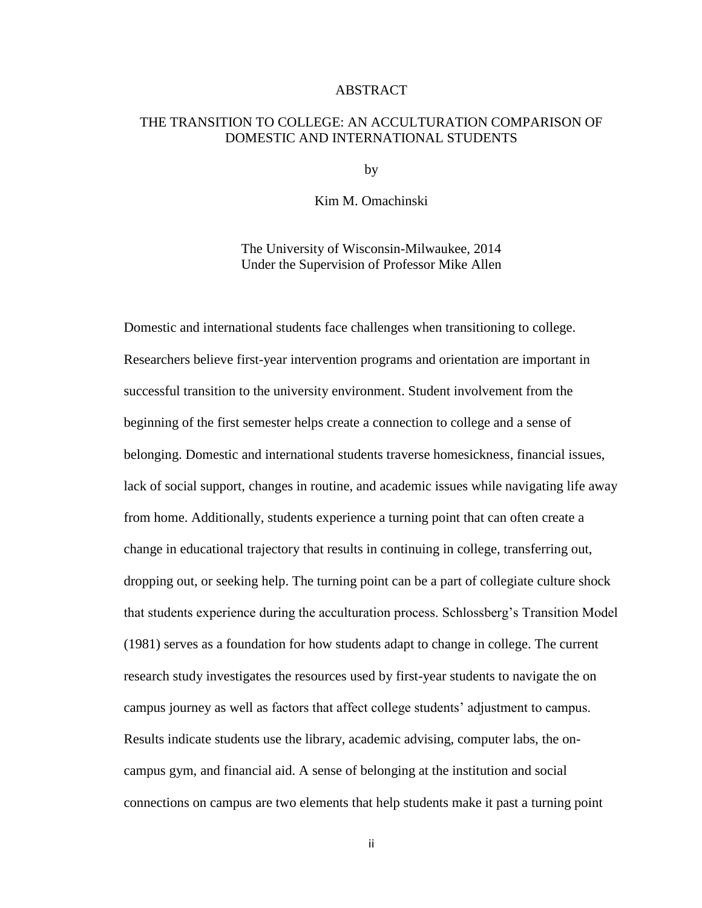#### ABSTRACT

#### THE TRANSITION TO COLLEGE: AN ACCULTURATION COMPARISON OF DOMESTIC AND INTERNATIONAL STUDENTS

by

Kim M. Omachinski

The University of Wisconsin-Milwaukee, 2014 Under the Supervision of Professor Mike Allen

Domestic and international students face challenges when transitioning to college. Researchers believe first-year intervention programs and orientation are important in successful transition to the university environment. Student involvement from the beginning of the first semester helps create a connection to college and a sense of belonging. Domestic and international students traverse homesickness, financial issues, lack of social support, changes in routine, and academic issues while navigating life away from home. Additionally, students experience a turning point that can often create a change in educational trajectory that results in continuing in college, transferring out, dropping out, or seeking help. The turning point can be a part of collegiate culture shock that students experience during the acculturation process. Schlossberg's Transition Model (1981) serves as a foundation for how students adapt to change in college. The current research study investigates the resources used by first-year students to navigate the on campus journey as well as factors that affect college students' adjustment to campus. Results indicate students use the library, academic advising, computer labs, the oncampus gym, and financial aid. A sense of belonging at the institution and social connections on campus are two elements that help students make it past a turning point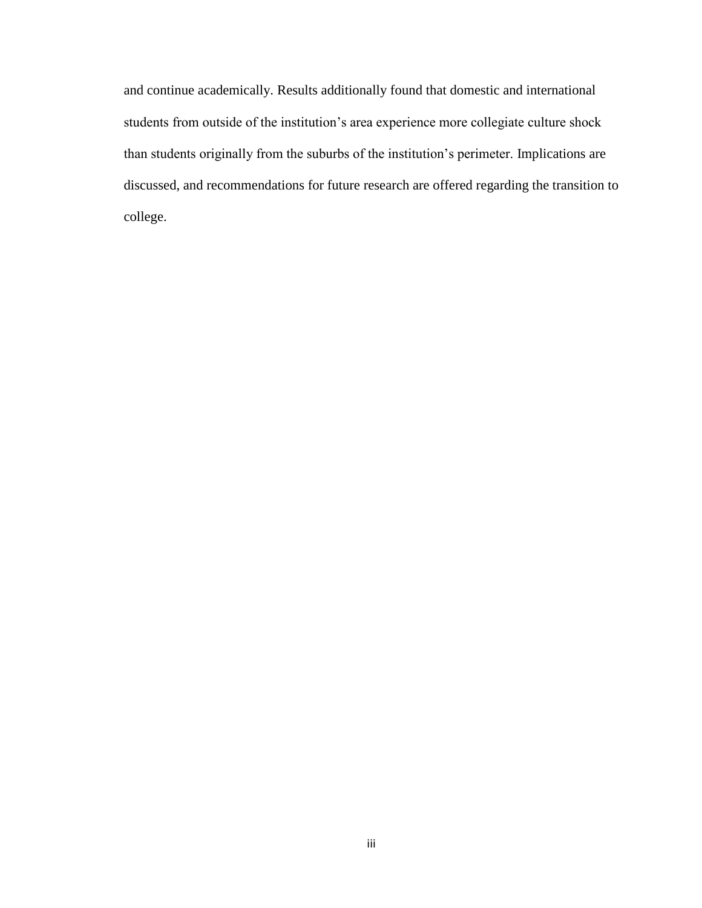and continue academically. Results additionally found that domestic and international students from outside of the institution's area experience more collegiate culture shock than students originally from the suburbs of the institution's perimeter. Implications are discussed, and recommendations for future research are offered regarding the transition to college.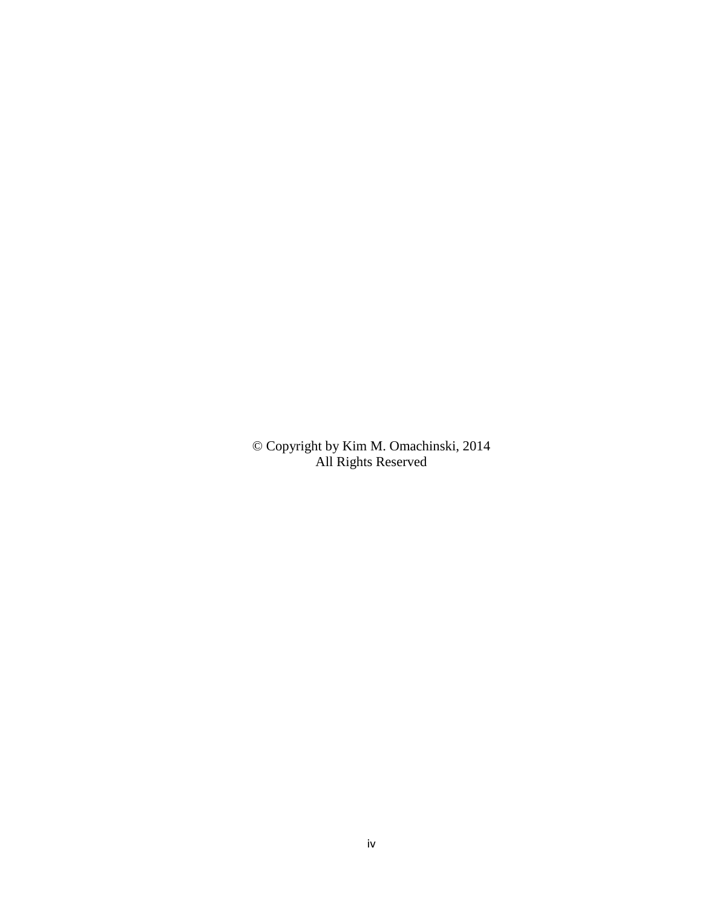© Copyright by Kim M. Omachinski, 2014 All Rights Reserved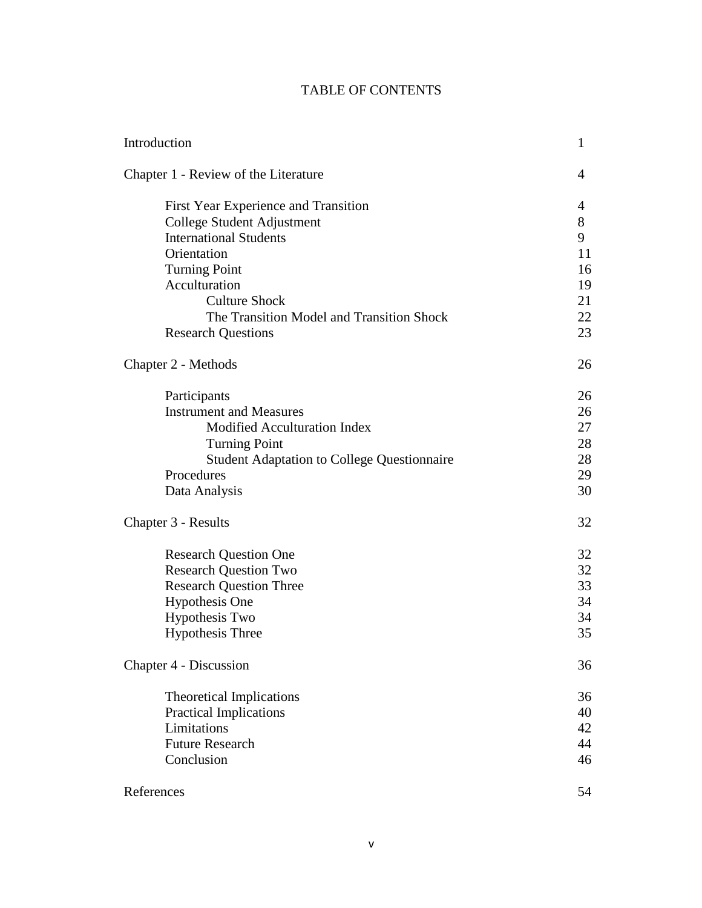### TABLE OF CONTENTS

| Introduction                                                                                                                                                                                                                                                  | $\mathbf{1}$                                    |
|---------------------------------------------------------------------------------------------------------------------------------------------------------------------------------------------------------------------------------------------------------------|-------------------------------------------------|
| Chapter 1 - Review of the Literature                                                                                                                                                                                                                          |                                                 |
| First Year Experience and Transition<br>College Student Adjustment<br><b>International Students</b><br>Orientation<br><b>Turning Point</b><br>Acculturation<br><b>Culture Shock</b><br>The Transition Model and Transition Shock<br><b>Research Questions</b> | 4<br>8<br>9<br>11<br>16<br>19<br>21<br>22<br>23 |
| Chapter 2 - Methods                                                                                                                                                                                                                                           | 26                                              |
| Participants<br><b>Instrument and Measures</b><br>Modified Acculturation Index<br><b>Turning Point</b><br><b>Student Adaptation to College Questionnaire</b><br>Procedures<br>Data Analysis                                                                   | 26<br>26<br>27<br>28<br>28<br>29<br>30          |
| Chapter 3 - Results                                                                                                                                                                                                                                           | 32                                              |
| <b>Research Question One</b><br><b>Research Question Two</b><br><b>Research Question Three</b><br><b>Hypothesis One</b><br><b>Hypothesis Two</b><br><b>Hypothesis Three</b>                                                                                   | 32<br>32<br>33<br>34<br>34<br>35                |
| Chapter 4 - Discussion                                                                                                                                                                                                                                        |                                                 |
| <b>Theoretical Implications</b><br><b>Practical Implications</b><br>Limitations<br><b>Future Research</b><br>Conclusion                                                                                                                                       | 36<br>40<br>42<br>44<br>46                      |
| References                                                                                                                                                                                                                                                    | 54                                              |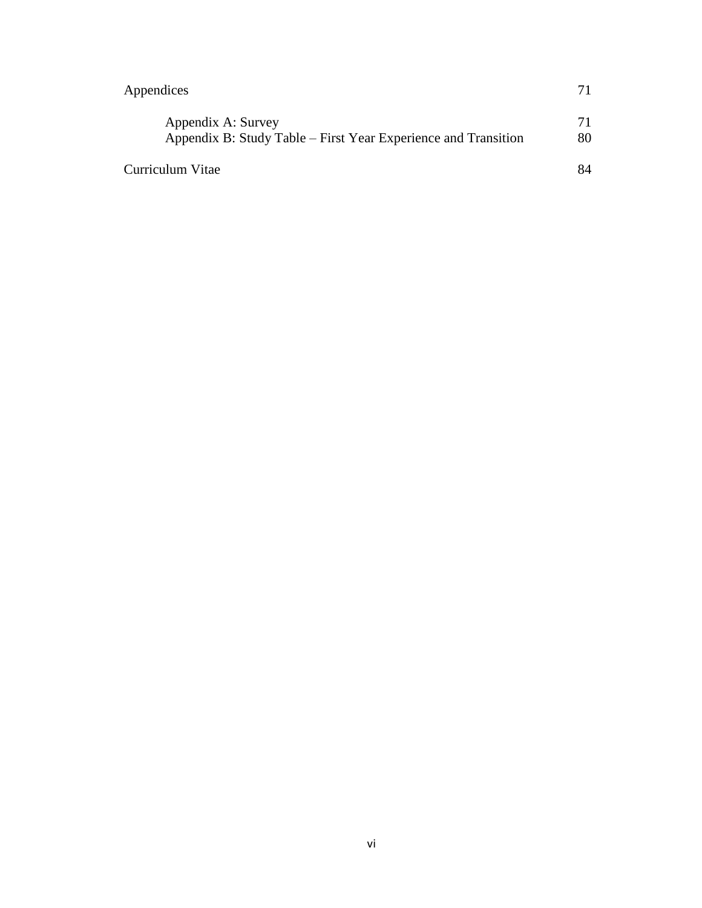| Appendices                                                                           |          |
|--------------------------------------------------------------------------------------|----------|
| Appendix A: Survey<br>Appendix B: Study Table – First Year Experience and Transition | 71<br>80 |
| Curriculum Vitae                                                                     | 84       |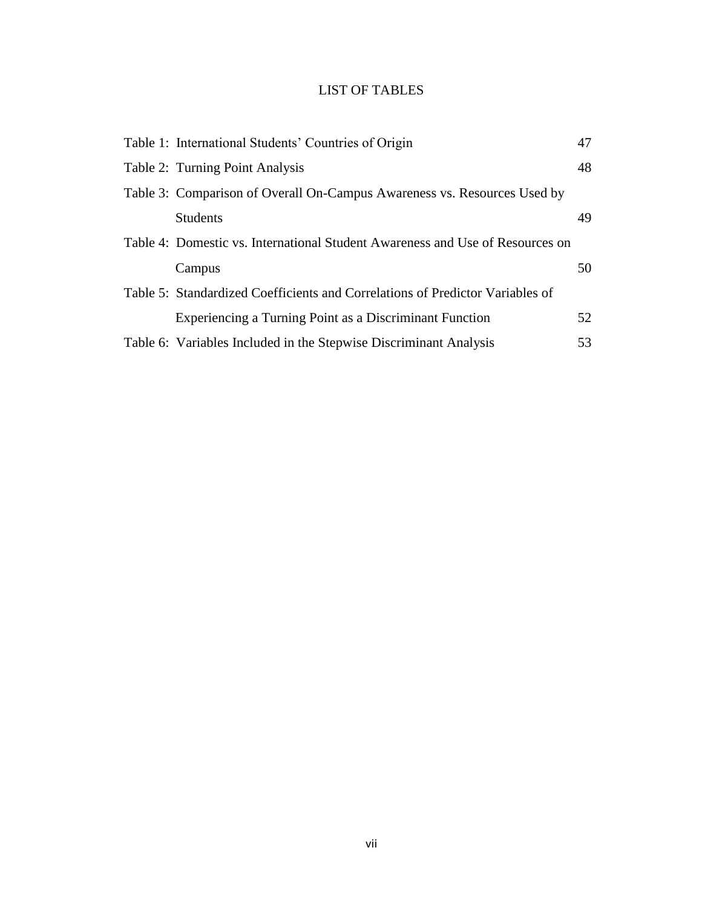## LIST OF TABLES

| Table 1: International Students' Countries of Origin                          | 47 |
|-------------------------------------------------------------------------------|----|
| Table 2: Turning Point Analysis                                               | 48 |
| Table 3: Comparison of Overall On-Campus Awareness vs. Resources Used by      |    |
| <b>Students</b>                                                               | 49 |
| Table 4: Domestic vs. International Student Awareness and Use of Resources on |    |
| Campus                                                                        | 50 |
| Table 5: Standardized Coefficients and Correlations of Predictor Variables of |    |
| Experiencing a Turning Point as a Discriminant Function                       | 52 |
| Table 6: Variables Included in the Stepwise Discriminant Analysis             | 53 |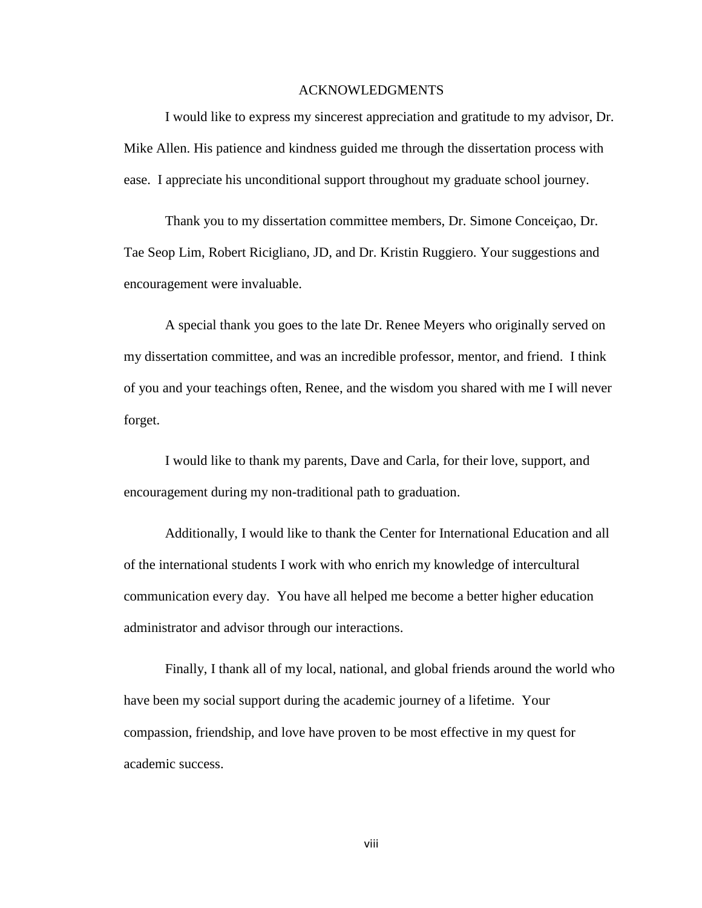#### ACKNOWLEDGMENTS

I would like to express my sincerest appreciation and gratitude to my advisor, Dr. Mike Allen. His patience and kindness guided me through the dissertation process with ease. I appreciate his unconditional support throughout my graduate school journey.

Thank you to my dissertation committee members, Dr. Simone Conceiçao, Dr. Tae Seop Lim, Robert Ricigliano, JD, and Dr. Kristin Ruggiero. Your suggestions and encouragement were invaluable.

A special thank you goes to the late Dr. Renee Meyers who originally served on my dissertation committee, and was an incredible professor, mentor, and friend. I think of you and your teachings often, Renee, and the wisdom you shared with me I will never forget.

I would like to thank my parents, Dave and Carla, for their love, support, and encouragement during my non-traditional path to graduation.

Additionally, I would like to thank the Center for International Education and all of the international students I work with who enrich my knowledge of intercultural communication every day. You have all helped me become a better higher education administrator and advisor through our interactions.

Finally, I thank all of my local, national, and global friends around the world who have been my social support during the academic journey of a lifetime. Your compassion, friendship, and love have proven to be most effective in my quest for academic success.

viii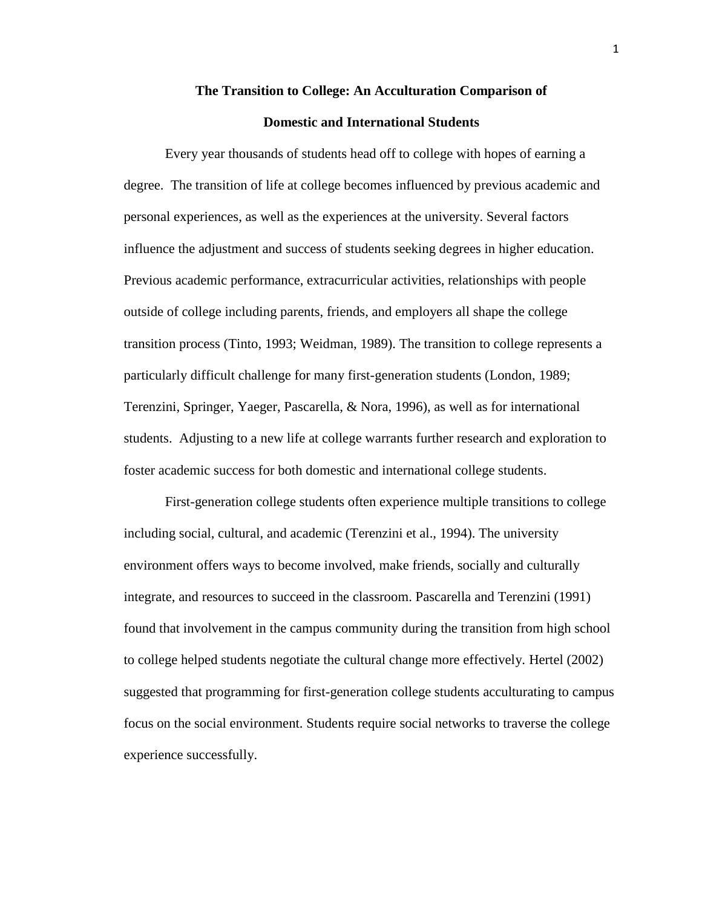## **The Transition to College: An Acculturation Comparison of Domestic and International Students**

Every year thousands of students head off to college with hopes of earning a degree. The transition of life at college becomes influenced by previous academic and personal experiences, as well as the experiences at the university. Several factors influence the adjustment and success of students seeking degrees in higher education. Previous academic performance, extracurricular activities, relationships with people outside of college including parents, friends, and employers all shape the college transition process (Tinto, 1993; Weidman, 1989). The transition to college represents a particularly difficult challenge for many first-generation students (London, 1989; Terenzini, Springer, Yaeger, Pascarella, & Nora, 1996), as well as for international students. Adjusting to a new life at college warrants further research and exploration to foster academic success for both domestic and international college students.

First-generation college students often experience multiple transitions to college including social, cultural, and academic (Terenzini et al., 1994). The university environment offers ways to become involved, make friends, socially and culturally integrate, and resources to succeed in the classroom. Pascarella and Terenzini (1991) found that involvement in the campus community during the transition from high school to college helped students negotiate the cultural change more effectively. Hertel (2002) suggested that programming for first-generation college students acculturating to campus focus on the social environment. Students require social networks to traverse the college experience successfully.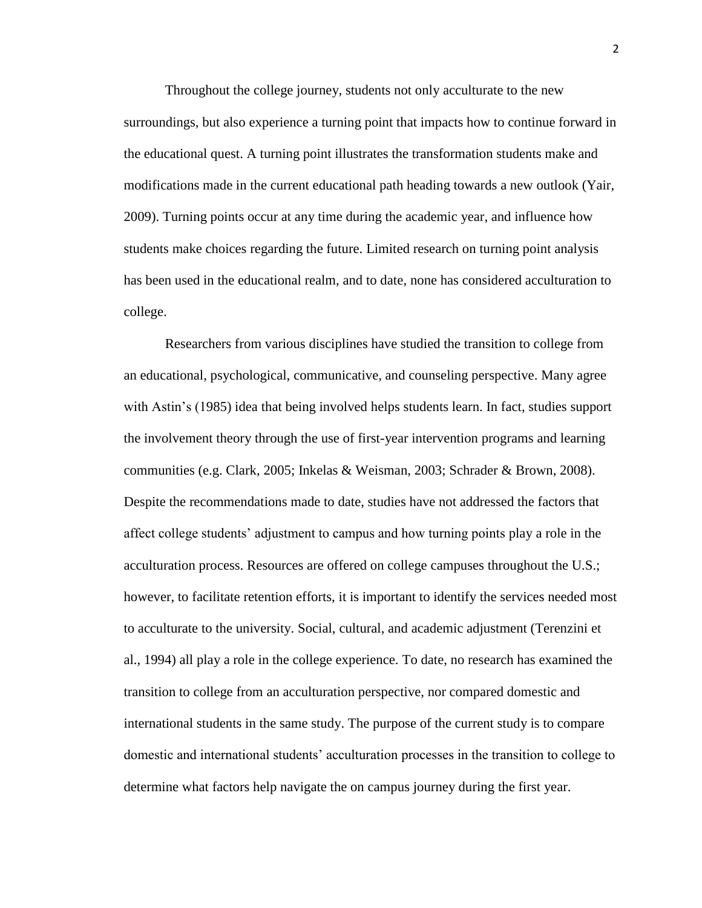Throughout the college journey, students not only acculturate to the new surroundings, but also experience a turning point that impacts how to continue forward in the educational quest. A turning point illustrates the transformation students make and modifications made in the current educational path heading towards a new outlook (Yair, 2009). Turning points occur at any time during the academic year, and influence how students make choices regarding the future. Limited research on turning point analysis has been used in the educational realm, and to date, none has considered acculturation to college.

Researchers from various disciplines have studied the transition to college from an educational, psychological, communicative, and counseling perspective. Many agree with Astin's (1985) idea that being involved helps students learn. In fact, studies support the involvement theory through the use of first-year intervention programs and learning communities (e.g. Clark, 2005; Inkelas & Weisman, 2003; Schrader & Brown, 2008). Despite the recommendations made to date, studies have not addressed the factors that affect college students' adjustment to campus and how turning points play a role in the acculturation process. Resources are offered on college campuses throughout the U.S.; however, to facilitate retention efforts, it is important to identify the services needed most to acculturate to the university. Social, cultural, and academic adjustment (Terenzini et al., 1994) all play a role in the college experience. To date, no research has examined the transition to college from an acculturation perspective, nor compared domestic and international students in the same study. The purpose of the current study is to compare domestic and international students' acculturation processes in the transition to college to determine what factors help navigate the on campus journey during the first year.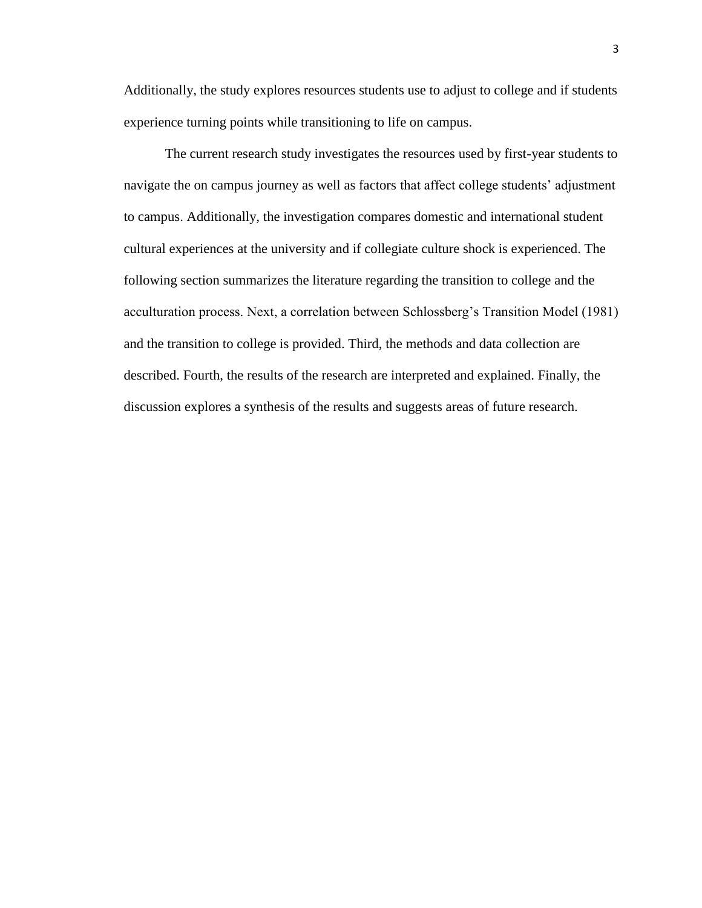Additionally, the study explores resources students use to adjust to college and if students experience turning points while transitioning to life on campus.

The current research study investigates the resources used by first-year students to navigate the on campus journey as well as factors that affect college students' adjustment to campus. Additionally, the investigation compares domestic and international student cultural experiences at the university and if collegiate culture shock is experienced. The following section summarizes the literature regarding the transition to college and the acculturation process. Next, a correlation between Schlossberg's Transition Model (1981) and the transition to college is provided. Third, the methods and data collection are described. Fourth, the results of the research are interpreted and explained. Finally, the discussion explores a synthesis of the results and suggests areas of future research.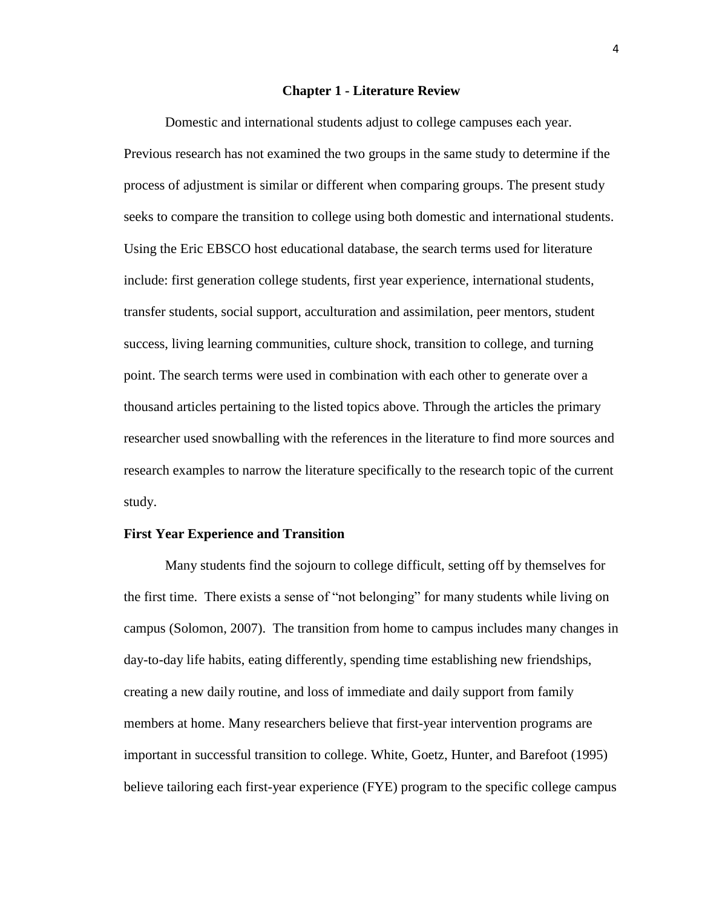#### **Chapter 1 - Literature Review**

Domestic and international students adjust to college campuses each year. Previous research has not examined the two groups in the same study to determine if the process of adjustment is similar or different when comparing groups. The present study seeks to compare the transition to college using both domestic and international students. Using the Eric EBSCO host educational database, the search terms used for literature include: first generation college students, first year experience, international students, transfer students, social support, acculturation and assimilation, peer mentors, student success, living learning communities, culture shock, transition to college, and turning point. The search terms were used in combination with each other to generate over a thousand articles pertaining to the listed topics above. Through the articles the primary researcher used snowballing with the references in the literature to find more sources and research examples to narrow the literature specifically to the research topic of the current study.

#### **First Year Experience and Transition**

Many students find the sojourn to college difficult, setting off by themselves for the first time. There exists a sense of "not belonging" for many students while living on campus (Solomon, 2007). The transition from home to campus includes many changes in day-to-day life habits, eating differently, spending time establishing new friendships, creating a new daily routine, and loss of immediate and daily support from family members at home. Many researchers believe that first-year intervention programs are important in successful transition to college. White, Goetz, Hunter, and Barefoot (1995) believe tailoring each first-year experience (FYE) program to the specific college campus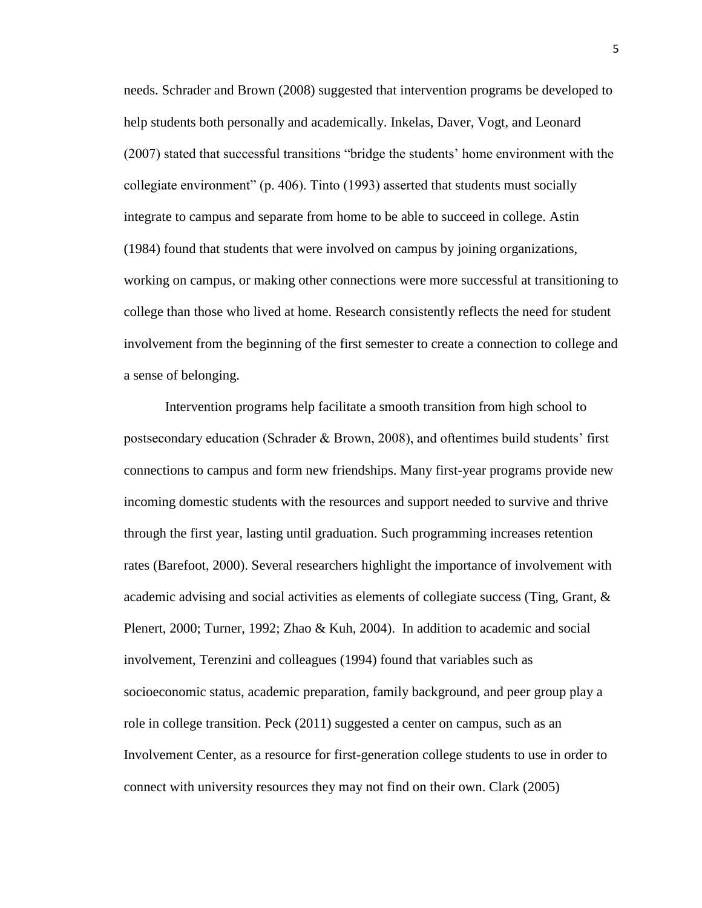needs. Schrader and Brown (2008) suggested that intervention programs be developed to help students both personally and academically. Inkelas, Daver, Vogt, and Leonard (2007) stated that successful transitions "bridge the students' home environment with the collegiate environment" (p. 406). Tinto (1993) asserted that students must socially integrate to campus and separate from home to be able to succeed in college. Astin (1984) found that students that were involved on campus by joining organizations, working on campus, or making other connections were more successful at transitioning to college than those who lived at home. Research consistently reflects the need for student involvement from the beginning of the first semester to create a connection to college and a sense of belonging.

Intervention programs help facilitate a smooth transition from high school to postsecondary education (Schrader & Brown, 2008), and oftentimes build students' first connections to campus and form new friendships. Many first-year programs provide new incoming domestic students with the resources and support needed to survive and thrive through the first year, lasting until graduation. Such programming increases retention rates (Barefoot, 2000). Several researchers highlight the importance of involvement with academic advising and social activities as elements of collegiate success (Ting, Grant, & Plenert, 2000; Turner, 1992; Zhao & Kuh, 2004). In addition to academic and social involvement, Terenzini and colleagues (1994) found that variables such as socioeconomic status, academic preparation, family background, and peer group play a role in college transition. Peck (2011) suggested a center on campus, such as an Involvement Center, as a resource for first-generation college students to use in order to connect with university resources they may not find on their own. Clark (2005)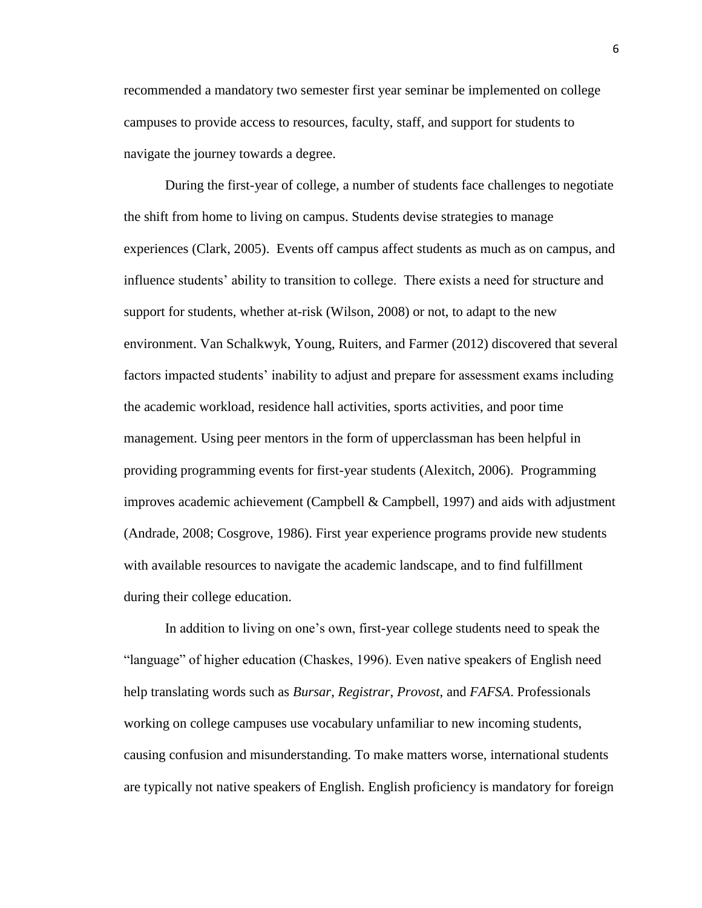recommended a mandatory two semester first year seminar be implemented on college campuses to provide access to resources, faculty, staff, and support for students to navigate the journey towards a degree.

During the first-year of college, a number of students face challenges to negotiate the shift from home to living on campus. Students devise strategies to manage experiences (Clark, 2005). Events off campus affect students as much as on campus, and influence students' ability to transition to college. There exists a need for structure and support for students, whether at-risk (Wilson, 2008) or not, to adapt to the new environment. Van Schalkwyk, Young, Ruiters, and Farmer (2012) discovered that several factors impacted students' inability to adjust and prepare for assessment exams including the academic workload, residence hall activities, sports activities, and poor time management. Using peer mentors in the form of upperclassman has been helpful in providing programming events for first-year students (Alexitch, 2006). Programming improves academic achievement (Campbell & Campbell, 1997) and aids with adjustment (Andrade, 2008; Cosgrove, 1986). First year experience programs provide new students with available resources to navigate the academic landscape, and to find fulfillment during their college education.

In addition to living on one's own, first-year college students need to speak the "language" of higher education (Chaskes, 1996). Even native speakers of English need help translating words such as *Bursar*, *Registrar*, *Provost*, and *FAFSA*. Professionals working on college campuses use vocabulary unfamiliar to new incoming students, causing confusion and misunderstanding. To make matters worse, international students are typically not native speakers of English. English proficiency is mandatory for foreign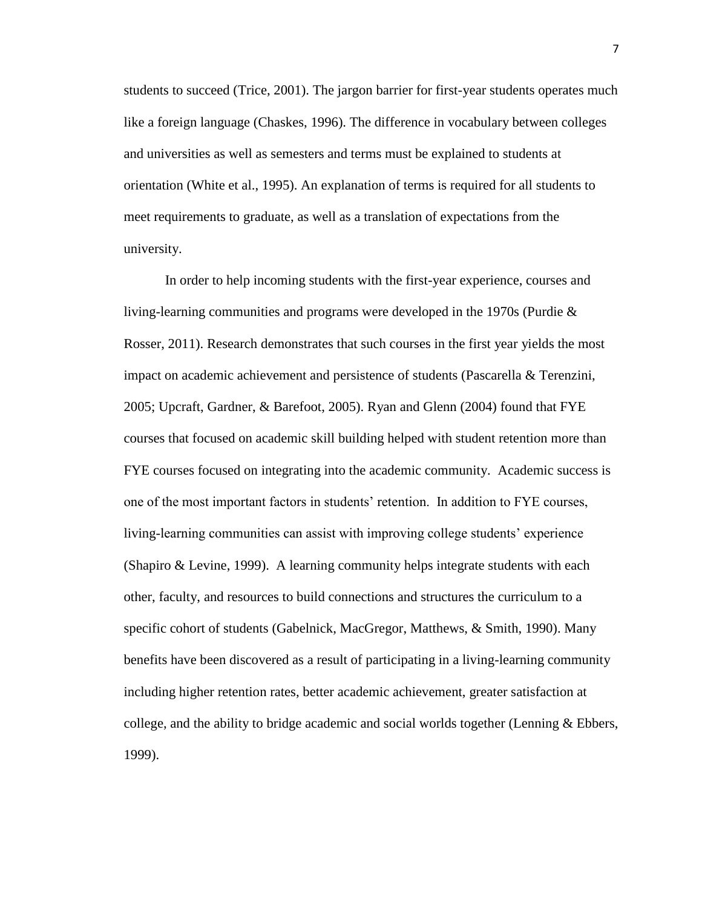students to succeed (Trice, 2001). The jargon barrier for first-year students operates much like a foreign language (Chaskes, 1996). The difference in vocabulary between colleges and universities as well as semesters and terms must be explained to students at orientation (White et al., 1995). An explanation of terms is required for all students to meet requirements to graduate, as well as a translation of expectations from the university.

In order to help incoming students with the first-year experience, courses and living-learning communities and programs were developed in the 1970s (Purdie & Rosser, 2011). Research demonstrates that such courses in the first year yields the most impact on academic achievement and persistence of students (Pascarella & Terenzini, 2005; Upcraft, Gardner, & Barefoot, 2005). Ryan and Glenn (2004) found that FYE courses that focused on academic skill building helped with student retention more than FYE courses focused on integrating into the academic community. Academic success is one of the most important factors in students' retention. In addition to FYE courses, living-learning communities can assist with improving college students' experience (Shapiro & Levine, 1999). A learning community helps integrate students with each other, faculty, and resources to build connections and structures the curriculum to a specific cohort of students (Gabelnick, MacGregor, Matthews, & Smith, 1990). Many benefits have been discovered as a result of participating in a living-learning community including higher retention rates, better academic achievement, greater satisfaction at college, and the ability to bridge academic and social worlds together (Lenning & Ebbers, 1999).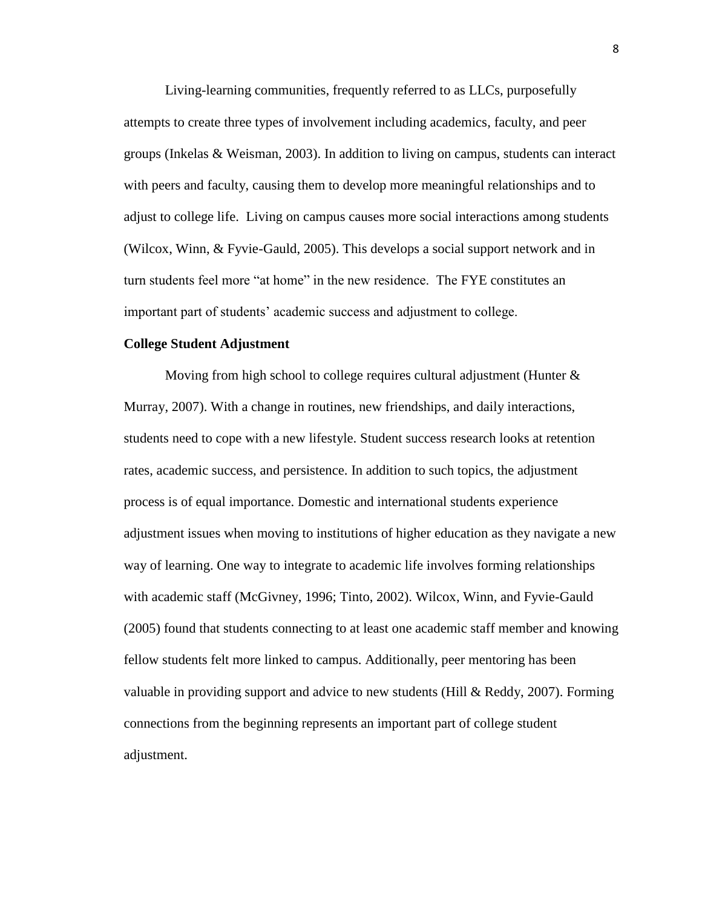Living-learning communities, frequently referred to as LLCs, purposefully attempts to create three types of involvement including academics, faculty, and peer groups (Inkelas & Weisman, 2003). In addition to living on campus, students can interact with peers and faculty, causing them to develop more meaningful relationships and to adjust to college life. Living on campus causes more social interactions among students (Wilcox, Winn, & Fyvie-Gauld, 2005). This develops a social support network and in turn students feel more "at home" in the new residence. The FYE constitutes an important part of students' academic success and adjustment to college.

#### **College Student Adjustment**

Moving from high school to college requires cultural adjustment (Hunter  $\&$ Murray, 2007). With a change in routines, new friendships, and daily interactions, students need to cope with a new lifestyle. Student success research looks at retention rates, academic success, and persistence. In addition to such topics, the adjustment process is of equal importance. Domestic and international students experience adjustment issues when moving to institutions of higher education as they navigate a new way of learning. One way to integrate to academic life involves forming relationships with academic staff (McGivney, 1996; Tinto, 2002). Wilcox, Winn, and Fyvie-Gauld (2005) found that students connecting to at least one academic staff member and knowing fellow students felt more linked to campus. Additionally, peer mentoring has been valuable in providing support and advice to new students (Hill & Reddy, 2007). Forming connections from the beginning represents an important part of college student adjustment.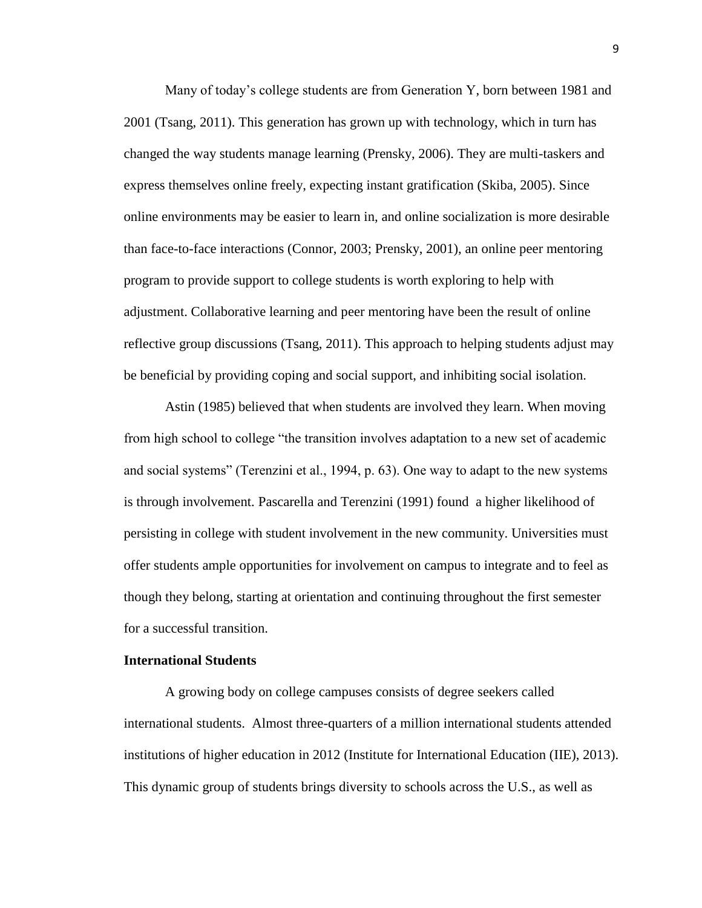Many of today's college students are from Generation Y, born between 1981 and 2001 (Tsang, 2011). This generation has grown up with technology, which in turn has changed the way students manage learning (Prensky, 2006). They are multi-taskers and express themselves online freely, expecting instant gratification (Skiba, 2005). Since online environments may be easier to learn in, and online socialization is more desirable than face-to-face interactions (Connor, 2003; Prensky, 2001), an online peer mentoring program to provide support to college students is worth exploring to help with adjustment. Collaborative learning and peer mentoring have been the result of online reflective group discussions (Tsang, 2011). This approach to helping students adjust may be beneficial by providing coping and social support, and inhibiting social isolation.

Astin (1985) believed that when students are involved they learn. When moving from high school to college "the transition involves adaptation to a new set of academic and social systems" (Terenzini et al., 1994, p. 63). One way to adapt to the new systems is through involvement. Pascarella and Terenzini (1991) found a higher likelihood of persisting in college with student involvement in the new community. Universities must offer students ample opportunities for involvement on campus to integrate and to feel as though they belong, starting at orientation and continuing throughout the first semester for a successful transition.

#### **International Students**

A growing body on college campuses consists of degree seekers called international students. Almost three-quarters of a million international students attended institutions of higher education in 2012 (Institute for International Education (IIE), 2013). This dynamic group of students brings diversity to schools across the U.S., as well as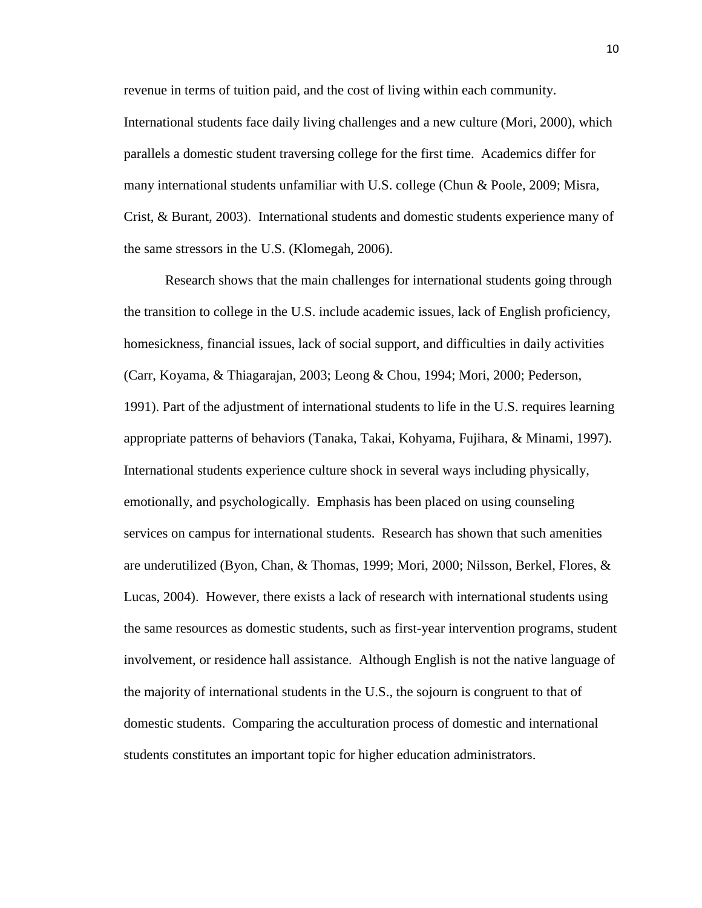revenue in terms of tuition paid, and the cost of living within each community. International students face daily living challenges and a new culture (Mori, 2000), which parallels a domestic student traversing college for the first time. Academics differ for many international students unfamiliar with U.S. college (Chun & Poole, 2009; Misra, Crist, & Burant, 2003). International students and domestic students experience many of the same stressors in the U.S. (Klomegah, 2006).

Research shows that the main challenges for international students going through the transition to college in the U.S. include academic issues, lack of English proficiency, homesickness, financial issues, lack of social support, and difficulties in daily activities (Carr, Koyama, & Thiagarajan, 2003; Leong & Chou, 1994; Mori, 2000; Pederson, 1991). Part of the adjustment of international students to life in the U.S. requires learning appropriate patterns of behaviors (Tanaka, Takai, Kohyama, Fujihara, & Minami, 1997). International students experience culture shock in several ways including physically, emotionally, and psychologically. Emphasis has been placed on using counseling services on campus for international students. Research has shown that such amenities are underutilized (Byon, Chan, & Thomas, 1999; Mori, 2000; Nilsson, Berkel, Flores, & Lucas, 2004). However, there exists a lack of research with international students using the same resources as domestic students, such as first-year intervention programs, student involvement, or residence hall assistance. Although English is not the native language of the majority of international students in the U.S., the sojourn is congruent to that of domestic students. Comparing the acculturation process of domestic and international students constitutes an important topic for higher education administrators.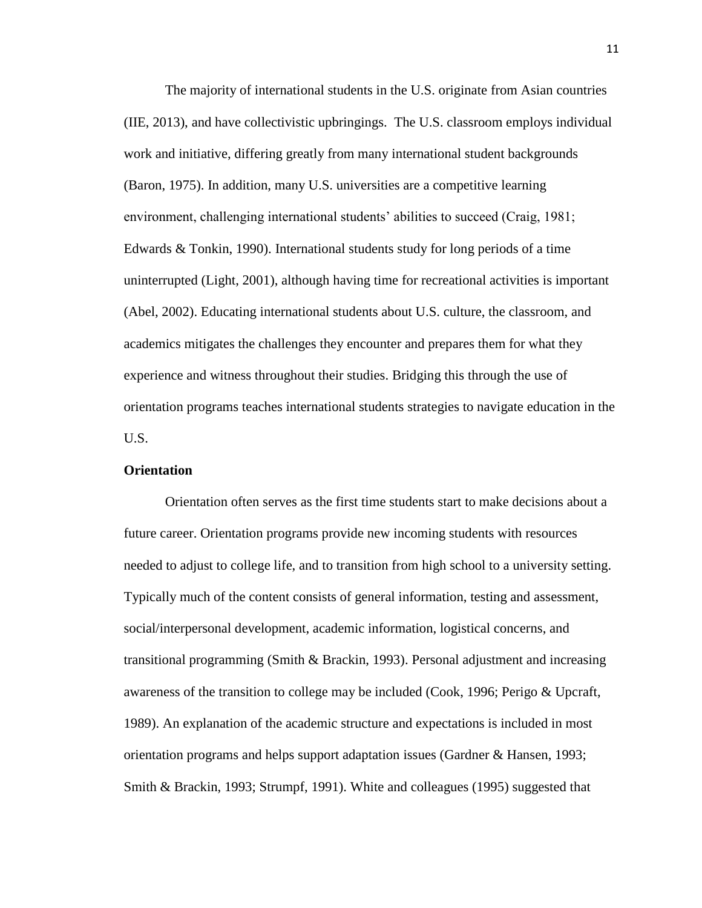The majority of international students in the U.S. originate from Asian countries (IIE, 2013), and have collectivistic upbringings. The U.S. classroom employs individual work and initiative, differing greatly from many international student backgrounds (Baron, 1975). In addition, many U.S. universities are a competitive learning environment, challenging international students' abilities to succeed (Craig, 1981; Edwards & Tonkin, 1990). International students study for long periods of a time uninterrupted (Light, 2001), although having time for recreational activities is important (Abel, 2002). Educating international students about U.S. culture, the classroom, and academics mitigates the challenges they encounter and prepares them for what they experience and witness throughout their studies. Bridging this through the use of orientation programs teaches international students strategies to navigate education in the U.S.

#### **Orientation**

Orientation often serves as the first time students start to make decisions about a future career. Orientation programs provide new incoming students with resources needed to adjust to college life, and to transition from high school to a university setting. Typically much of the content consists of general information, testing and assessment, social/interpersonal development, academic information, logistical concerns, and transitional programming (Smith & Brackin, 1993). Personal adjustment and increasing awareness of the transition to college may be included (Cook, 1996; Perigo & Upcraft, 1989). An explanation of the academic structure and expectations is included in most orientation programs and helps support adaptation issues (Gardner & Hansen, 1993; Smith & Brackin, 1993; Strumpf, 1991). White and colleagues (1995) suggested that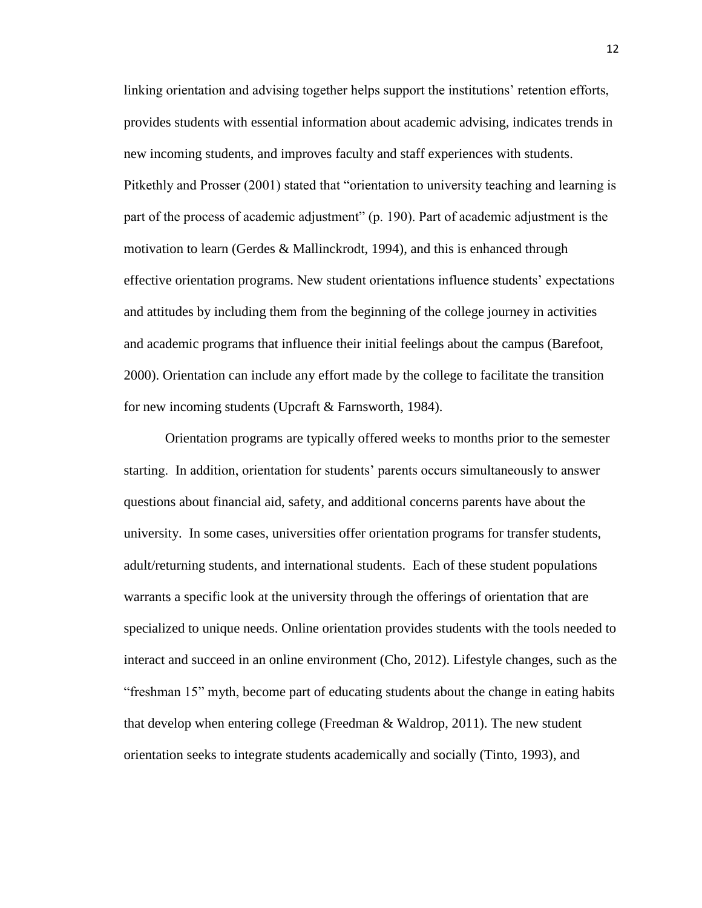linking orientation and advising together helps support the institutions' retention efforts, provides students with essential information about academic advising, indicates trends in new incoming students, and improves faculty and staff experiences with students. Pitkethly and Prosser (2001) stated that "orientation to university teaching and learning is part of the process of academic adjustment" (p. 190). Part of academic adjustment is the motivation to learn (Gerdes & Mallinckrodt, 1994), and this is enhanced through effective orientation programs. New student orientations influence students' expectations and attitudes by including them from the beginning of the college journey in activities and academic programs that influence their initial feelings about the campus (Barefoot, 2000). Orientation can include any effort made by the college to facilitate the transition for new incoming students (Upcraft & Farnsworth, 1984).

Orientation programs are typically offered weeks to months prior to the semester starting. In addition, orientation for students' parents occurs simultaneously to answer questions about financial aid, safety, and additional concerns parents have about the university. In some cases, universities offer orientation programs for transfer students, adult/returning students, and international students. Each of these student populations warrants a specific look at the university through the offerings of orientation that are specialized to unique needs. Online orientation provides students with the tools needed to interact and succeed in an online environment (Cho, 2012). Lifestyle changes, such as the "freshman 15" myth, become part of educating students about the change in eating habits that develop when entering college (Freedman & Waldrop, 2011). The new student orientation seeks to integrate students academically and socially (Tinto, 1993), and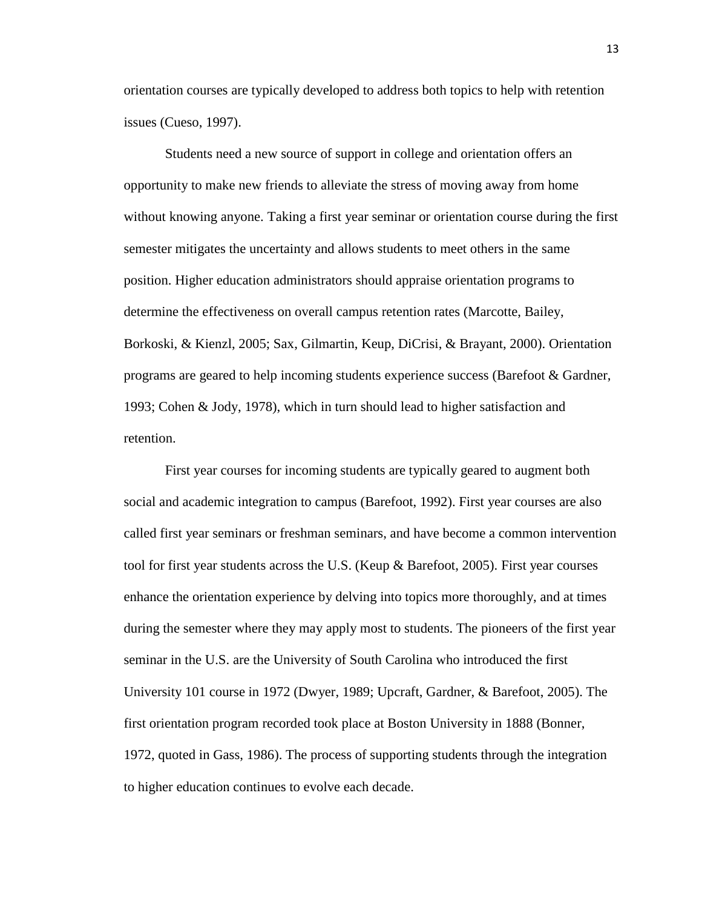orientation courses are typically developed to address both topics to help with retention issues (Cueso, 1997).

Students need a new source of support in college and orientation offers an opportunity to make new friends to alleviate the stress of moving away from home without knowing anyone. Taking a first year seminar or orientation course during the first semester mitigates the uncertainty and allows students to meet others in the same position. Higher education administrators should appraise orientation programs to determine the effectiveness on overall campus retention rates (Marcotte, Bailey, Borkoski, & Kienzl, 2005; Sax, Gilmartin, Keup, DiCrisi, & Brayant, 2000). Orientation programs are geared to help incoming students experience success (Barefoot & Gardner, 1993; Cohen & Jody, 1978), which in turn should lead to higher satisfaction and retention.

First year courses for incoming students are typically geared to augment both social and academic integration to campus (Barefoot, 1992). First year courses are also called first year seminars or freshman seminars, and have become a common intervention tool for first year students across the U.S. (Keup & Barefoot, 2005). First year courses enhance the orientation experience by delving into topics more thoroughly, and at times during the semester where they may apply most to students. The pioneers of the first year seminar in the U.S. are the University of South Carolina who introduced the first University 101 course in 1972 (Dwyer, 1989; Upcraft, Gardner, & Barefoot, 2005). The first orientation program recorded took place at Boston University in 1888 (Bonner, 1972, quoted in Gass, 1986). The process of supporting students through the integration to higher education continues to evolve each decade.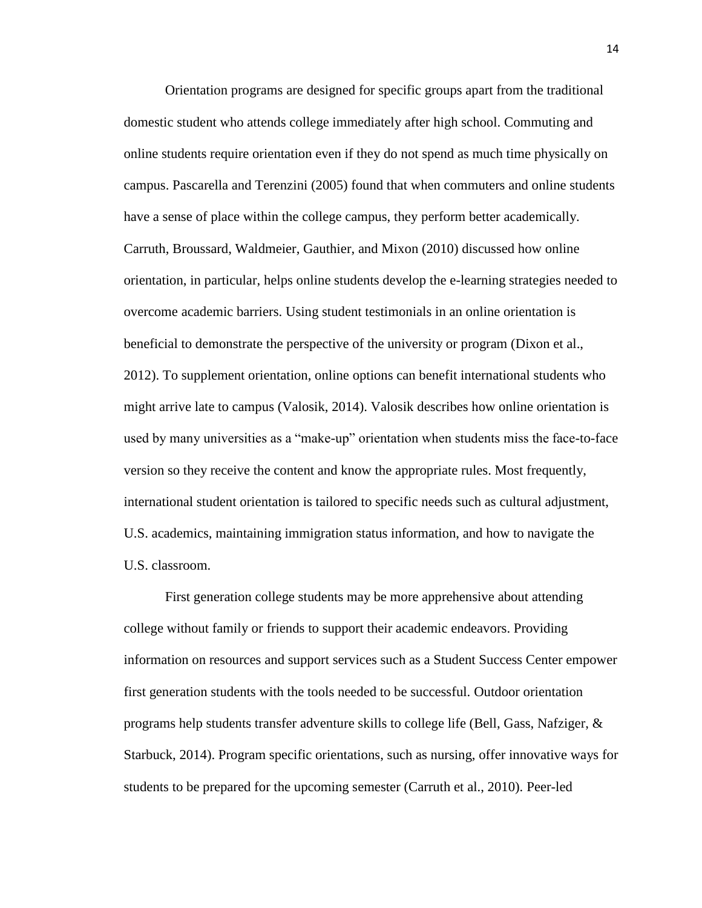Orientation programs are designed for specific groups apart from the traditional domestic student who attends college immediately after high school. Commuting and online students require orientation even if they do not spend as much time physically on campus. Pascarella and Terenzini (2005) found that when commuters and online students have a sense of place within the college campus, they perform better academically. Carruth, Broussard, Waldmeier, Gauthier, and Mixon (2010) discussed how online orientation, in particular, helps online students develop the e-learning strategies needed to overcome academic barriers. Using student testimonials in an online orientation is beneficial to demonstrate the perspective of the university or program (Dixon et al., 2012). To supplement orientation, online options can benefit international students who might arrive late to campus (Valosik, 2014). Valosik describes how online orientation is used by many universities as a "make-up" orientation when students miss the face-to-face version so they receive the content and know the appropriate rules. Most frequently, international student orientation is tailored to specific needs such as cultural adjustment, U.S. academics, maintaining immigration status information, and how to navigate the U.S. classroom.

First generation college students may be more apprehensive about attending college without family or friends to support their academic endeavors. Providing information on resources and support services such as a Student Success Center empower first generation students with the tools needed to be successful. Outdoor orientation programs help students transfer adventure skills to college life (Bell, Gass, Nafziger, & Starbuck, 2014). Program specific orientations, such as nursing, offer innovative ways for students to be prepared for the upcoming semester (Carruth et al., 2010). Peer-led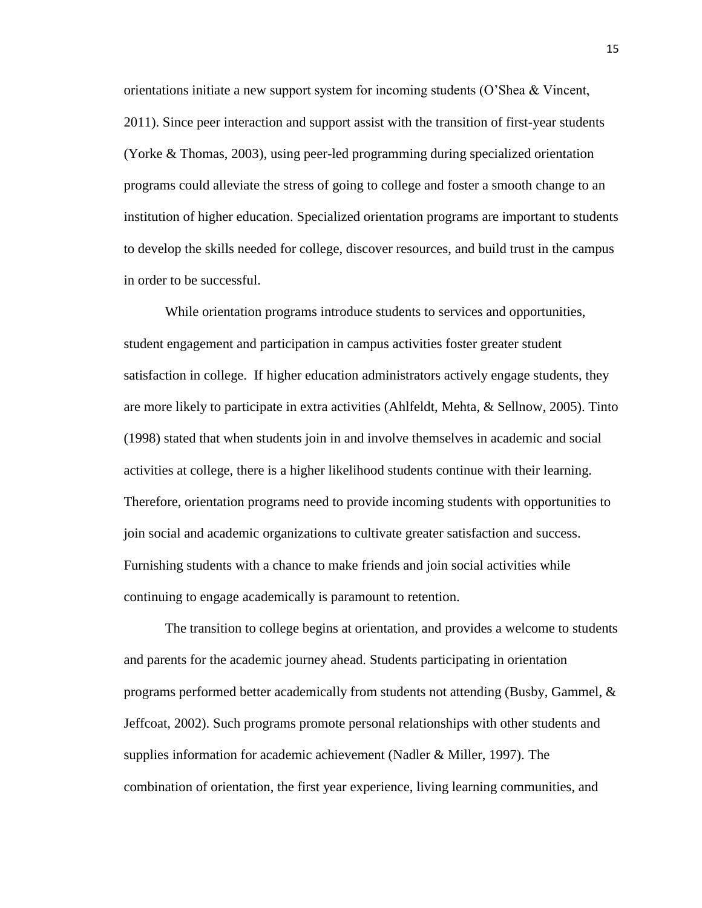orientations initiate a new support system for incoming students (O'Shea & Vincent, 2011). Since peer interaction and support assist with the transition of first-year students (Yorke & Thomas, 2003), using peer-led programming during specialized orientation programs could alleviate the stress of going to college and foster a smooth change to an institution of higher education. Specialized orientation programs are important to students to develop the skills needed for college, discover resources, and build trust in the campus in order to be successful.

While orientation programs introduce students to services and opportunities, student engagement and participation in campus activities foster greater student satisfaction in college. If higher education administrators actively engage students, they are more likely to participate in extra activities (Ahlfeldt, Mehta, & Sellnow, 2005). Tinto (1998) stated that when students join in and involve themselves in academic and social activities at college, there is a higher likelihood students continue with their learning. Therefore, orientation programs need to provide incoming students with opportunities to join social and academic organizations to cultivate greater satisfaction and success. Furnishing students with a chance to make friends and join social activities while continuing to engage academically is paramount to retention.

The transition to college begins at orientation, and provides a welcome to students and parents for the academic journey ahead. Students participating in orientation programs performed better academically from students not attending (Busby, Gammel, & Jeffcoat, 2002). Such programs promote personal relationships with other students and supplies information for academic achievement (Nadler & Miller, 1997). The combination of orientation, the first year experience, living learning communities, and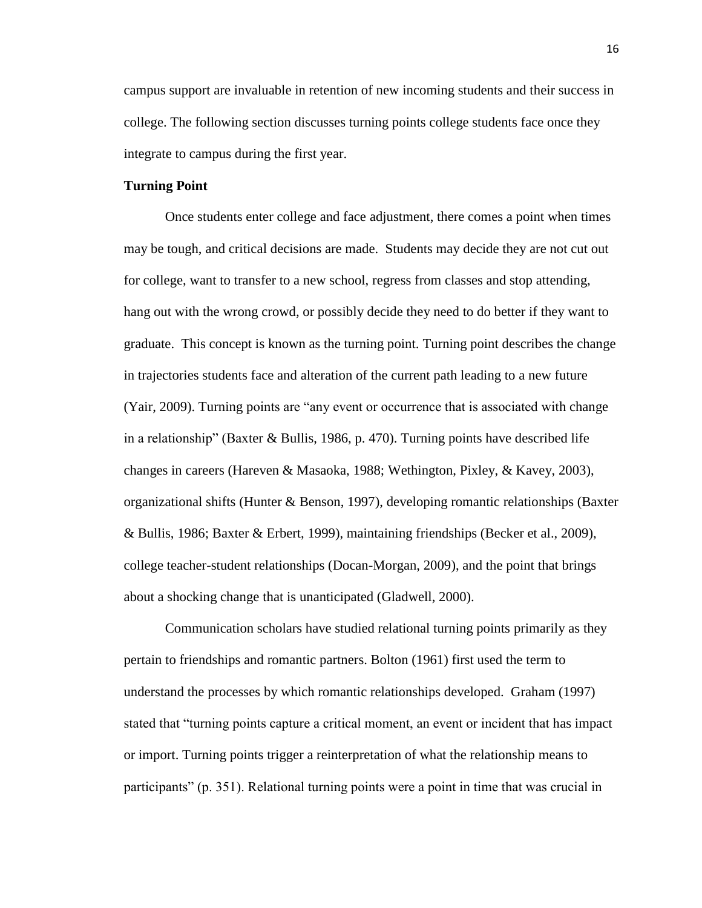campus support are invaluable in retention of new incoming students and their success in college. The following section discusses turning points college students face once they integrate to campus during the first year.

#### **Turning Point**

Once students enter college and face adjustment, there comes a point when times may be tough, and critical decisions are made. Students may decide they are not cut out for college, want to transfer to a new school, regress from classes and stop attending, hang out with the wrong crowd, or possibly decide they need to do better if they want to graduate. This concept is known as the turning point. Turning point describes the change in trajectories students face and alteration of the current path leading to a new future (Yair, 2009). Turning points are "any event or occurrence that is associated with change in a relationship" (Baxter & Bullis, 1986, p. 470). Turning points have described life changes in careers (Hareven & Masaoka, 1988; Wethington, Pixley, & Kavey, 2003), organizational shifts (Hunter & Benson, 1997), developing romantic relationships (Baxter & Bullis, 1986; Baxter & Erbert, 1999), maintaining friendships (Becker et al., 2009), college teacher-student relationships (Docan-Morgan, 2009), and the point that brings about a shocking change that is unanticipated (Gladwell, 2000).

Communication scholars have studied relational turning points primarily as they pertain to friendships and romantic partners. Bolton (1961) first used the term to understand the processes by which romantic relationships developed. Graham (1997) stated that "turning points capture a critical moment, an event or incident that has impact or import. Turning points trigger a reinterpretation of what the relationship means to participants" (p. 351). Relational turning points were a point in time that was crucial in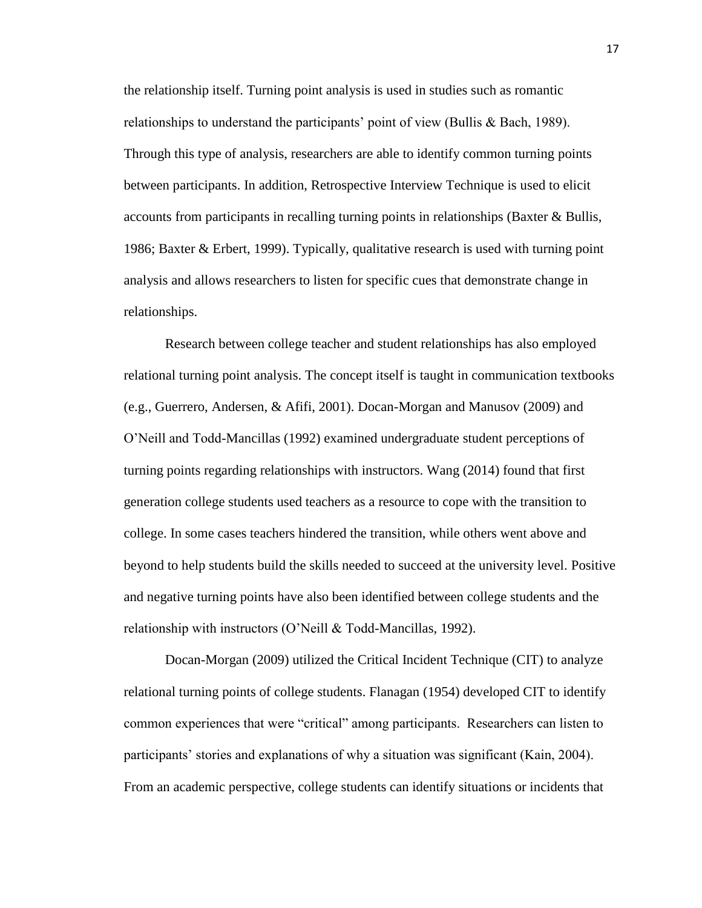the relationship itself. Turning point analysis is used in studies such as romantic relationships to understand the participants' point of view (Bullis & Bach, 1989). Through this type of analysis, researchers are able to identify common turning points between participants. In addition, Retrospective Interview Technique is used to elicit accounts from participants in recalling turning points in relationships (Baxter & Bullis, 1986; Baxter & Erbert, 1999). Typically, qualitative research is used with turning point analysis and allows researchers to listen for specific cues that demonstrate change in relationships.

Research between college teacher and student relationships has also employed relational turning point analysis. The concept itself is taught in communication textbooks (e.g., Guerrero, Andersen, & Afifi, 2001). Docan-Morgan and Manusov (2009) and O'Neill and Todd-Mancillas (1992) examined undergraduate student perceptions of turning points regarding relationships with instructors. Wang (2014) found that first generation college students used teachers as a resource to cope with the transition to college. In some cases teachers hindered the transition, while others went above and beyond to help students build the skills needed to succeed at the university level. Positive and negative turning points have also been identified between college students and the relationship with instructors (O'Neill & Todd-Mancillas, 1992).

Docan-Morgan (2009) utilized the Critical Incident Technique (CIT) to analyze relational turning points of college students. Flanagan (1954) developed CIT to identify common experiences that were "critical" among participants. Researchers can listen to participants' stories and explanations of why a situation was significant (Kain, 2004). From an academic perspective, college students can identify situations or incidents that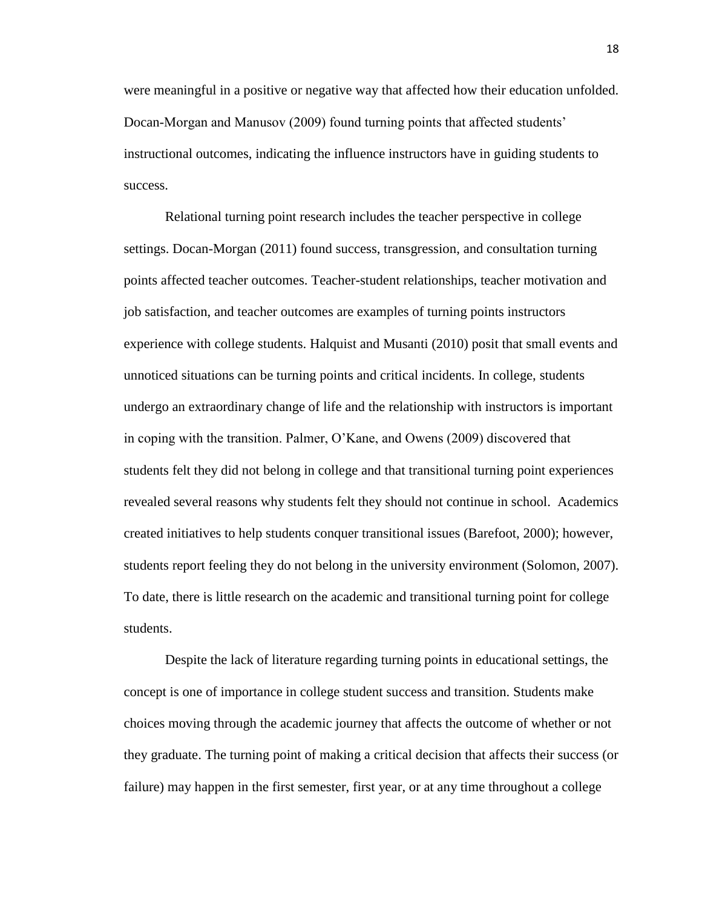were meaningful in a positive or negative way that affected how their education unfolded. Docan-Morgan and Manusov (2009) found turning points that affected students' instructional outcomes, indicating the influence instructors have in guiding students to success.

Relational turning point research includes the teacher perspective in college settings. Docan-Morgan (2011) found success, transgression, and consultation turning points affected teacher outcomes. Teacher-student relationships, teacher motivation and job satisfaction, and teacher outcomes are examples of turning points instructors experience with college students. Halquist and Musanti (2010) posit that small events and unnoticed situations can be turning points and critical incidents. In college, students undergo an extraordinary change of life and the relationship with instructors is important in coping with the transition. Palmer, O'Kane, and Owens (2009) discovered that students felt they did not belong in college and that transitional turning point experiences revealed several reasons why students felt they should not continue in school. Academics created initiatives to help students conquer transitional issues (Barefoot, 2000); however, students report feeling they do not belong in the university environment (Solomon, 2007). To date, there is little research on the academic and transitional turning point for college students.

Despite the lack of literature regarding turning points in educational settings, the concept is one of importance in college student success and transition. Students make choices moving through the academic journey that affects the outcome of whether or not they graduate. The turning point of making a critical decision that affects their success (or failure) may happen in the first semester, first year, or at any time throughout a college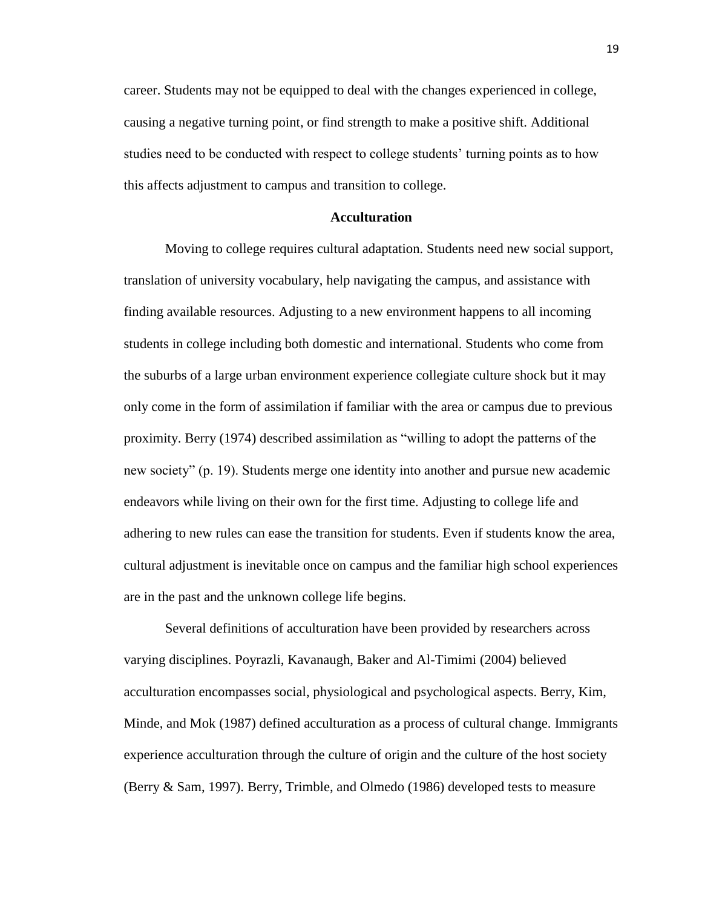career. Students may not be equipped to deal with the changes experienced in college, causing a negative turning point, or find strength to make a positive shift. Additional studies need to be conducted with respect to college students' turning points as to how this affects adjustment to campus and transition to college.

#### **Acculturation**

Moving to college requires cultural adaptation. Students need new social support, translation of university vocabulary, help navigating the campus, and assistance with finding available resources. Adjusting to a new environment happens to all incoming students in college including both domestic and international. Students who come from the suburbs of a large urban environment experience collegiate culture shock but it may only come in the form of assimilation if familiar with the area or campus due to previous proximity. Berry (1974) described assimilation as "willing to adopt the patterns of the new society" (p. 19). Students merge one identity into another and pursue new academic endeavors while living on their own for the first time. Adjusting to college life and adhering to new rules can ease the transition for students. Even if students know the area, cultural adjustment is inevitable once on campus and the familiar high school experiences are in the past and the unknown college life begins.

Several definitions of acculturation have been provided by researchers across varying disciplines. Poyrazli, Kavanaugh, Baker and Al-Timimi (2004) believed acculturation encompasses social, physiological and psychological aspects. Berry, Kim, Minde, and Mok (1987) defined acculturation as a process of cultural change. Immigrants experience acculturation through the culture of origin and the culture of the host society (Berry & Sam, 1997). Berry, Trimble, and Olmedo (1986) developed tests to measure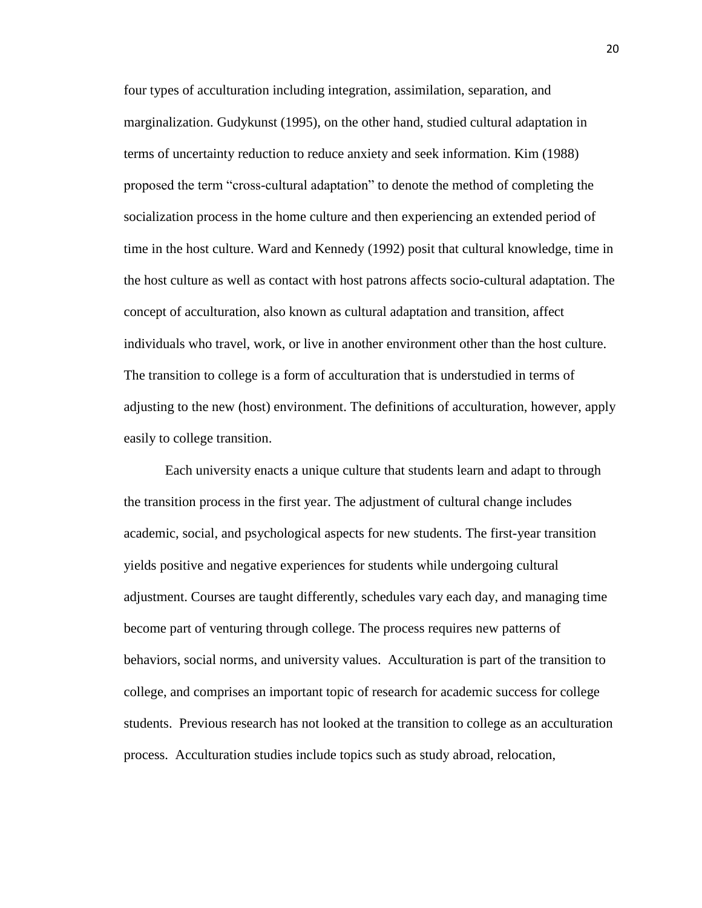four types of acculturation including integration, assimilation, separation, and marginalization. Gudykunst (1995), on the other hand, studied cultural adaptation in terms of uncertainty reduction to reduce anxiety and seek information. Kim (1988) proposed the term "cross-cultural adaptation" to denote the method of completing the socialization process in the home culture and then experiencing an extended period of time in the host culture. Ward and Kennedy (1992) posit that cultural knowledge, time in the host culture as well as contact with host patrons affects socio-cultural adaptation. The concept of acculturation, also known as cultural adaptation and transition, affect individuals who travel, work, or live in another environment other than the host culture. The transition to college is a form of acculturation that is understudied in terms of adjusting to the new (host) environment. The definitions of acculturation, however, apply easily to college transition.

Each university enacts a unique culture that students learn and adapt to through the transition process in the first year. The adjustment of cultural change includes academic, social, and psychological aspects for new students. The first-year transition yields positive and negative experiences for students while undergoing cultural adjustment. Courses are taught differently, schedules vary each day, and managing time become part of venturing through college. The process requires new patterns of behaviors, social norms, and university values. Acculturation is part of the transition to college, and comprises an important topic of research for academic success for college students. Previous research has not looked at the transition to college as an acculturation process. Acculturation studies include topics such as study abroad, relocation,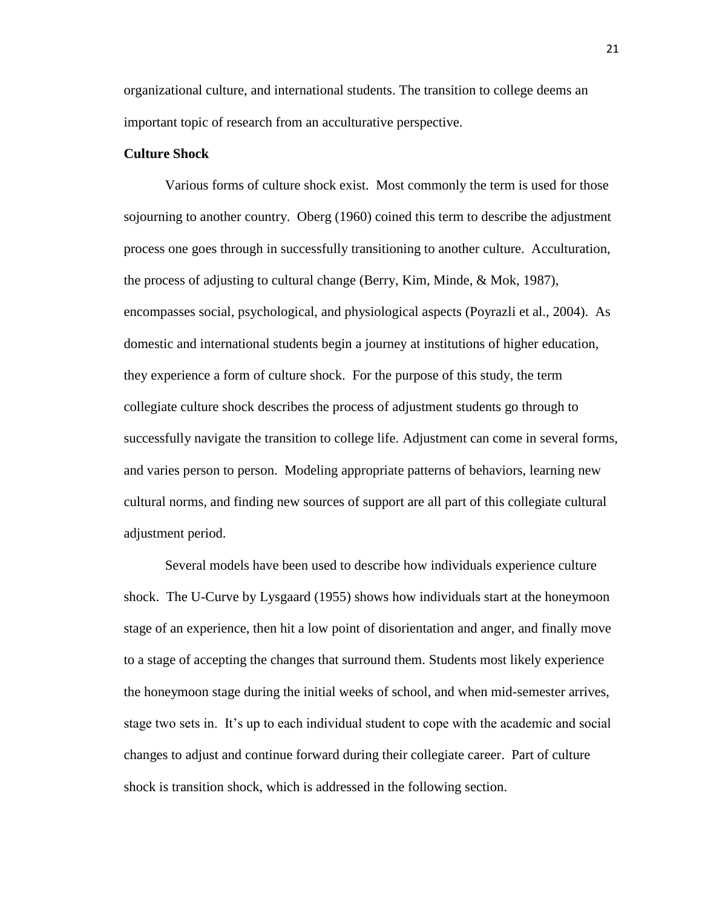organizational culture, and international students. The transition to college deems an important topic of research from an acculturative perspective.

#### **Culture Shock**

Various forms of culture shock exist. Most commonly the term is used for those sojourning to another country. Oberg (1960) coined this term to describe the adjustment process one goes through in successfully transitioning to another culture. Acculturation, the process of adjusting to cultural change (Berry, Kim, Minde, & Mok, 1987), encompasses social, psychological, and physiological aspects (Poyrazli et al., 2004). As domestic and international students begin a journey at institutions of higher education, they experience a form of culture shock. For the purpose of this study, the term collegiate culture shock describes the process of adjustment students go through to successfully navigate the transition to college life. Adjustment can come in several forms, and varies person to person. Modeling appropriate patterns of behaviors, learning new cultural norms, and finding new sources of support are all part of this collegiate cultural adjustment period.

Several models have been used to describe how individuals experience culture shock. The U-Curve by Lysgaard (1955) shows how individuals start at the honeymoon stage of an experience, then hit a low point of disorientation and anger, and finally move to a stage of accepting the changes that surround them. Students most likely experience the honeymoon stage during the initial weeks of school, and when mid-semester arrives, stage two sets in. It's up to each individual student to cope with the academic and social changes to adjust and continue forward during their collegiate career. Part of culture shock is transition shock, which is addressed in the following section.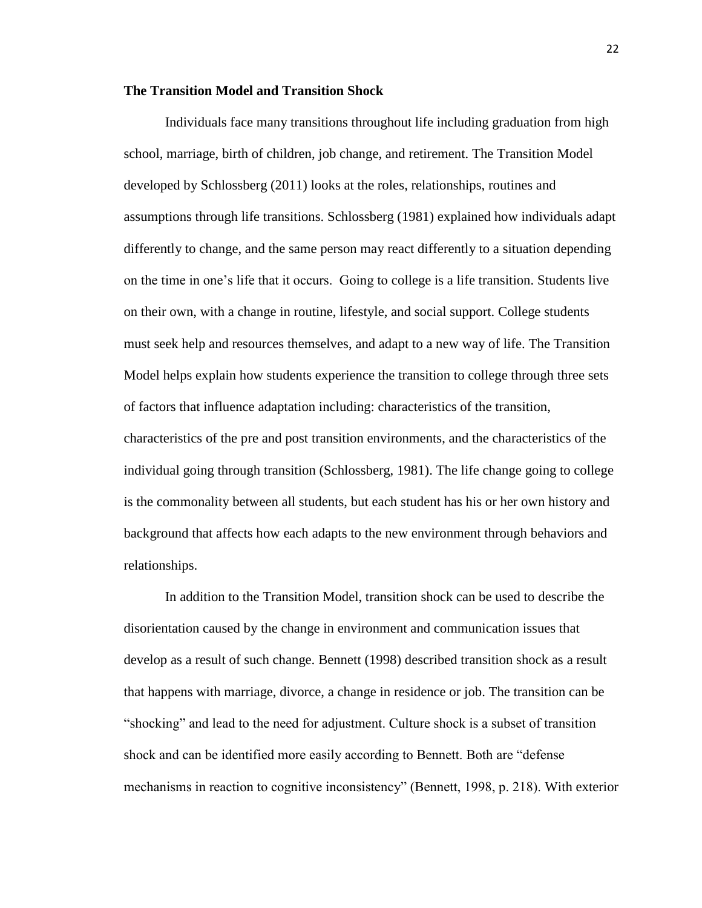#### **The Transition Model and Transition Shock**

Individuals face many transitions throughout life including graduation from high school, marriage, birth of children, job change, and retirement. The Transition Model developed by Schlossberg (2011) looks at the roles, relationships, routines and assumptions through life transitions. Schlossberg (1981) explained how individuals adapt differently to change, and the same person may react differently to a situation depending on the time in one's life that it occurs. Going to college is a life transition. Students live on their own, with a change in routine, lifestyle, and social support. College students must seek help and resources themselves, and adapt to a new way of life. The Transition Model helps explain how students experience the transition to college through three sets of factors that influence adaptation including: characteristics of the transition, characteristics of the pre and post transition environments, and the characteristics of the individual going through transition (Schlossberg, 1981). The life change going to college is the commonality between all students, but each student has his or her own history and background that affects how each adapts to the new environment through behaviors and relationships.

In addition to the Transition Model, transition shock can be used to describe the disorientation caused by the change in environment and communication issues that develop as a result of such change. Bennett (1998) described transition shock as a result that happens with marriage, divorce, a change in residence or job. The transition can be "shocking" and lead to the need for adjustment. Culture shock is a subset of transition shock and can be identified more easily according to Bennett. Both are "defense mechanisms in reaction to cognitive inconsistency" (Bennett, 1998, p. 218). With exterior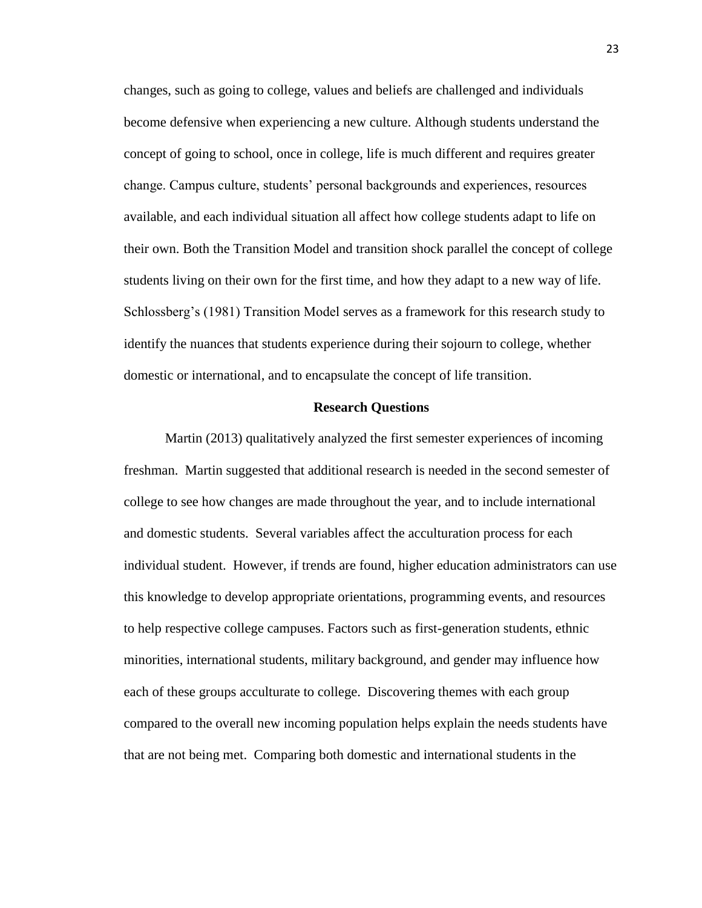changes, such as going to college, values and beliefs are challenged and individuals become defensive when experiencing a new culture. Although students understand the concept of going to school, once in college, life is much different and requires greater change. Campus culture, students' personal backgrounds and experiences, resources available, and each individual situation all affect how college students adapt to life on their own. Both the Transition Model and transition shock parallel the concept of college students living on their own for the first time, and how they adapt to a new way of life. Schlossberg's (1981) Transition Model serves as a framework for this research study to identify the nuances that students experience during their sojourn to college, whether domestic or international, and to encapsulate the concept of life transition.

#### **Research Questions**

Martin (2013) qualitatively analyzed the first semester experiences of incoming freshman. Martin suggested that additional research is needed in the second semester of college to see how changes are made throughout the year, and to include international and domestic students. Several variables affect the acculturation process for each individual student. However, if trends are found, higher education administrators can use this knowledge to develop appropriate orientations, programming events, and resources to help respective college campuses. Factors such as first-generation students, ethnic minorities, international students, military background, and gender may influence how each of these groups acculturate to college. Discovering themes with each group compared to the overall new incoming population helps explain the needs students have that are not being met. Comparing both domestic and international students in the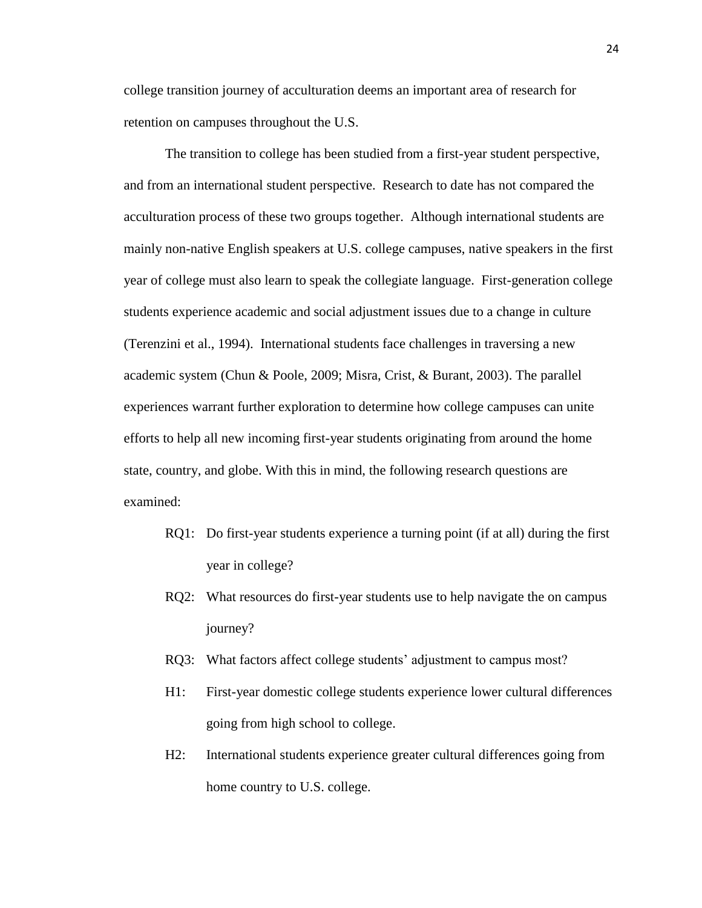college transition journey of acculturation deems an important area of research for retention on campuses throughout the U.S.

The transition to college has been studied from a first-year student perspective, and from an international student perspective. Research to date has not compared the acculturation process of these two groups together. Although international students are mainly non-native English speakers at U.S. college campuses, native speakers in the first year of college must also learn to speak the collegiate language. First-generation college students experience academic and social adjustment issues due to a change in culture (Terenzini et al., 1994). International students face challenges in traversing a new academic system (Chun & Poole, 2009; Misra, Crist, & Burant, 2003). The parallel experiences warrant further exploration to determine how college campuses can unite efforts to help all new incoming first-year students originating from around the home state, country, and globe. With this in mind, the following research questions are examined:

- RQ1: Do first-year students experience a turning point (if at all) during the first year in college?
- RQ2: What resources do first-year students use to help navigate the on campus journey?
- RQ3: What factors affect college students' adjustment to campus most?
- H1: First-year domestic college students experience lower cultural differences going from high school to college.
- H2: International students experience greater cultural differences going from home country to U.S. college.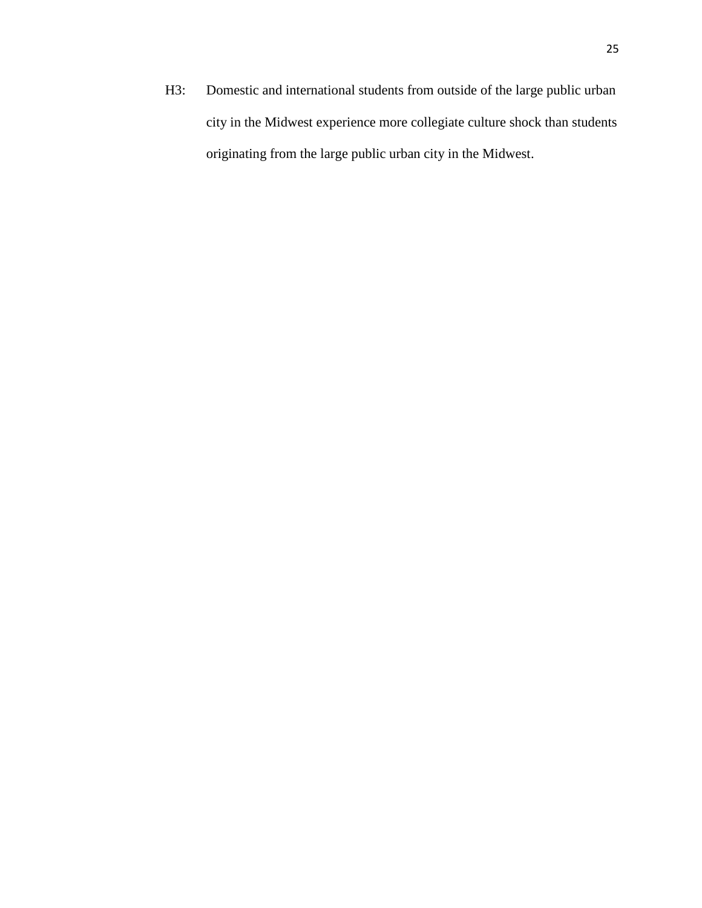H3: Domestic and international students from outside of the large public urban city in the Midwest experience more collegiate culture shock than students originating from the large public urban city in the Midwest.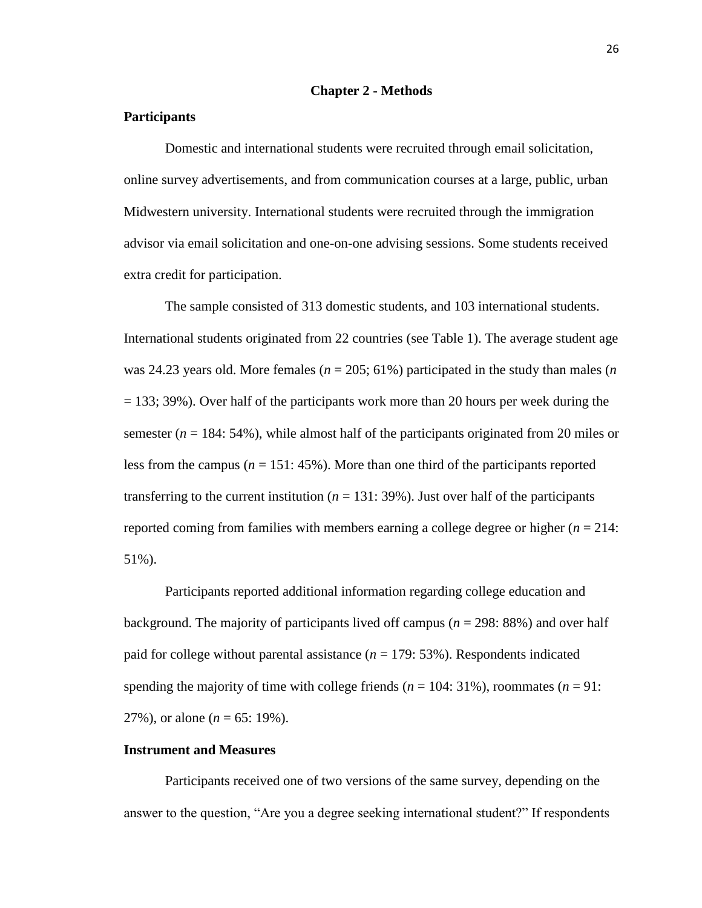#### **Chapter 2 - Methods**

#### **Participants**

Domestic and international students were recruited through email solicitation, online survey advertisements, and from communication courses at a large, public, urban Midwestern university. International students were recruited through the immigration advisor via email solicitation and one-on-one advising sessions. Some students received extra credit for participation.

The sample consisted of 313 domestic students, and 103 international students. International students originated from 22 countries (see Table 1). The average student age was 24.23 years old. More females ( $n = 205$ ; 61%) participated in the study than males (*n* = 133; 39%). Over half of the participants work more than 20 hours per week during the semester  $(n = 184: 54\%)$ , while almost half of the participants originated from 20 miles or less from the campus  $(n = 151: 45\%)$ . More than one third of the participants reported transferring to the current institution  $(n = 131: 39\%)$ . Just over half of the participants reported coming from families with members earning a college degree or higher  $(n = 214$ : 51%).

Participants reported additional information regarding college education and background. The majority of participants lived off campus (*n* = 298: 88%) and over half paid for college without parental assistance  $(n = 179: 53\%)$ . Respondents indicated spending the majority of time with college friends  $(n = 104: 31\%)$ , roommates  $(n = 91: 100)$ 27%), or alone (*n* = 65: 19%).

#### **Instrument and Measures**

Participants received one of two versions of the same survey, depending on the answer to the question, "Are you a degree seeking international student?" If respondents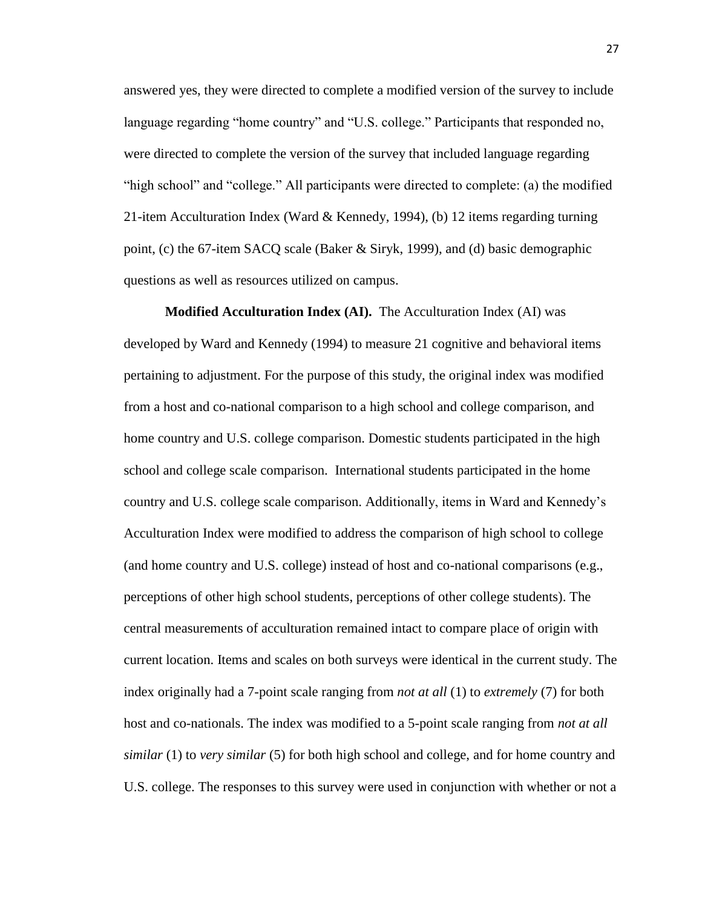answered yes, they were directed to complete a modified version of the survey to include language regarding "home country" and "U.S. college." Participants that responded no, were directed to complete the version of the survey that included language regarding "high school" and "college." All participants were directed to complete: (a) the modified 21-item Acculturation Index (Ward & Kennedy, 1994), (b) 12 items regarding turning point, (c) the 67-item SACQ scale (Baker & Siryk, 1999), and (d) basic demographic questions as well as resources utilized on campus.

**Modified Acculturation Index (AI).** The Acculturation Index (AI) was developed by Ward and Kennedy (1994) to measure 21 cognitive and behavioral items pertaining to adjustment. For the purpose of this study, the original index was modified from a host and co-national comparison to a high school and college comparison, and home country and U.S. college comparison. Domestic students participated in the high school and college scale comparison. International students participated in the home country and U.S. college scale comparison. Additionally, items in Ward and Kennedy's Acculturation Index were modified to address the comparison of high school to college (and home country and U.S. college) instead of host and co-national comparisons (e.g., perceptions of other high school students, perceptions of other college students). The central measurements of acculturation remained intact to compare place of origin with current location. Items and scales on both surveys were identical in the current study. The index originally had a 7-point scale ranging from *not at all* (1) to *extremely* (7) for both host and co-nationals. The index was modified to a 5-point scale ranging from *not at all similar* (1) to *very similar* (5) for both high school and college, and for home country and U.S. college. The responses to this survey were used in conjunction with whether or not a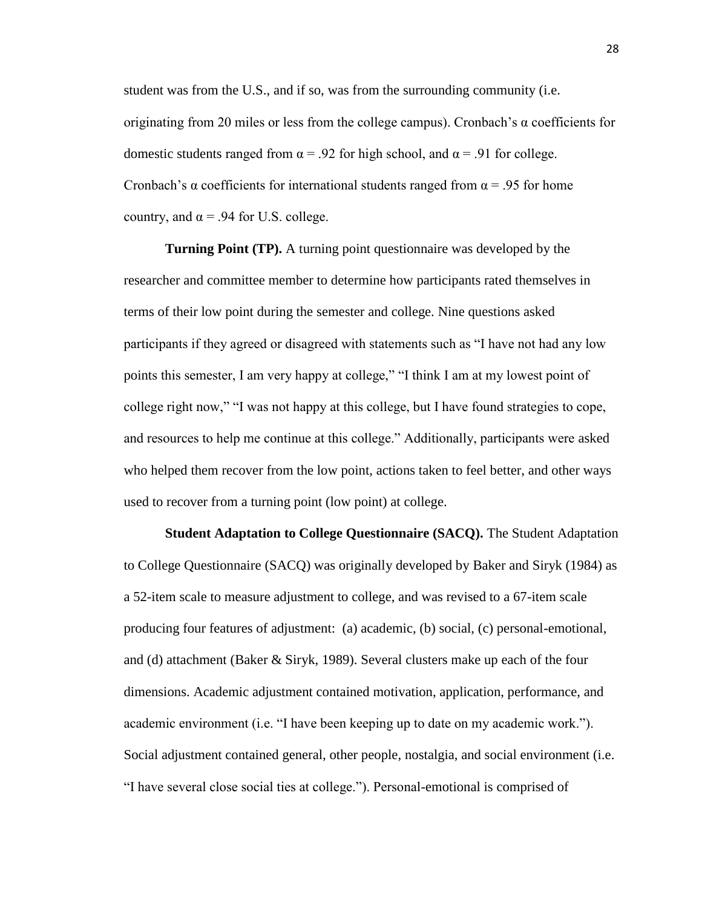student was from the U.S., and if so, was from the surrounding community (i.e. originating from 20 miles or less from the college campus). Cronbach's  $\alpha$  coefficients for domestic students ranged from  $\alpha$  = .92 for high school, and  $\alpha$  = .91 for college. Cronbach's α coefficients for international students ranged from  $\alpha$  = .95 for home country, and  $\alpha$  = .94 for U.S. college.

**Turning Point (TP).** A turning point questionnaire was developed by the researcher and committee member to determine how participants rated themselves in terms of their low point during the semester and college. Nine questions asked participants if they agreed or disagreed with statements such as "I have not had any low points this semester, I am very happy at college," "I think I am at my lowest point of college right now," "I was not happy at this college, but I have found strategies to cope, and resources to help me continue at this college." Additionally, participants were asked who helped them recover from the low point, actions taken to feel better, and other ways used to recover from a turning point (low point) at college.

**Student Adaptation to College Questionnaire (SACQ).** The Student Adaptation to College Questionnaire (SACQ) was originally developed by Baker and Siryk (1984) as a 52-item scale to measure adjustment to college, and was revised to a 67-item scale producing four features of adjustment: (a) academic, (b) social, (c) personal-emotional, and (d) attachment (Baker & Siryk, 1989). Several clusters make up each of the four dimensions. Academic adjustment contained motivation, application, performance, and academic environment (i.e. "I have been keeping up to date on my academic work."). Social adjustment contained general, other people, nostalgia, and social environment (i.e. "I have several close social ties at college."). Personal-emotional is comprised of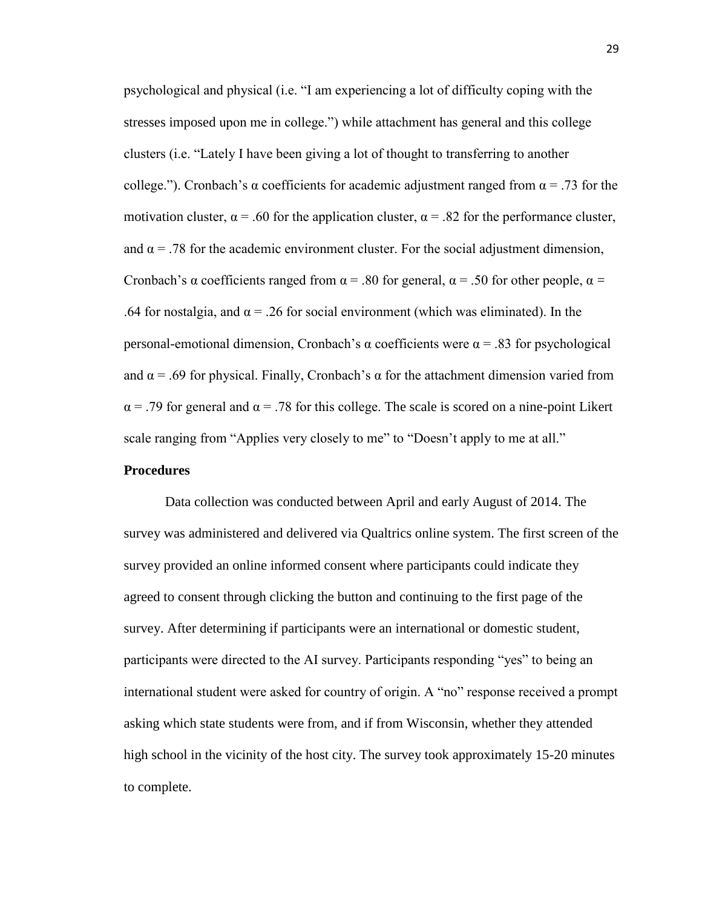psychological and physical (i.e. "I am experiencing a lot of difficulty coping with the stresses imposed upon me in college.") while attachment has general and this college clusters (i.e. "Lately I have been giving a lot of thought to transferring to another college."). Cronbach's  $\alpha$  coefficients for academic adjustment ranged from  $\alpha = .73$  for the motivation cluster,  $\alpha$  = .60 for the application cluster,  $\alpha$  = .82 for the performance cluster, and  $\alpha$  = .78 for the academic environment cluster. For the social adjustment dimension, Cronbach's α coefficients ranged from  $\alpha$  = .80 for general,  $\alpha$  = .50 for other people,  $\alpha$  = .64 for nostalgia, and  $\alpha$  = .26 for social environment (which was eliminated). In the personal-emotional dimension, Cronbach's α coefficients were α = .83 for psychological and  $\alpha$  = .69 for physical. Finally, Cronbach's  $\alpha$  for the attachment dimension varied from  $\alpha$  = .79 for general and  $\alpha$  = .78 for this college. The scale is scored on a nine-point Likert scale ranging from "Applies very closely to me" to "Doesn't apply to me at all."

## **Procedures**

Data collection was conducted between April and early August of 2014. The survey was administered and delivered via Qualtrics online system. The first screen of the survey provided an online informed consent where participants could indicate they agreed to consent through clicking the button and continuing to the first page of the survey. After determining if participants were an international or domestic student, participants were directed to the AI survey. Participants responding "yes" to being an international student were asked for country of origin. A "no" response received a prompt asking which state students were from, and if from Wisconsin, whether they attended high school in the vicinity of the host city. The survey took approximately 15-20 minutes to complete.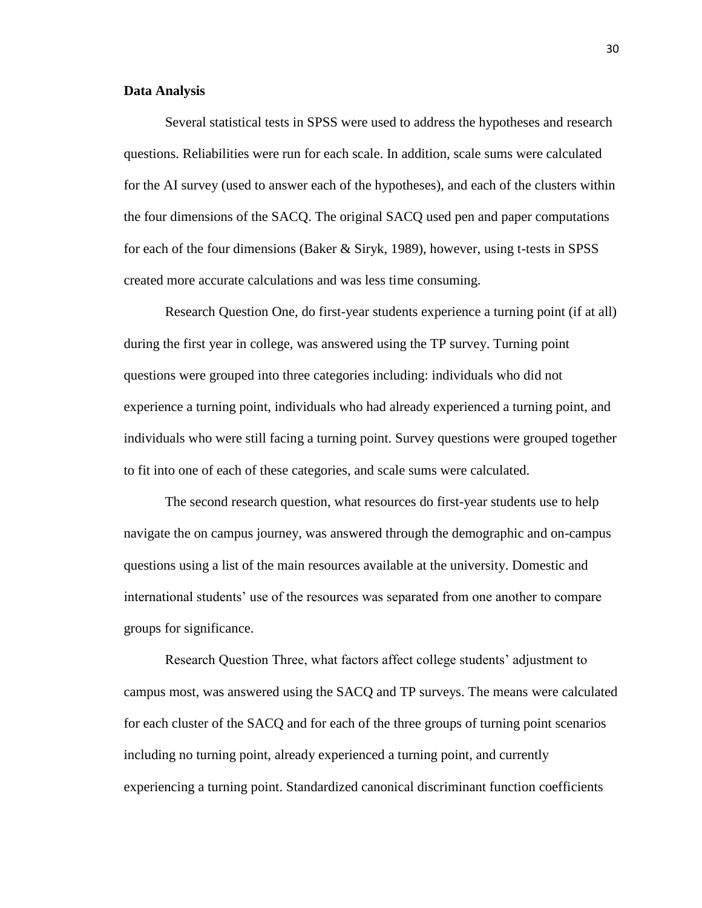#### **Data Analysis**

Several statistical tests in SPSS were used to address the hypotheses and research questions. Reliabilities were run for each scale. In addition, scale sums were calculated for the AI survey (used to answer each of the hypotheses), and each of the clusters within the four dimensions of the SACQ. The original SACQ used pen and paper computations for each of the four dimensions (Baker & Siryk, 1989), however, using t-tests in SPSS created more accurate calculations and was less time consuming.

Research Question One, do first-year students experience a turning point (if at all) during the first year in college, was answered using the TP survey. Turning point questions were grouped into three categories including: individuals who did not experience a turning point, individuals who had already experienced a turning point, and individuals who were still facing a turning point. Survey questions were grouped together to fit into one of each of these categories, and scale sums were calculated.

The second research question, what resources do first-year students use to help navigate the on campus journey, was answered through the demographic and on-campus questions using a list of the main resources available at the university. Domestic and international students' use of the resources was separated from one another to compare groups for significance.

Research Question Three, what factors affect college students' adjustment to campus most, was answered using the SACQ and TP surveys. The means were calculated for each cluster of the SACQ and for each of the three groups of turning point scenarios including no turning point, already experienced a turning point, and currently experiencing a turning point. Standardized canonical discriminant function coefficients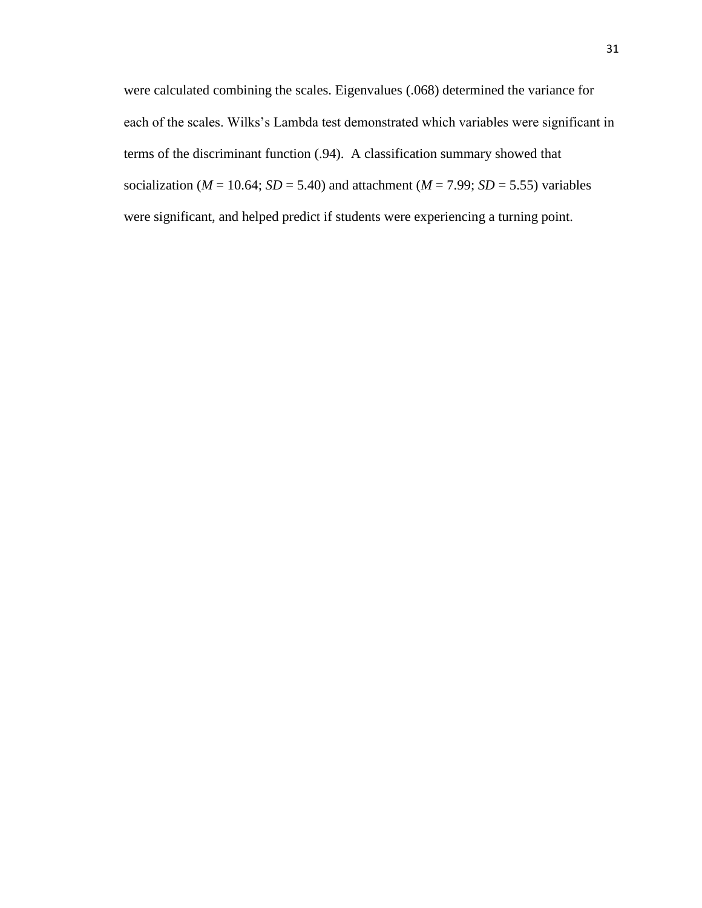were calculated combining the scales. Eigenvalues (.068) determined the variance for each of the scales. Wilks's Lambda test demonstrated which variables were significant in terms of the discriminant function (.94). A classification summary showed that socialization ( $M = 10.64$ ;  $SD = 5.40$ ) and attachment ( $M = 7.99$ ;  $SD = 5.55$ ) variables were significant, and helped predict if students were experiencing a turning point.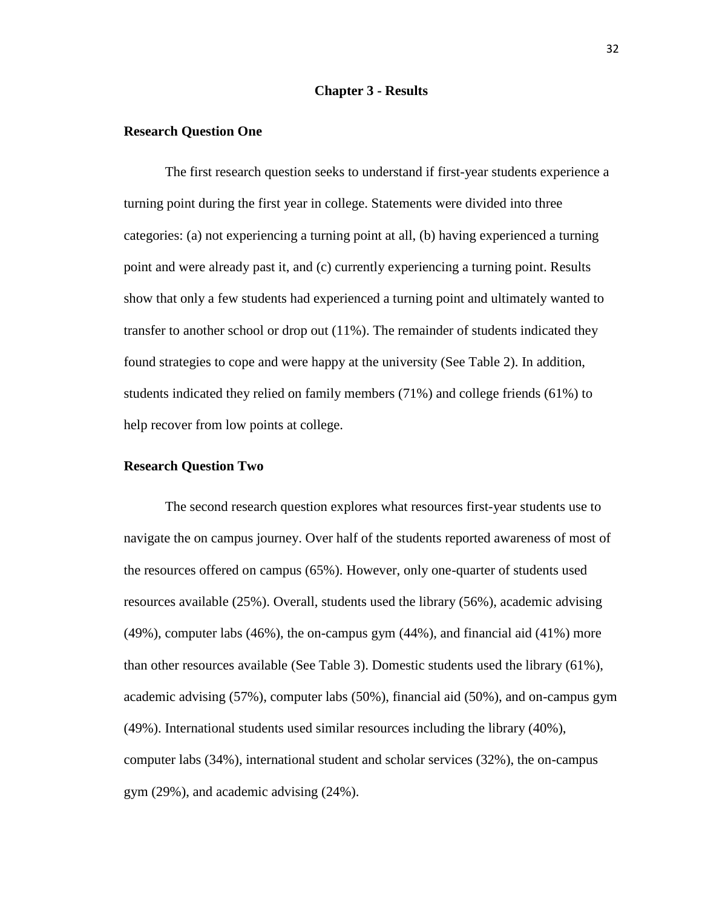### **Chapter 3 - Results**

### **Research Question One**

The first research question seeks to understand if first-year students experience a turning point during the first year in college. Statements were divided into three categories: (a) not experiencing a turning point at all, (b) having experienced a turning point and were already past it, and (c) currently experiencing a turning point. Results show that only a few students had experienced a turning point and ultimately wanted to transfer to another school or drop out (11%). The remainder of students indicated they found strategies to cope and were happy at the university (See Table 2). In addition, students indicated they relied on family members (71%) and college friends (61%) to help recover from low points at college.

## **Research Question Two**

The second research question explores what resources first-year students use to navigate the on campus journey. Over half of the students reported awareness of most of the resources offered on campus (65%). However, only one-quarter of students used resources available (25%). Overall, students used the library (56%), academic advising (49%), computer labs (46%), the on-campus gym (44%), and financial aid (41%) more than other resources available (See Table 3). Domestic students used the library (61%), academic advising (57%), computer labs (50%), financial aid (50%), and on-campus gym (49%). International students used similar resources including the library (40%), computer labs (34%), international student and scholar services (32%), the on-campus gym (29%), and academic advising (24%).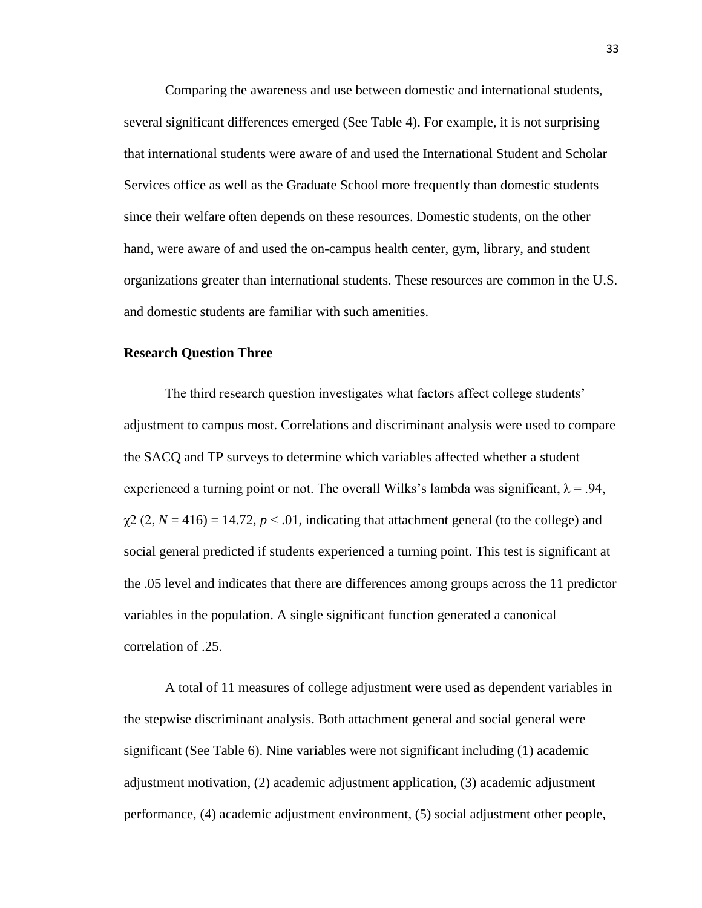Comparing the awareness and use between domestic and international students, several significant differences emerged (See Table 4). For example, it is not surprising that international students were aware of and used the International Student and Scholar Services office as well as the Graduate School more frequently than domestic students since their welfare often depends on these resources. Domestic students, on the other hand, were aware of and used the on-campus health center, gym, library, and student organizations greater than international students. These resources are common in the U.S. and domestic students are familiar with such amenities.

## **Research Question Three**

The third research question investigates what factors affect college students' adjustment to campus most. Correlations and discriminant analysis were used to compare the SACQ and TP surveys to determine which variables affected whether a student experienced a turning point or not. The overall Wilks's lambda was significant,  $\lambda = .94$ ,  $\chi^2$  (2, *N* = 416) = 14.72, *p* < .01, indicating that attachment general (to the college) and social general predicted if students experienced a turning point. This test is significant at the .05 level and indicates that there are differences among groups across the 11 predictor variables in the population. A single significant function generated a canonical correlation of .25.

A total of 11 measures of college adjustment were used as dependent variables in the stepwise discriminant analysis. Both attachment general and social general were significant (See Table 6). Nine variables were not significant including (1) academic adjustment motivation, (2) academic adjustment application, (3) academic adjustment performance, (4) academic adjustment environment, (5) social adjustment other people,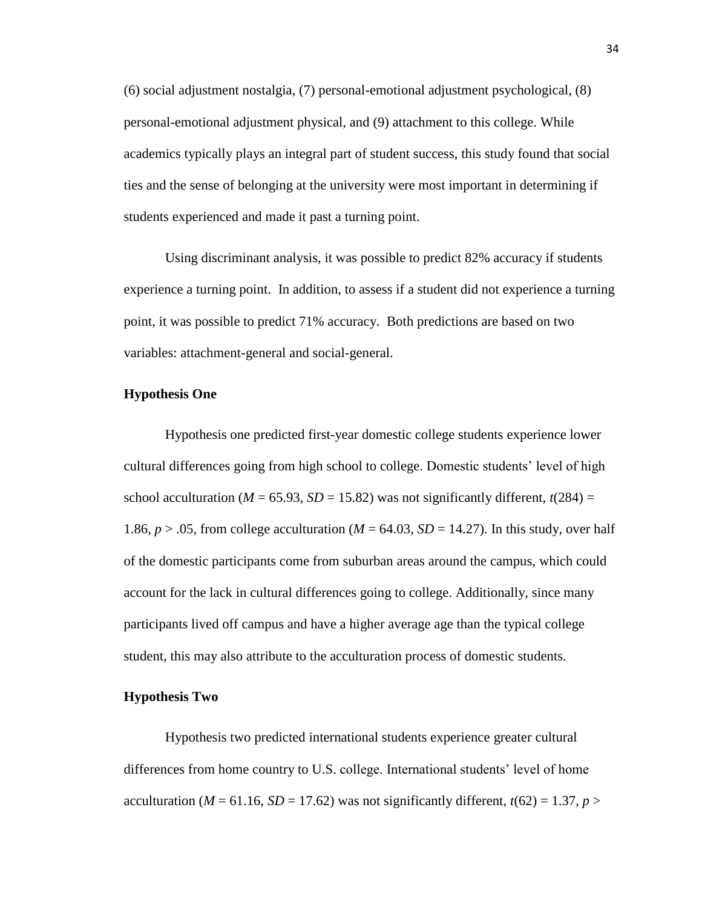(6) social adjustment nostalgia, (7) personal-emotional adjustment psychological, (8) personal-emotional adjustment physical, and (9) attachment to this college. While academics typically plays an integral part of student success, this study found that social ties and the sense of belonging at the university were most important in determining if students experienced and made it past a turning point.

Using discriminant analysis, it was possible to predict 82% accuracy if students experience a turning point. In addition, to assess if a student did not experience a turning point, it was possible to predict 71% accuracy. Both predictions are based on two variables: attachment-general and social-general.

### **Hypothesis One**

Hypothesis one predicted first-year domestic college students experience lower cultural differences going from high school to college. Domestic students' level of high school acculturation ( $M = 65.93$ ,  $SD = 15.82$ ) was not significantly different,  $t(284) =$ 1.86,  $p > 0.05$ , from college acculturation ( $M = 64.03$ ,  $SD = 14.27$ ). In this study, over half of the domestic participants come from suburban areas around the campus, which could account for the lack in cultural differences going to college. Additionally, since many participants lived off campus and have a higher average age than the typical college student, this may also attribute to the acculturation process of domestic students.

## **Hypothesis Two**

Hypothesis two predicted international students experience greater cultural differences from home country to U.S. college. International students' level of home acculturation ( $M = 61.16$ ,  $SD = 17.62$ ) was not significantly different,  $t(62) = 1.37$ ,  $p >$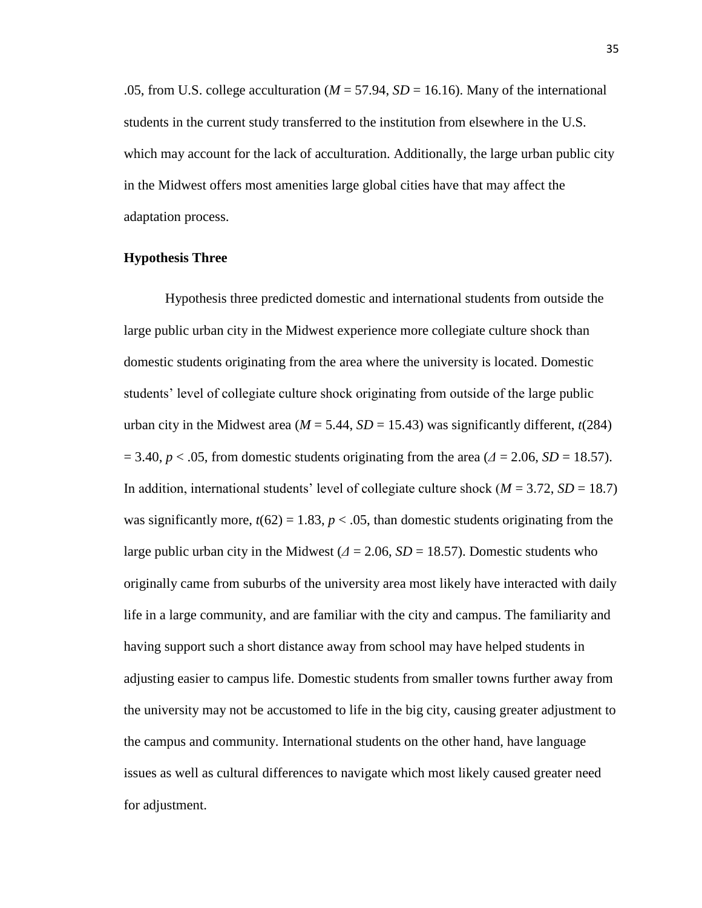.05, from U.S. college acculturation ( $M = 57.94$ ,  $SD = 16.16$ ). Many of the international students in the current study transferred to the institution from elsewhere in the U.S. which may account for the lack of acculturation. Additionally, the large urban public city in the Midwest offers most amenities large global cities have that may affect the adaptation process.

## **Hypothesis Three**

Hypothesis three predicted domestic and international students from outside the large public urban city in the Midwest experience more collegiate culture shock than domestic students originating from the area where the university is located. Domestic students' level of collegiate culture shock originating from outside of the large public urban city in the Midwest area ( $M = 5.44$ ,  $SD = 15.43$ ) was significantly different,  $t(284)$  $= 3.40, p < .05$ , from domestic students originating from the area ( $\Delta = 2.06$ ,  $SD = 18.57$ ). In addition, international students' level of collegiate culture shock ( $M = 3.72$ ,  $SD = 18.7$ ) was significantly more,  $t(62) = 1.83$ ,  $p < .05$ , than domestic students originating from the large public urban city in the Midwest  $(\Delta = 2.06, SD = 18.57)$ . Domestic students who originally came from suburbs of the university area most likely have interacted with daily life in a large community, and are familiar with the city and campus. The familiarity and having support such a short distance away from school may have helped students in adjusting easier to campus life. Domestic students from smaller towns further away from the university may not be accustomed to life in the big city, causing greater adjustment to the campus and community. International students on the other hand, have language issues as well as cultural differences to navigate which most likely caused greater need for adjustment.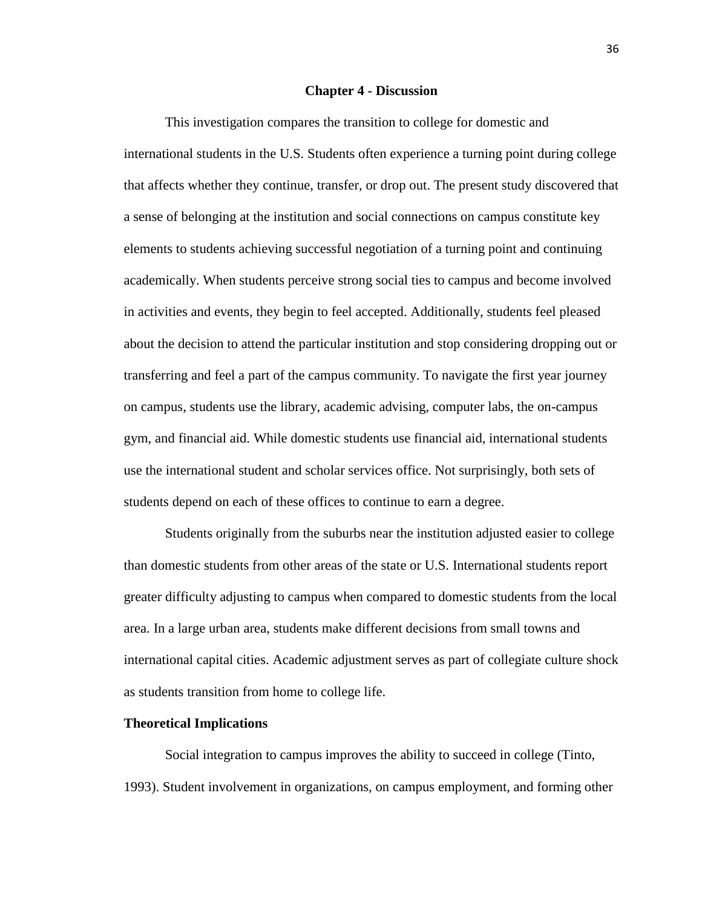#### **Chapter 4 - Discussion**

This investigation compares the transition to college for domestic and international students in the U.S. Students often experience a turning point during college that affects whether they continue, transfer, or drop out. The present study discovered that a sense of belonging at the institution and social connections on campus constitute key elements to students achieving successful negotiation of a turning point and continuing academically. When students perceive strong social ties to campus and become involved in activities and events, they begin to feel accepted. Additionally, students feel pleased about the decision to attend the particular institution and stop considering dropping out or transferring and feel a part of the campus community. To navigate the first year journey on campus, students use the library, academic advising, computer labs, the on-campus gym, and financial aid. While domestic students use financial aid, international students use the international student and scholar services office. Not surprisingly, both sets of students depend on each of these offices to continue to earn a degree.

Students originally from the suburbs near the institution adjusted easier to college than domestic students from other areas of the state or U.S. International students report greater difficulty adjusting to campus when compared to domestic students from the local area. In a large urban area, students make different decisions from small towns and international capital cities. Academic adjustment serves as part of collegiate culture shock as students transition from home to college life.

#### **Theoretical Implications**

Social integration to campus improves the ability to succeed in college (Tinto, 1993). Student involvement in organizations, on campus employment, and forming other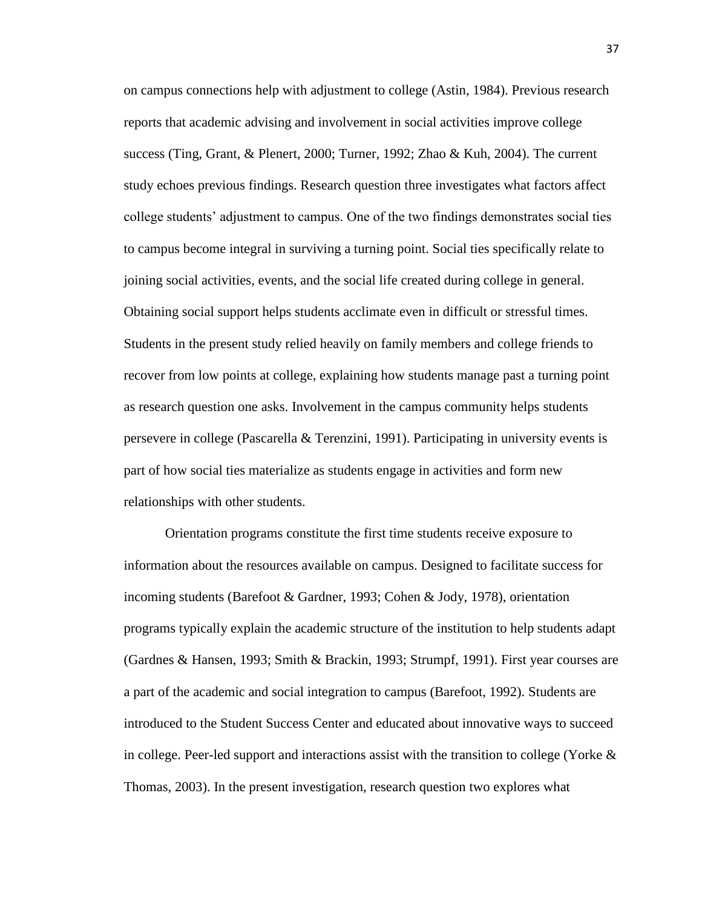on campus connections help with adjustment to college (Astin, 1984). Previous research reports that academic advising and involvement in social activities improve college success (Ting, Grant, & Plenert, 2000; Turner, 1992; Zhao & Kuh, 2004). The current study echoes previous findings. Research question three investigates what factors affect college students' adjustment to campus. One of the two findings demonstrates social ties to campus become integral in surviving a turning point. Social ties specifically relate to joining social activities, events, and the social life created during college in general. Obtaining social support helps students acclimate even in difficult or stressful times. Students in the present study relied heavily on family members and college friends to recover from low points at college, explaining how students manage past a turning point as research question one asks. Involvement in the campus community helps students persevere in college (Pascarella & Terenzini, 1991). Participating in university events is part of how social ties materialize as students engage in activities and form new relationships with other students.

Orientation programs constitute the first time students receive exposure to information about the resources available on campus. Designed to facilitate success for incoming students (Barefoot & Gardner, 1993; Cohen & Jody, 1978), orientation programs typically explain the academic structure of the institution to help students adapt (Gardnes & Hansen, 1993; Smith & Brackin, 1993; Strumpf, 1991). First year courses are a part of the academic and social integration to campus (Barefoot, 1992). Students are introduced to the Student Success Center and educated about innovative ways to succeed in college. Peer-led support and interactions assist with the transition to college (Yorke  $\&$ Thomas, 2003). In the present investigation, research question two explores what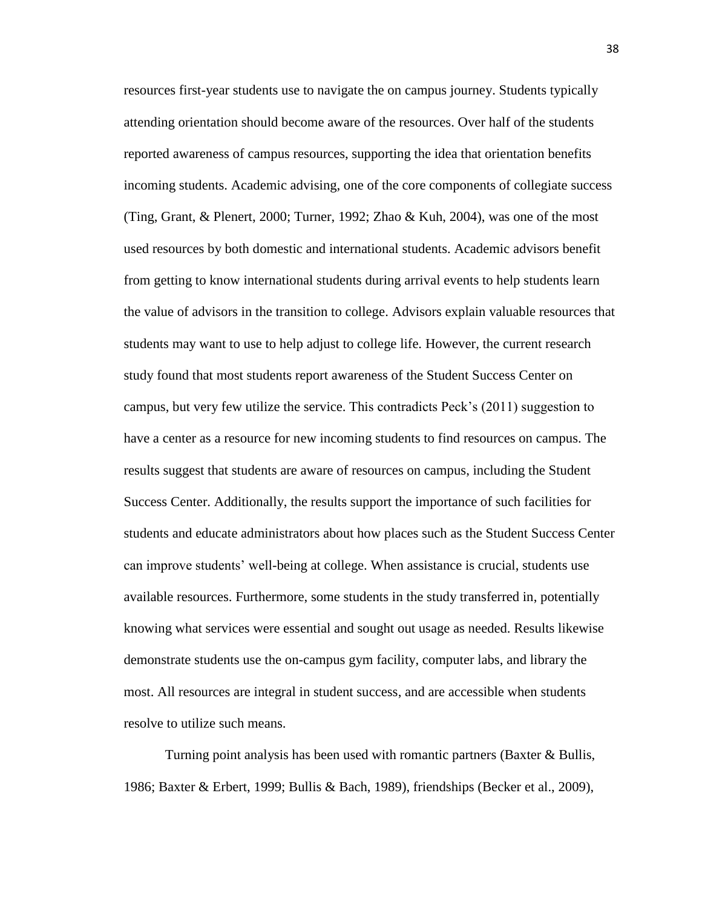resources first-year students use to navigate the on campus journey. Students typically attending orientation should become aware of the resources. Over half of the students reported awareness of campus resources, supporting the idea that orientation benefits incoming students. Academic advising, one of the core components of collegiate success (Ting, Grant, & Plenert, 2000; Turner, 1992; Zhao & Kuh, 2004), was one of the most used resources by both domestic and international students. Academic advisors benefit from getting to know international students during arrival events to help students learn the value of advisors in the transition to college. Advisors explain valuable resources that students may want to use to help adjust to college life. However, the current research study found that most students report awareness of the Student Success Center on campus, but very few utilize the service. This contradicts Peck's (2011) suggestion to have a center as a resource for new incoming students to find resources on campus. The results suggest that students are aware of resources on campus, including the Student Success Center. Additionally, the results support the importance of such facilities for students and educate administrators about how places such as the Student Success Center can improve students' well-being at college. When assistance is crucial, students use available resources. Furthermore, some students in the study transferred in, potentially knowing what services were essential and sought out usage as needed. Results likewise demonstrate students use the on-campus gym facility, computer labs, and library the most. All resources are integral in student success, and are accessible when students resolve to utilize such means.

Turning point analysis has been used with romantic partners (Baxter & Bullis, 1986; Baxter & Erbert, 1999; Bullis & Bach, 1989), friendships (Becker et al., 2009),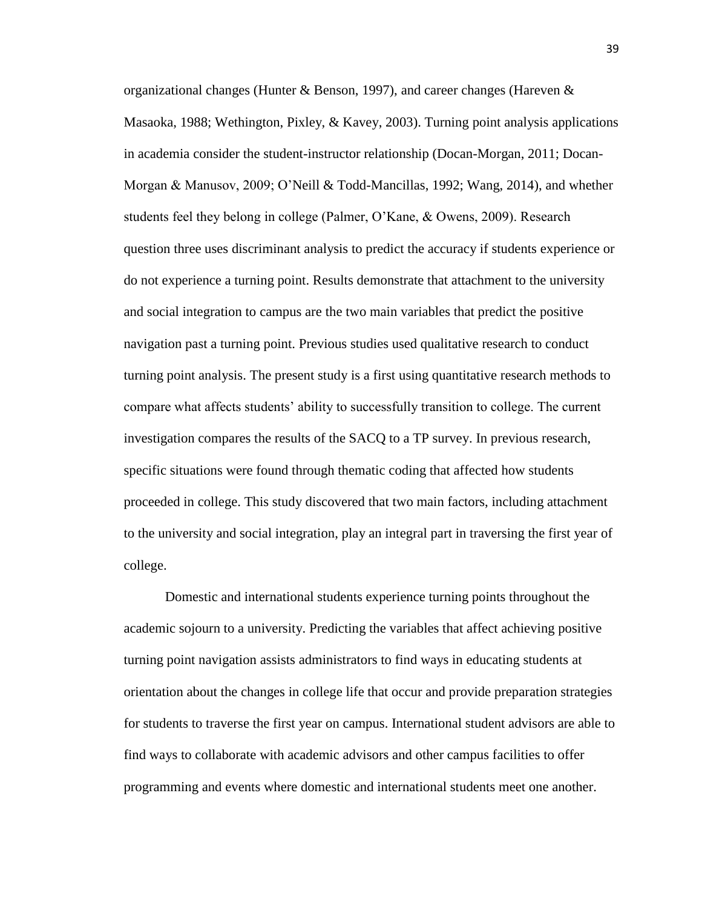organizational changes (Hunter & Benson, 1997), and career changes (Hareven  $\&$ Masaoka, 1988; Wethington, Pixley, & Kavey, 2003). Turning point analysis applications in academia consider the student-instructor relationship (Docan-Morgan, 2011; Docan-Morgan & Manusov, 2009; O'Neill & Todd-Mancillas, 1992; Wang, 2014), and whether students feel they belong in college (Palmer, O'Kane, & Owens, 2009). Research question three uses discriminant analysis to predict the accuracy if students experience or do not experience a turning point. Results demonstrate that attachment to the university and social integration to campus are the two main variables that predict the positive navigation past a turning point. Previous studies used qualitative research to conduct turning point analysis. The present study is a first using quantitative research methods to compare what affects students' ability to successfully transition to college. The current investigation compares the results of the SACQ to a TP survey. In previous research, specific situations were found through thematic coding that affected how students proceeded in college. This study discovered that two main factors, including attachment to the university and social integration, play an integral part in traversing the first year of college.

Domestic and international students experience turning points throughout the academic sojourn to a university. Predicting the variables that affect achieving positive turning point navigation assists administrators to find ways in educating students at orientation about the changes in college life that occur and provide preparation strategies for students to traverse the first year on campus. International student advisors are able to find ways to collaborate with academic advisors and other campus facilities to offer programming and events where domestic and international students meet one another.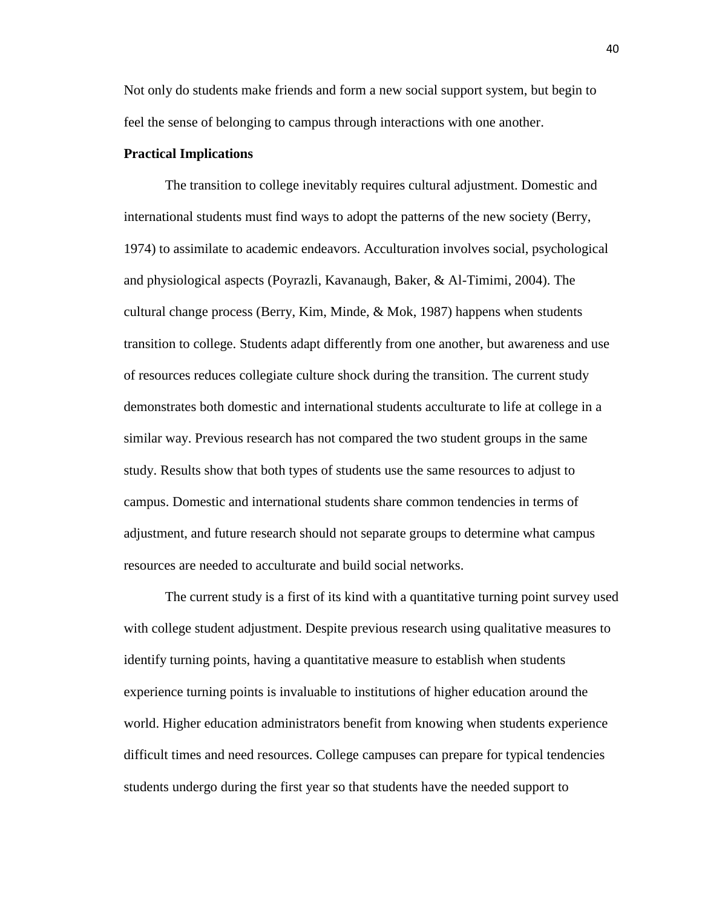Not only do students make friends and form a new social support system, but begin to feel the sense of belonging to campus through interactions with one another.

#### **Practical Implications**

The transition to college inevitably requires cultural adjustment. Domestic and international students must find ways to adopt the patterns of the new society (Berry, 1974) to assimilate to academic endeavors. Acculturation involves social, psychological and physiological aspects (Poyrazli, Kavanaugh, Baker, & Al-Timimi, 2004). The cultural change process (Berry, Kim, Minde, & Mok, 1987) happens when students transition to college. Students adapt differently from one another, but awareness and use of resources reduces collegiate culture shock during the transition. The current study demonstrates both domestic and international students acculturate to life at college in a similar way. Previous research has not compared the two student groups in the same study. Results show that both types of students use the same resources to adjust to campus. Domestic and international students share common tendencies in terms of adjustment, and future research should not separate groups to determine what campus resources are needed to acculturate and build social networks.

The current study is a first of its kind with a quantitative turning point survey used with college student adjustment. Despite previous research using qualitative measures to identify turning points, having a quantitative measure to establish when students experience turning points is invaluable to institutions of higher education around the world. Higher education administrators benefit from knowing when students experience difficult times and need resources. College campuses can prepare for typical tendencies students undergo during the first year so that students have the needed support to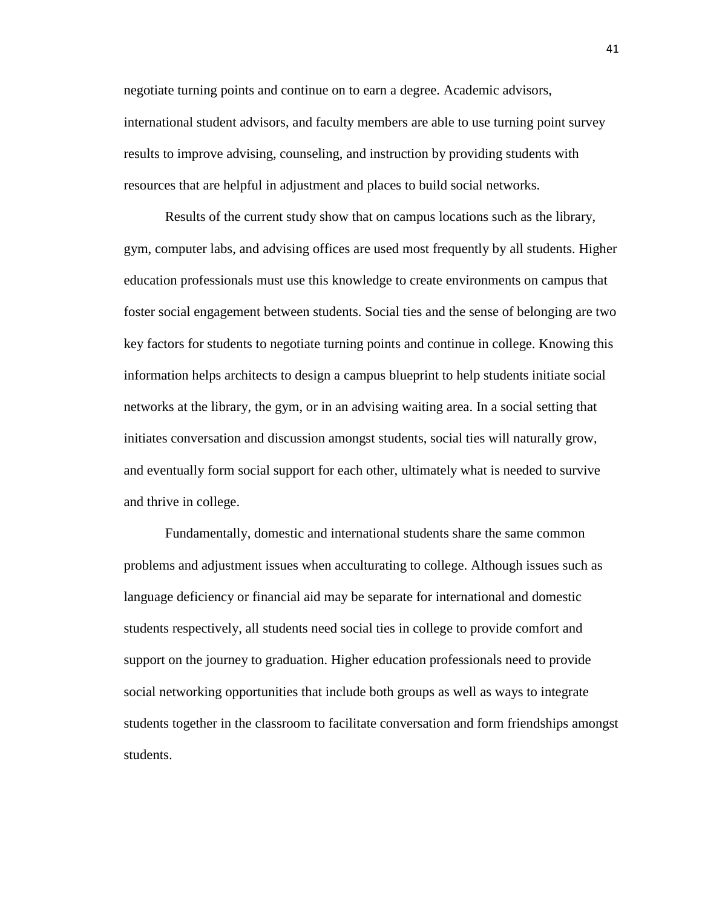negotiate turning points and continue on to earn a degree. Academic advisors, international student advisors, and faculty members are able to use turning point survey results to improve advising, counseling, and instruction by providing students with resources that are helpful in adjustment and places to build social networks.

Results of the current study show that on campus locations such as the library, gym, computer labs, and advising offices are used most frequently by all students. Higher education professionals must use this knowledge to create environments on campus that foster social engagement between students. Social ties and the sense of belonging are two key factors for students to negotiate turning points and continue in college. Knowing this information helps architects to design a campus blueprint to help students initiate social networks at the library, the gym, or in an advising waiting area. In a social setting that initiates conversation and discussion amongst students, social ties will naturally grow, and eventually form social support for each other, ultimately what is needed to survive and thrive in college.

Fundamentally, domestic and international students share the same common problems and adjustment issues when acculturating to college. Although issues such as language deficiency or financial aid may be separate for international and domestic students respectively, all students need social ties in college to provide comfort and support on the journey to graduation. Higher education professionals need to provide social networking opportunities that include both groups as well as ways to integrate students together in the classroom to facilitate conversation and form friendships amongst students.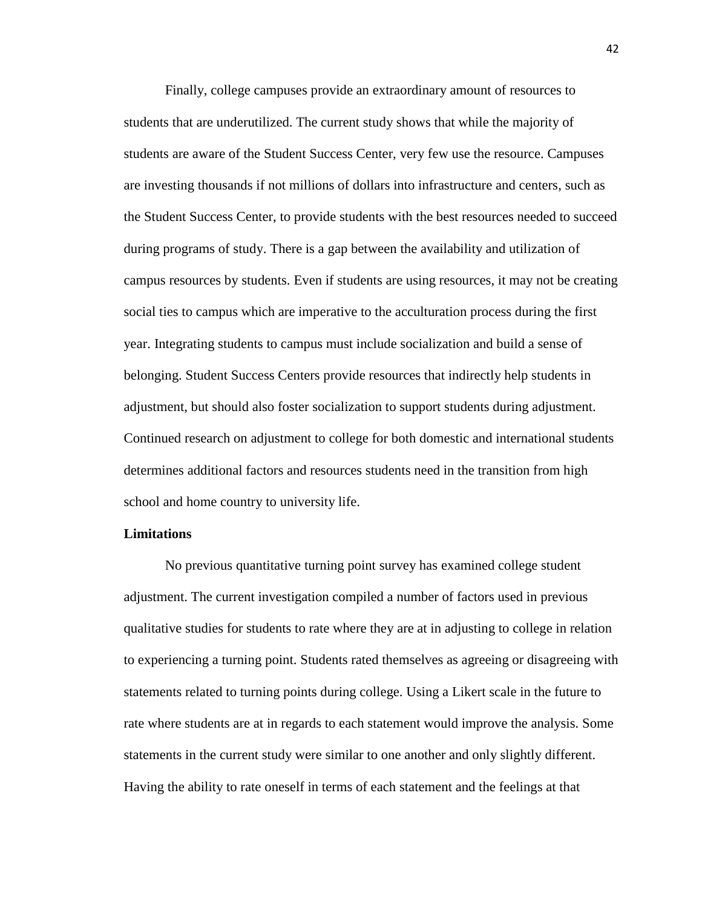Finally, college campuses provide an extraordinary amount of resources to students that are underutilized. The current study shows that while the majority of students are aware of the Student Success Center, very few use the resource. Campuses are investing thousands if not millions of dollars into infrastructure and centers, such as the Student Success Center, to provide students with the best resources needed to succeed during programs of study. There is a gap between the availability and utilization of campus resources by students. Even if students are using resources, it may not be creating social ties to campus which are imperative to the acculturation process during the first year. Integrating students to campus must include socialization and build a sense of belonging. Student Success Centers provide resources that indirectly help students in adjustment, but should also foster socialization to support students during adjustment. Continued research on adjustment to college for both domestic and international students determines additional factors and resources students need in the transition from high school and home country to university life.

### **Limitations**

No previous quantitative turning point survey has examined college student adjustment. The current investigation compiled a number of factors used in previous qualitative studies for students to rate where they are at in adjusting to college in relation to experiencing a turning point. Students rated themselves as agreeing or disagreeing with statements related to turning points during college. Using a Likert scale in the future to rate where students are at in regards to each statement would improve the analysis. Some statements in the current study were similar to one another and only slightly different. Having the ability to rate oneself in terms of each statement and the feelings at that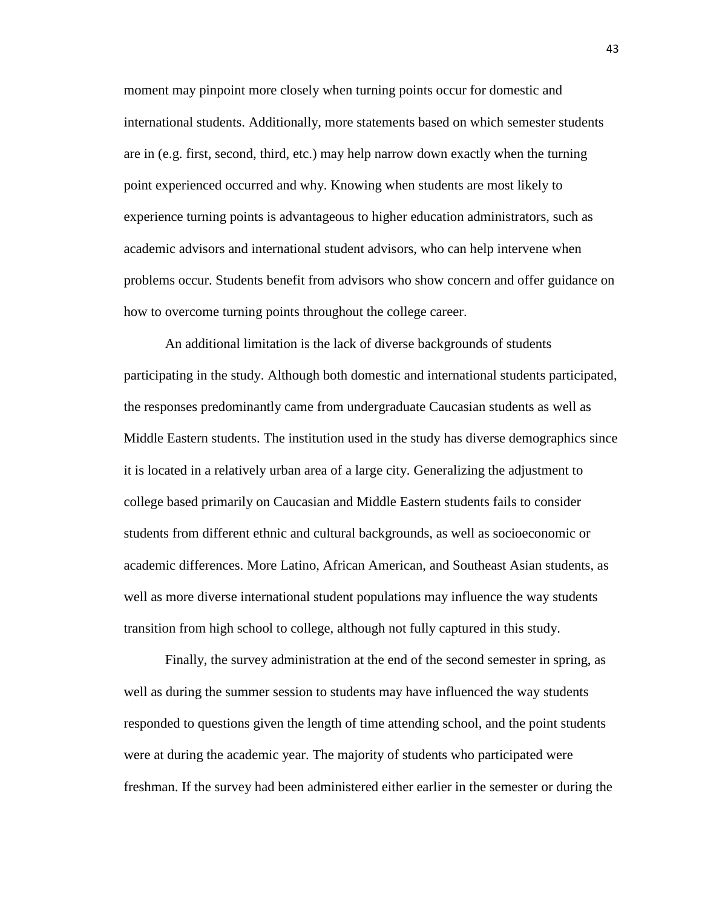moment may pinpoint more closely when turning points occur for domestic and international students. Additionally, more statements based on which semester students are in (e.g. first, second, third, etc.) may help narrow down exactly when the turning point experienced occurred and why. Knowing when students are most likely to experience turning points is advantageous to higher education administrators, such as academic advisors and international student advisors, who can help intervene when problems occur. Students benefit from advisors who show concern and offer guidance on how to overcome turning points throughout the college career.

An additional limitation is the lack of diverse backgrounds of students participating in the study. Although both domestic and international students participated, the responses predominantly came from undergraduate Caucasian students as well as Middle Eastern students. The institution used in the study has diverse demographics since it is located in a relatively urban area of a large city. Generalizing the adjustment to college based primarily on Caucasian and Middle Eastern students fails to consider students from different ethnic and cultural backgrounds, as well as socioeconomic or academic differences. More Latino, African American, and Southeast Asian students, as well as more diverse international student populations may influence the way students transition from high school to college, although not fully captured in this study.

Finally, the survey administration at the end of the second semester in spring, as well as during the summer session to students may have influenced the way students responded to questions given the length of time attending school, and the point students were at during the academic year. The majority of students who participated were freshman. If the survey had been administered either earlier in the semester or during the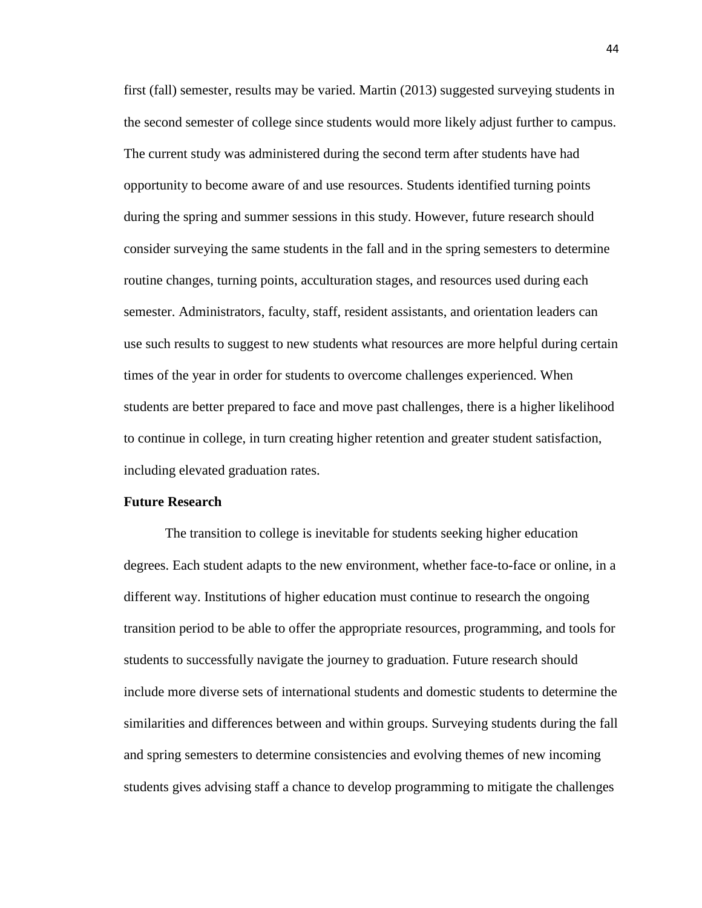first (fall) semester, results may be varied. Martin (2013) suggested surveying students in the second semester of college since students would more likely adjust further to campus. The current study was administered during the second term after students have had opportunity to become aware of and use resources. Students identified turning points during the spring and summer sessions in this study. However, future research should consider surveying the same students in the fall and in the spring semesters to determine routine changes, turning points, acculturation stages, and resources used during each semester. Administrators, faculty, staff, resident assistants, and orientation leaders can use such results to suggest to new students what resources are more helpful during certain times of the year in order for students to overcome challenges experienced. When students are better prepared to face and move past challenges, there is a higher likelihood to continue in college, in turn creating higher retention and greater student satisfaction, including elevated graduation rates.

#### **Future Research**

The transition to college is inevitable for students seeking higher education degrees. Each student adapts to the new environment, whether face-to-face or online, in a different way. Institutions of higher education must continue to research the ongoing transition period to be able to offer the appropriate resources, programming, and tools for students to successfully navigate the journey to graduation. Future research should include more diverse sets of international students and domestic students to determine the similarities and differences between and within groups. Surveying students during the fall and spring semesters to determine consistencies and evolving themes of new incoming students gives advising staff a chance to develop programming to mitigate the challenges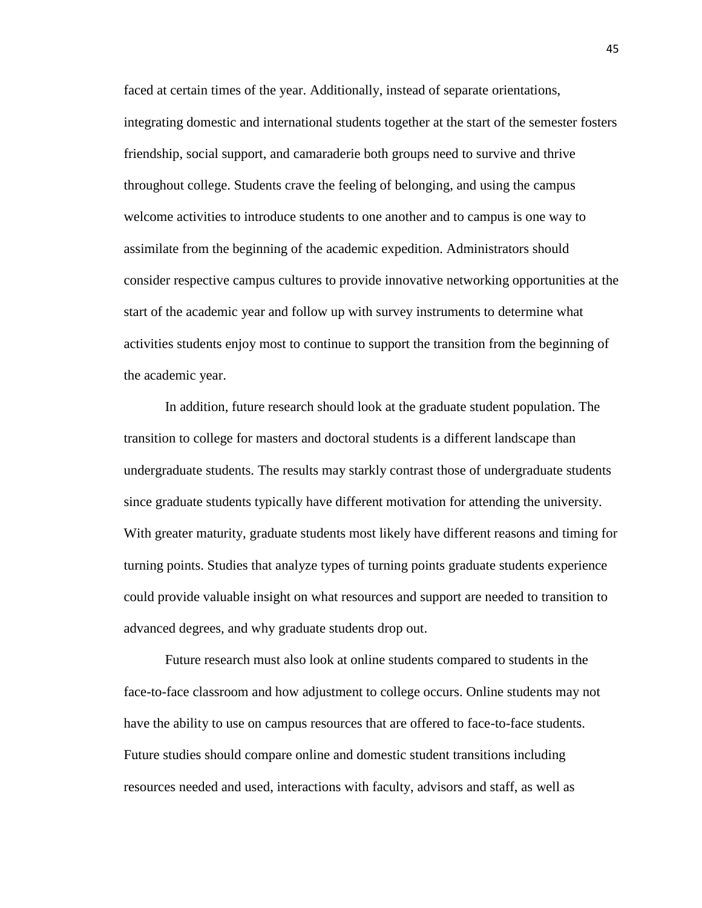faced at certain times of the year. Additionally, instead of separate orientations, integrating domestic and international students together at the start of the semester fosters friendship, social support, and camaraderie both groups need to survive and thrive throughout college. Students crave the feeling of belonging, and using the campus welcome activities to introduce students to one another and to campus is one way to assimilate from the beginning of the academic expedition. Administrators should consider respective campus cultures to provide innovative networking opportunities at the start of the academic year and follow up with survey instruments to determine what activities students enjoy most to continue to support the transition from the beginning of the academic year.

In addition, future research should look at the graduate student population. The transition to college for masters and doctoral students is a different landscape than undergraduate students. The results may starkly contrast those of undergraduate students since graduate students typically have different motivation for attending the university. With greater maturity, graduate students most likely have different reasons and timing for turning points. Studies that analyze types of turning points graduate students experience could provide valuable insight on what resources and support are needed to transition to advanced degrees, and why graduate students drop out.

Future research must also look at online students compared to students in the face-to-face classroom and how adjustment to college occurs. Online students may not have the ability to use on campus resources that are offered to face-to-face students. Future studies should compare online and domestic student transitions including resources needed and used, interactions with faculty, advisors and staff, as well as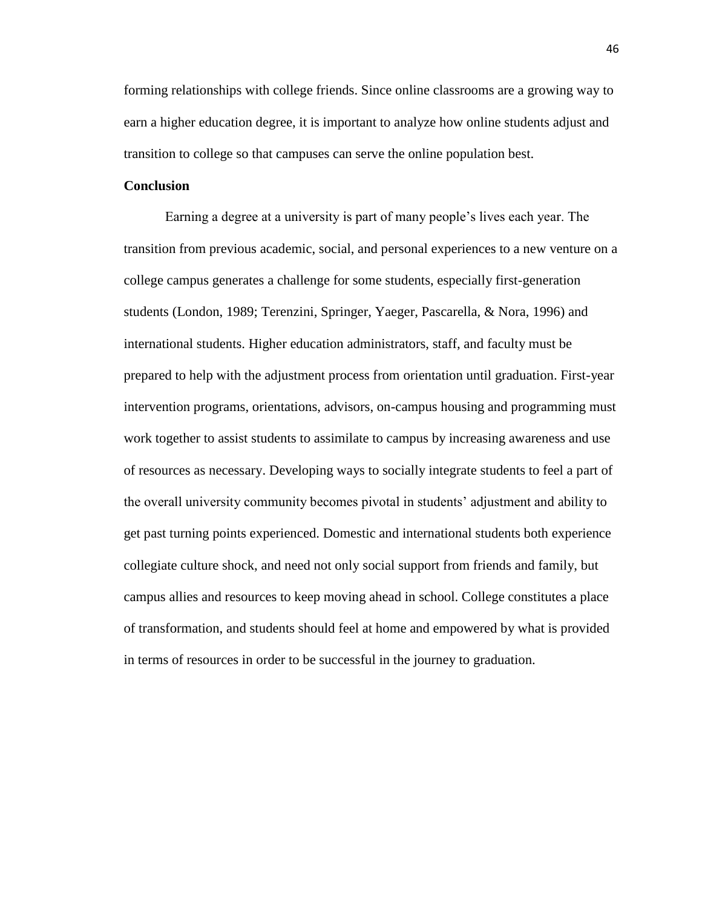forming relationships with college friends. Since online classrooms are a growing way to earn a higher education degree, it is important to analyze how online students adjust and transition to college so that campuses can serve the online population best.

# **Conclusion**

Earning a degree at a university is part of many people's lives each year. The transition from previous academic, social, and personal experiences to a new venture on a college campus generates a challenge for some students, especially first-generation students (London, 1989; Terenzini, Springer, Yaeger, Pascarella, & Nora, 1996) and international students. Higher education administrators, staff, and faculty must be prepared to help with the adjustment process from orientation until graduation. First-year intervention programs, orientations, advisors, on-campus housing and programming must work together to assist students to assimilate to campus by increasing awareness and use of resources as necessary. Developing ways to socially integrate students to feel a part of the overall university community becomes pivotal in students' adjustment and ability to get past turning points experienced. Domestic and international students both experience collegiate culture shock, and need not only social support from friends and family, but campus allies and resources to keep moving ahead in school. College constitutes a place of transformation, and students should feel at home and empowered by what is provided in terms of resources in order to be successful in the journey to graduation.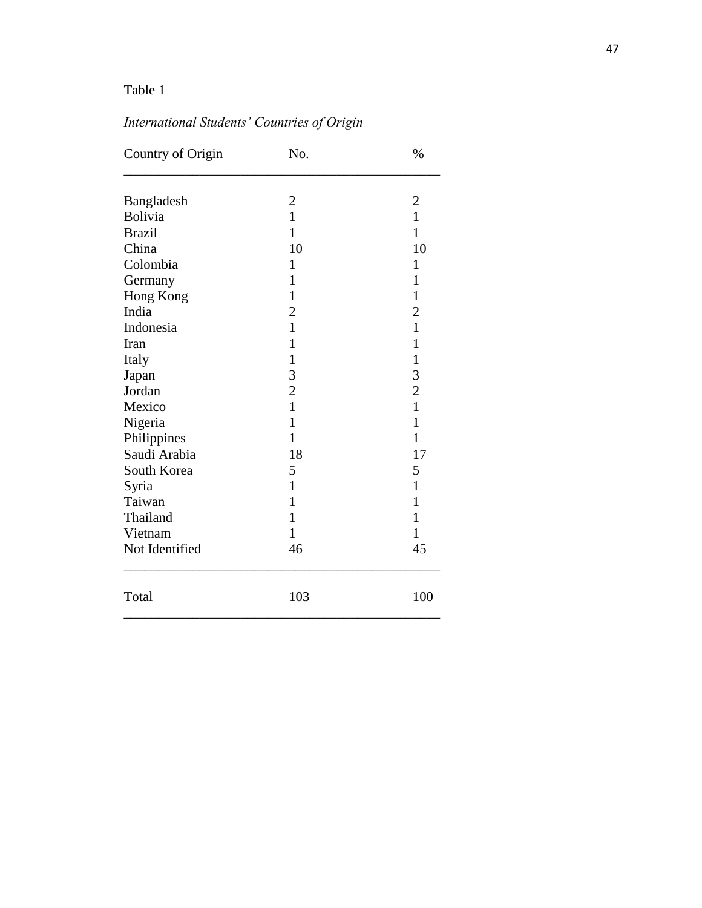# *International Students' Countries of Origin*

| Country of Origin | No.            | $\%$           |
|-------------------|----------------|----------------|
| Bangladesh        | $\overline{2}$ | $\overline{2}$ |
| Bolivia           | 1              | 1              |
| <b>Brazil</b>     | $\mathbf{1}$   | $\mathbf{1}$   |
| China             | 10             | 10             |
| Colombia          | $\mathbf{1}$   | $\mathbf{1}$   |
| Germany           | 1              | $\mathbf{1}$   |
| Hong Kong         | $\mathbf{1}$   | $\mathbf{1}$   |
| India             | $\overline{2}$ | $\overline{2}$ |
| Indonesia         | $\mathbf{1}$   | $\mathbf{1}$   |
| Iran              | 1              | $\mathbf{1}$   |
| Italy             | $\mathbf{1}$   | $\mathbf{1}$   |
| Japan             | 3              | 3              |
| Jordan            | $\overline{c}$ | $\overline{c}$ |
| Mexico            | $\mathbf{1}$   | $\mathbf{1}$   |
| Nigeria           | $\mathbf{1}$   | $\mathbf{1}$   |
| Philippines       | $\mathbf 1$    | $\mathbf{1}$   |
| Saudi Arabia      | 18             | 17             |
| South Korea       | 5              | 5              |
| Syria             | $\mathbf{1}$   | $\mathbf{1}$   |
| Taiwan            | 1              | $\mathbf{1}$   |
| Thailand          | $\mathbf 1$    | $\mathbf{1}$   |
| Vietnam           | 1              | $\mathbf{1}$   |
| Not Identified    | 46             | 45             |
| Total             | 103            | 100            |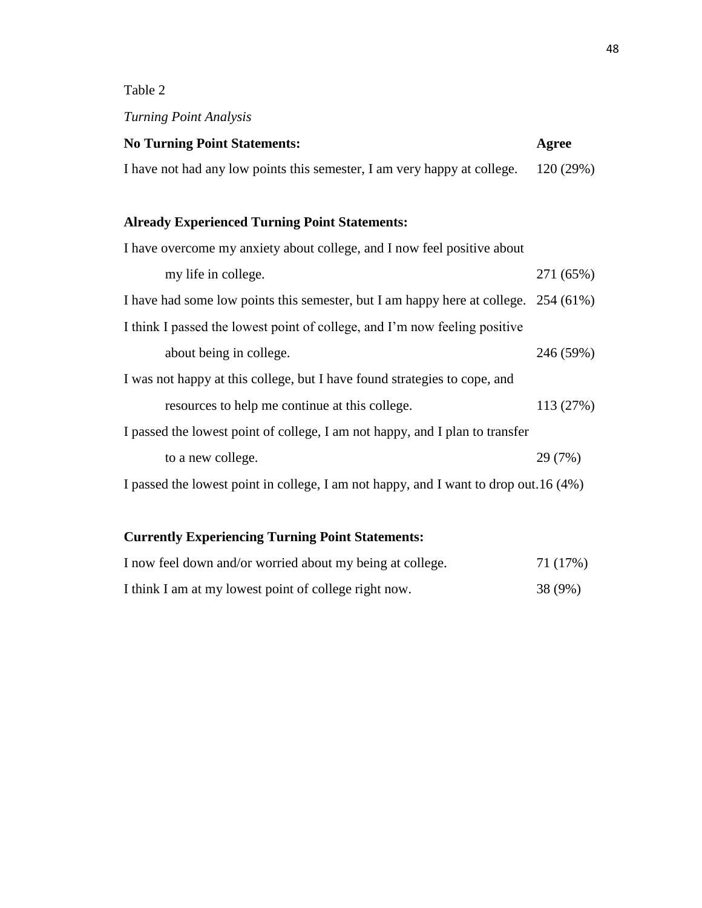# *Turning Point Analysis*

| <b>No Turning Point Statements:</b>                                      | Agree     |
|--------------------------------------------------------------------------|-----------|
| I have not had any low points this semester, I am very happy at college. | 120 (29%) |

# **Already Experienced Turning Point Statements:**

| I have overcome my anxiety about college, and I now feel positive about               |           |
|---------------------------------------------------------------------------------------|-----------|
| my life in college.                                                                   | 271 (65%) |
| I have had some low points this semester, but I am happy here at college. 254 (61%)   |           |
| I think I passed the lowest point of college, and I'm now feeling positive            |           |
| about being in college.                                                               | 246 (59%) |
| I was not happy at this college, but I have found strategies to cope, and             |           |
| resources to help me continue at this college.                                        | 113(27%)  |
| I passed the lowest point of college, I am not happy, and I plan to transfer          |           |
| to a new college.                                                                     | 29 (7%)   |
| I passed the lowest point in college, I am not happy, and I want to drop out. 16 (4%) |           |
|                                                                                       |           |

# **Currently Experiencing Turning Point Statements:**

| I now feel down and/or worried about my being at college. | 71 (17%) |
|-----------------------------------------------------------|----------|
| I think I am at my lowest point of college right now.     | 38 (9%)  |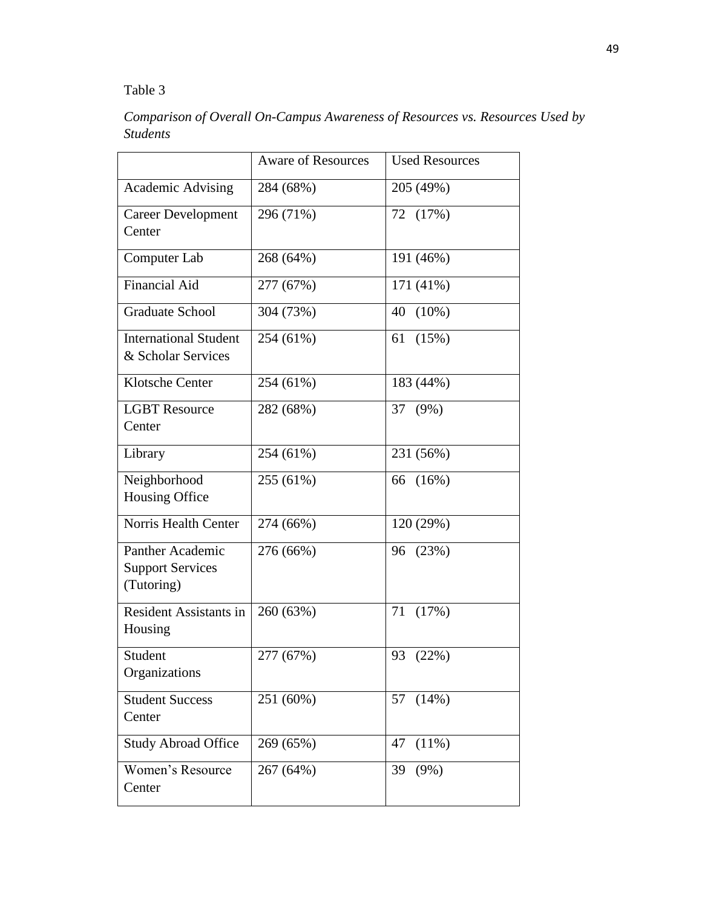*Comparison of Overall On-Campus Awareness of Resources vs. Resources Used by Students*

|                                                                  | <b>Aware of Resources</b> | <b>Used Resources</b> |
|------------------------------------------------------------------|---------------------------|-----------------------|
| <b>Academic Advising</b>                                         | 284 (68%)                 | 205 (49%)             |
| <b>Career Development</b><br>Center                              | 296 (71%)                 | 72 (17%)              |
| Computer Lab                                                     | 268 (64%)                 | 191 (46%)             |
| <b>Financial Aid</b>                                             | 277 (67%)                 | 171 (41%)             |
| <b>Graduate School</b>                                           | 304 (73%)                 | $(10\%)$<br>40        |
| <b>International Student</b><br>& Scholar Services               | 254 (61%)                 | 61<br>(15%)           |
| <b>Klotsche Center</b>                                           | 254 (61%)                 | 183 (44%)             |
| <b>LGBT</b> Resource<br>Center                                   | 282 (68%)                 | 37<br>$(9\%)$         |
| Library                                                          | 254 (61%)                 | 231 (56%)             |
| Neighborhood<br>Housing Office                                   | 255 (61%)                 | (16%)<br>66           |
| Norris Health Center                                             | 274 (66%)                 | 120 (29%)             |
| <b>Panther Academic</b><br><b>Support Services</b><br>(Tutoring) | 276 (66%)                 | 96<br>(23%)           |
| Resident Assistants in<br>Housing                                | 260 (63%)                 | (17%)<br>71           |
| Student<br>Organizations                                         | 277 (67%)                 | 93<br>(22%)           |
| <b>Student Success</b><br>Center                                 | 251 (60%)                 | (14%)<br>57           |
| <b>Study Abroad Office</b>                                       | 269 (65%)                 | 47<br>$(11\%)$        |
| Women's Resource<br>Center                                       | 267 (64%)                 | 39<br>$(9\%)$         |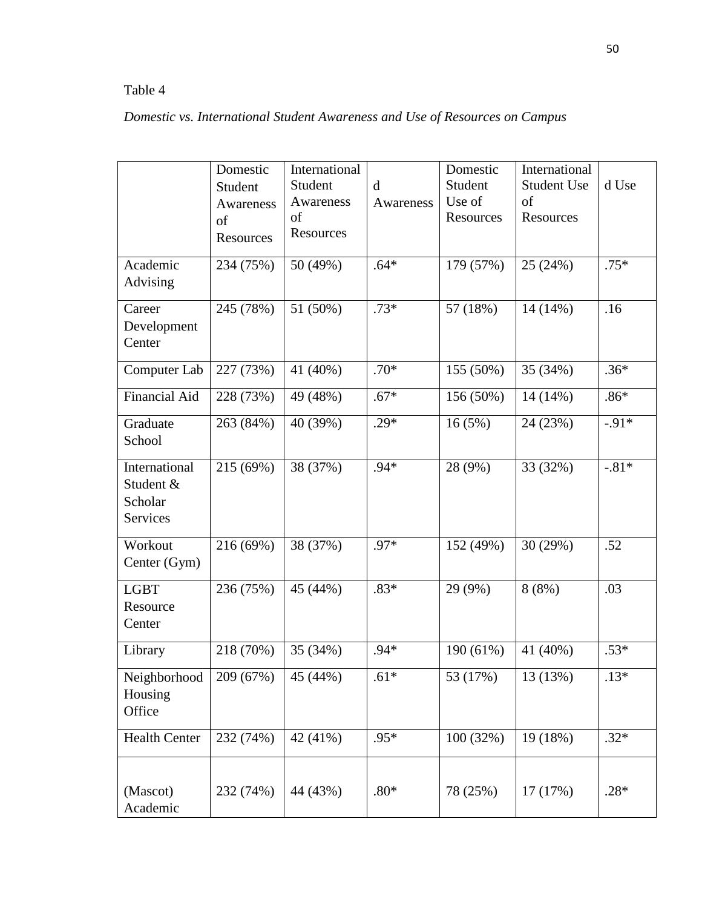| Domestic vs. International Student Awareness and Use of Resources on Campus |  |  |  |  |
|-----------------------------------------------------------------------------|--|--|--|--|
|                                                                             |  |  |  |  |

|                                                   | Domestic<br>Student<br>Awareness<br>of<br>Resources | International<br>Student<br>Awareness<br>of<br>Resources | $\mathbf d$<br>Awareness | Domestic<br>Student<br>Use of<br>Resources | International<br><b>Student Use</b><br>of<br>Resources | d Use   |
|---------------------------------------------------|-----------------------------------------------------|----------------------------------------------------------|--------------------------|--------------------------------------------|--------------------------------------------------------|---------|
| Academic<br>Advising                              | 234 (75%)                                           | 50 (49%)                                                 | $.64*$                   | 179 (57%)                                  | 25 (24%)                                               | $.75*$  |
| Career<br>Development<br>Center                   | 245 (78%)                                           | 51 (50%)                                                 | $.73*$                   | 57 (18%)                                   | 14 (14%)                                               | .16     |
| Computer Lab                                      | 227 (73%)                                           | 41 (40%)                                                 | $.70*$                   | 155 (50%)                                  | 35 (34%)                                               | $.36*$  |
| <b>Financial Aid</b>                              | 228 (73%)                                           | 49 (48%)                                                 | $.67*$                   | 156 (50%)                                  | 14 (14%)                                               | $.86*$  |
| Graduate<br>School                                | 263 (84%)                                           | 40 (39%)                                                 | $.29*$                   | 16(5%)                                     | 24 (23%)                                               | $-.91*$ |
| International<br>Student &<br>Scholar<br>Services | 215 (69%)                                           | 38 (37%)                                                 | .94*                     | 28 (9%)                                    | 33 (32%)                                               | $-.81*$ |
| Workout<br>Center (Gym)                           | 216 (69%)                                           | 38 (37%)                                                 | .97*                     | 152 (49%)                                  | 30 (29%)                                               | .52     |
| <b>LGBT</b><br>Resource<br>Center                 | 236 (75%)                                           | 45 (44%)                                                 | $.83*$                   | 29 (9%)                                    | 8(8%)                                                  | .03     |
| Library                                           | 218 (70%)                                           | 35 (34%)                                                 | $.94*$                   | 190 (61%)                                  | 41 (40%)                                               | $.53*$  |
| Neighborhood<br>Housing<br>Office                 | 209 (67%)                                           | 45 (44%)                                                 | $.61*$                   | 53 (17%)                                   | 13 (13%)                                               | $.13*$  |
| <b>Health Center</b>                              | 232 (74%)                                           | 42 (41%)                                                 | .95*                     | 100 (32%)                                  | 19 (18%)                                               | $.32*$  |
| (Mascot)<br>Academic                              | 232 (74%)                                           | 44 (43%)                                                 | $.80*$                   | 78 (25%)                                   | 17(17%)                                                | $.28*$  |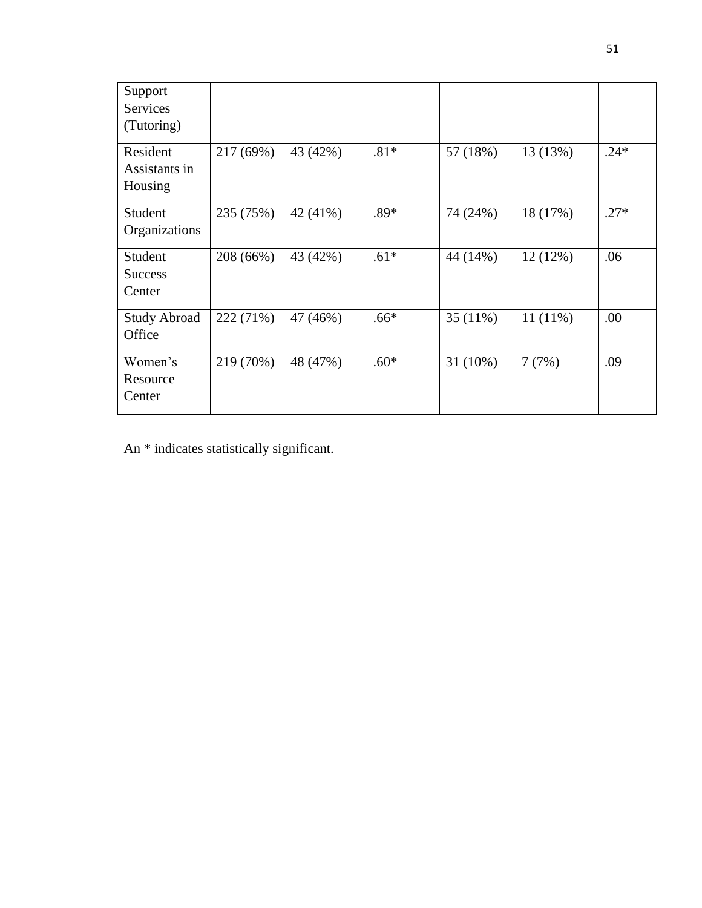| Support<br><b>Services</b> |           |          |        |            |            |        |
|----------------------------|-----------|----------|--------|------------|------------|--------|
| (Tutoring)                 |           |          |        |            |            |        |
| Resident                   | 217 (69%) | 43 (42%) | $.81*$ | 57 (18%)   | 13 (13%)   | $.24*$ |
| Assistants in              |           |          |        |            |            |        |
| Housing                    |           |          |        |            |            |        |
| Student                    | 235 (75%) | 42 (41%) | $.89*$ | 74 (24%)   | 18 (17%)   | $.27*$ |
| Organizations              |           |          |        |            |            |        |
| Student                    | 208 (66%) | 43 (42%) | $.61*$ | 44 (14%)   | 12(12%)    | .06    |
| <b>Success</b>             |           |          |        |            |            |        |
| Center                     |           |          |        |            |            |        |
| <b>Study Abroad</b>        | 222 (71%) | 47 (46%) | $.66*$ | $35(11\%)$ | $11(11\%)$ | .00    |
| Office                     |           |          |        |            |            |        |
| Women's                    | 219 (70%) | 48 (47%) | $.60*$ | $31(10\%)$ | 7(7%)      | .09    |
| Resource                   |           |          |        |            |            |        |
| Center                     |           |          |        |            |            |        |
|                            |           |          |        |            |            |        |

An \* indicates statistically significant.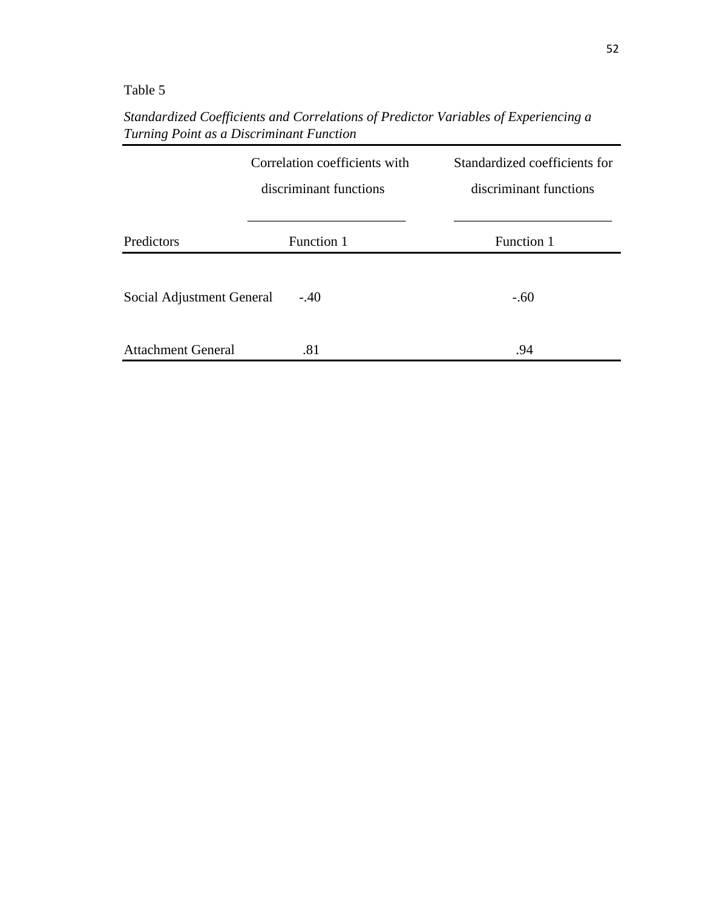*Standardized Coefficients and Correlations of Predictor Variables of Experiencing a Turning Point as a Discriminant Function*

|                           | Correlation coefficients with<br>discriminant functions | Standardized coefficients for<br>discriminant functions |
|---------------------------|---------------------------------------------------------|---------------------------------------------------------|
| Predictors                | Function 1                                              | Function 1                                              |
| Social Adjustment General | $-.40$                                                  | $-.60$                                                  |
| <b>Attachment General</b> | .81                                                     | .94                                                     |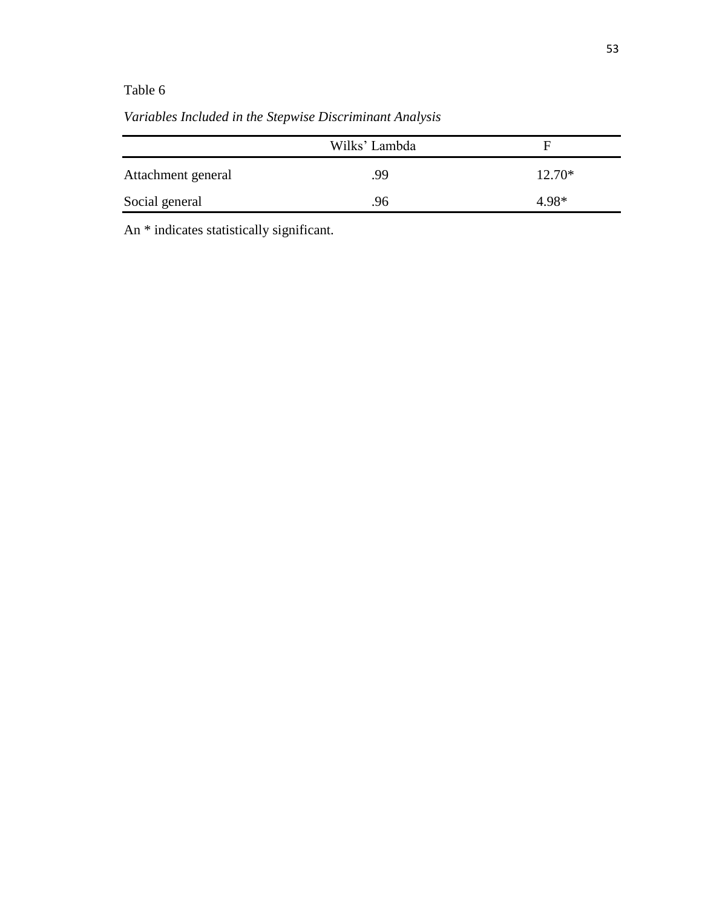|                    | Wilks' Lambda | Е        |
|--------------------|---------------|----------|
| Attachment general | .99           | $12.70*$ |
| Social general     | .96           | 4.98*    |

*Variables Included in the Stepwise Discriminant Analysis*

An \* indicates statistically significant.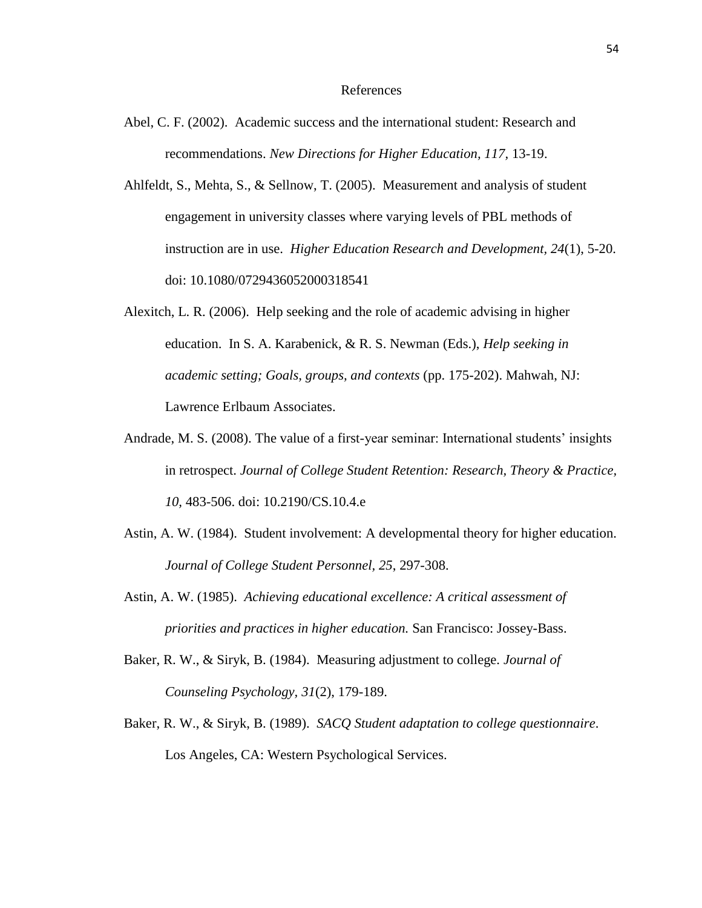#### References

- Abel, C. F. (2002). Academic success and the international student: Research and recommendations. *New Directions for Higher Education, 117,* 13-19.
- Ahlfeldt, S., Mehta, S., & Sellnow, T. (2005). Measurement and analysis of student engagement in university classes where varying levels of PBL methods of instruction are in use. *Higher Education Research and Development, 24*(1), 5-20. doi: 10.1080/0729436052000318541
- Alexitch, L. R. (2006). Help seeking and the role of academic advising in higher education. In S. A. Karabenick, & R. S. Newman (Eds.), *Help seeking in academic setting; Goals, groups, and contexts* (pp. 175-202). Mahwah, NJ: Lawrence Erlbaum Associates.
- Andrade, M. S. (2008). The value of a first-year seminar: International students' insights in retrospect. *Journal of College Student Retention: Research, Theory & Practice, 10,* 483-506. doi: 10.2190/CS.10.4.e
- Astin, A. W. (1984). Student involvement: A developmental theory for higher education. *Journal of College Student Personnel, 25*, 297-308.
- Astin, A. W. (1985). *Achieving educational excellence: A critical assessment of priorities and practices in higher education.* San Francisco: Jossey-Bass.
- Baker, R. W., & Siryk, B. (1984). Measuring adjustment to college. *Journal of Counseling Psychology, 31*(2), 179-189.
- Baker, R. W., & Siryk, B. (1989). *SACQ Student adaptation to college questionnaire*. Los Angeles, CA: Western Psychological Services.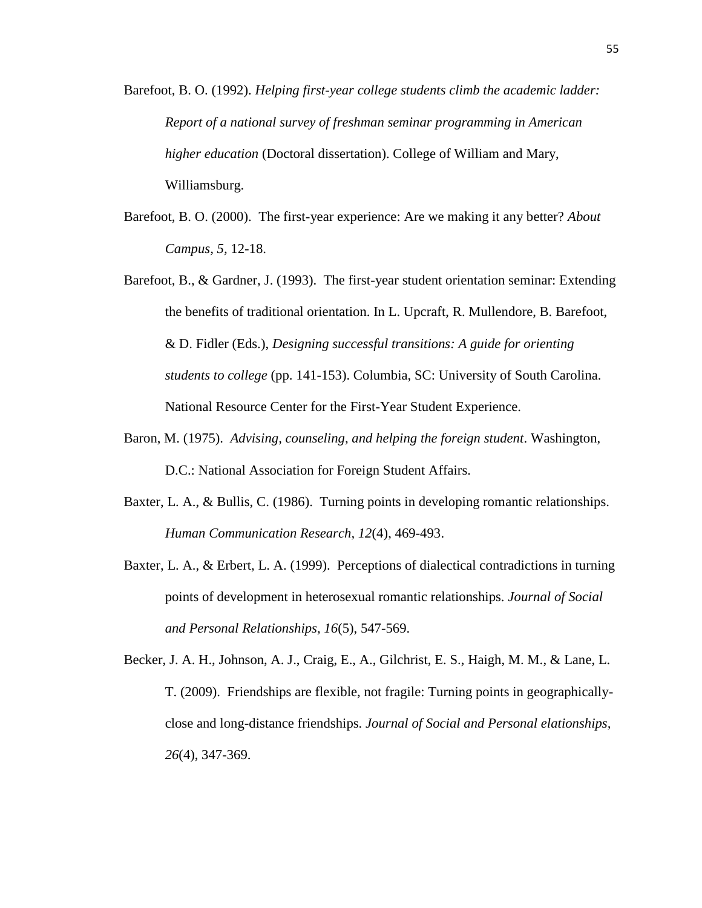- Barefoot, B. O. (1992). *Helping first-year college students climb the academic ladder: Report of a national survey of freshman seminar programming in American higher education* (Doctoral dissertation). College of William and Mary, Williamsburg.
- Barefoot, B. O. (2000). The first-year experience: Are we making it any better? *About Campus, 5,* 12-18.
- Barefoot, B., & Gardner, J. (1993). The first-year student orientation seminar: Extending the benefits of traditional orientation. In L. Upcraft, R. Mullendore, B. Barefoot, & D. Fidler (Eds.), *Designing successful transitions: A guide for orienting students to college* (pp. 141-153). Columbia, SC: University of South Carolina. National Resource Center for the First-Year Student Experience.
- Baron, M. (1975). *Advising, counseling, and helping the foreign student*. Washington, D.C.: National Association for Foreign Student Affairs.
- Baxter, L. A., & Bullis, C. (1986). Turning points in developing romantic relationships. *Human Communication Research, 12*(4), 469-493.
- Baxter, L. A., & Erbert, L. A. (1999). Perceptions of dialectical contradictions in turning points of development in heterosexual romantic relationships. *Journal of Social and Personal Relationships, 16*(5), 547-569.
- Becker, J. A. H., Johnson, A. J., Craig, E., A., Gilchrist, E. S., Haigh, M. M., & Lane, L. T. (2009). Friendships are flexible, not fragile: Turning points in geographicallyclose and long-distance friendships. *Journal of Social and Personal elationships, 26*(4), 347-369.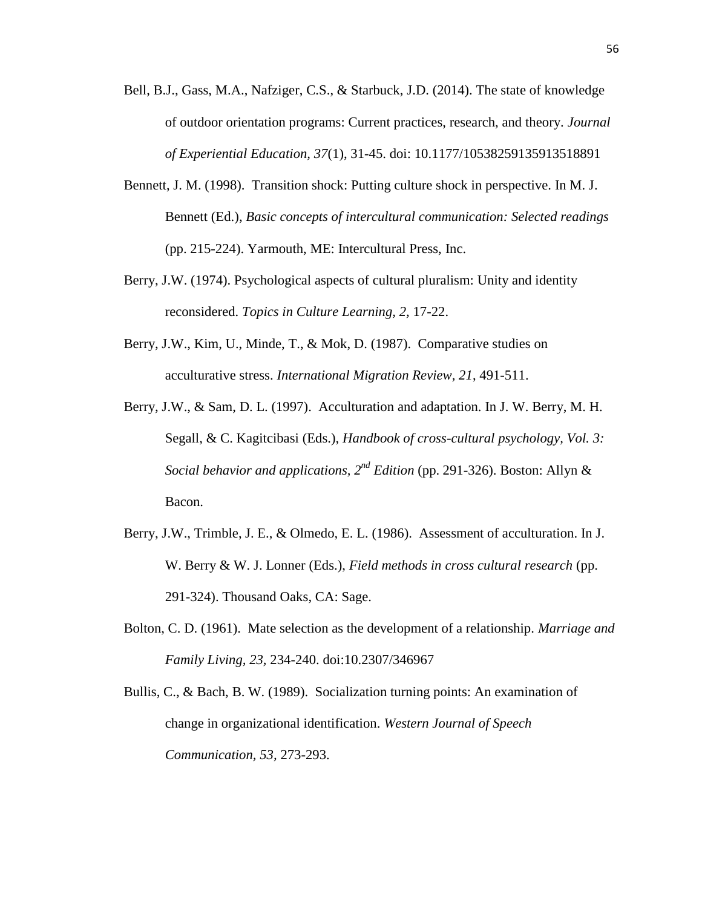- Bell, B.J., Gass, M.A., Nafziger, C.S., & Starbuck, J.D. (2014). The state of knowledge of outdoor orientation programs: Current practices, research, and theory. *Journal of Experiential Education, 37*(1), 31-45. doi: 10.1177/10538259135913518891
- Bennett, J. M. (1998). Transition shock: Putting culture shock in perspective. In M. J. Bennett (Ed.), *Basic concepts of intercultural communication: Selected readings* (pp. 215-224). Yarmouth, ME: Intercultural Press, Inc.
- Berry, J.W. (1974). Psychological aspects of cultural pluralism: Unity and identity reconsidered. *Topics in Culture Learning, 2,* 17-22.
- Berry, J.W., Kim, U., Minde, T., & Mok, D. (1987). Comparative studies on acculturative stress. *International Migration Review, 21*, 491-511.
- Berry, J.W., & Sam, D. L. (1997). Acculturation and adaptation. In J. W. Berry, M. H. Segall, & C. Kagitcibasi (Eds.), *Handbook of cross-cultural psychology, Vol. 3: Social behavior and applications,*  $2^{nd}$  *Edition (pp. 291-326). Boston: Allyn &* Bacon.
- Berry, J.W., Trimble, J. E., & Olmedo, E. L. (1986). Assessment of acculturation. In J. W. Berry & W. J. Lonner (Eds.), *Field methods in cross cultural research* (pp. 291-324). Thousand Oaks, CA: Sage.
- Bolton, C. D. (1961). Mate selection as the development of a relationship. *Marriage and Family Living, 23,* 234-240. doi:10.2307/346967
- Bullis, C., & Bach, B. W. (1989). Socialization turning points: An examination of change in organizational identification. *Western Journal of Speech Communication, 53,* 273-293.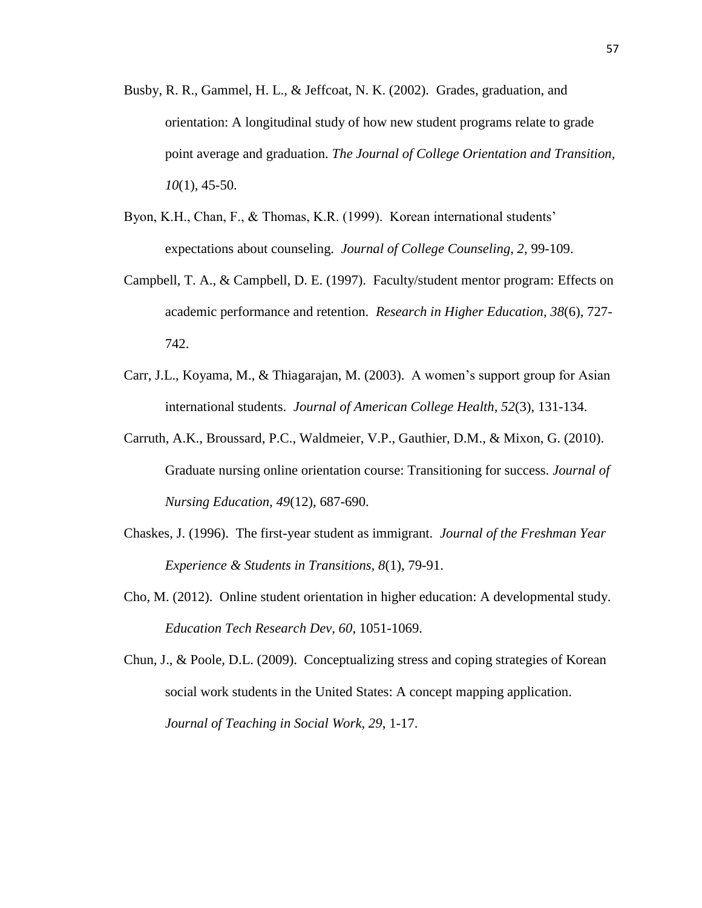- Busby, R. R., Gammel, H. L., & Jeffcoat, N. K. (2002). Grades, graduation, and orientation: A longitudinal study of how new student programs relate to grade point average and graduation. *The Journal of College Orientation and Transition, 10*(1), 45-50.
- Byon, K.H., Chan, F., & Thomas, K.R. (1999). Korean international students' expectations about counseling. *Journal of College Counseling, 2,* 99-109.
- Campbell, T. A., & Campbell, D. E. (1997). Faculty/student mentor program: Effects on academic performance and retention. *Research in Higher Education, 38*(6), 727- 742.
- Carr, J.L., Koyama, M., & Thiagarajan, M. (2003). A women's support group for Asian international students. *Journal of American College Health, 52*(3), 131-134.
- Carruth, A.K., Broussard, P.C., Waldmeier, V.P., Gauthier, D.M., & Mixon, G. (2010). Graduate nursing online orientation course: Transitioning for success. *Journal of Nursing Education, 49*(12), 687-690.
- Chaskes, J. (1996). The first-year student as immigrant. *Journal of the Freshman Year Experience & Students in Transitions, 8*(1), 79-91.
- Cho, M. (2012). Online student orientation in higher education: A developmental study. *Education Tech Research Dev, 60*, 1051-1069.
- Chun, J., & Poole, D.L. (2009). Conceptualizing stress and coping strategies of Korean social work students in the United States: A concept mapping application. *Journal of Teaching in Social Work, 29*, 1-17.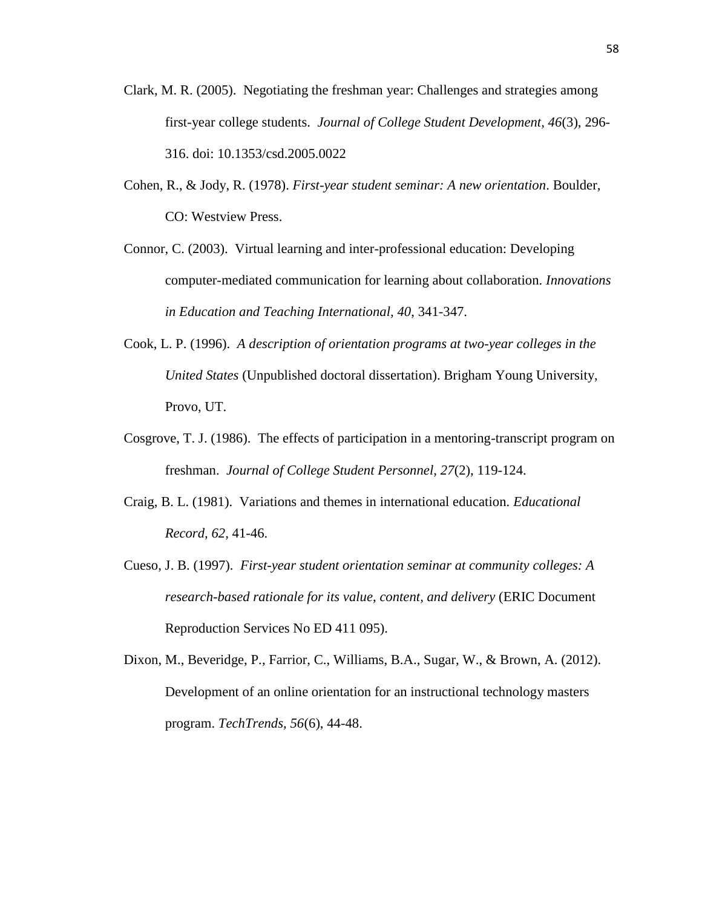- Clark, M. R. (2005). Negotiating the freshman year: Challenges and strategies among first-year college students. *Journal of College Student Development, 46*(3), 296- 316. doi: 10.1353/csd.2005.0022
- Cohen, R., & Jody, R. (1978). *First-year student seminar: A new orientation*. Boulder, CO: Westview Press.
- Connor, C. (2003). Virtual learning and inter-professional education: Developing computer-mediated communication for learning about collaboration. *Innovations in Education and Teaching International, 40*, 341-347.
- Cook, L. P. (1996). *A description of orientation programs at two-year colleges in the United States* (Unpublished doctoral dissertation). Brigham Young University, Provo, UT.
- Cosgrove, T. J. (1986). The effects of participation in a mentoring-transcript program on freshman. *Journal of College Student Personnel, 27*(2), 119-124.
- Craig, B. L. (1981). Variations and themes in international education. *Educational Record, 62,* 41-46.
- Cueso, J. B. (1997). *First-year student orientation seminar at community colleges: A research-based rationale for its value, content, and delivery* (ERIC Document Reproduction Services No ED 411 095).

Dixon, M., Beveridge, P., Farrior, C., Williams, B.A., Sugar, W., & Brown, A. (2012). Development of an online orientation for an instructional technology masters program. *TechTrends, 56*(6), 44-48.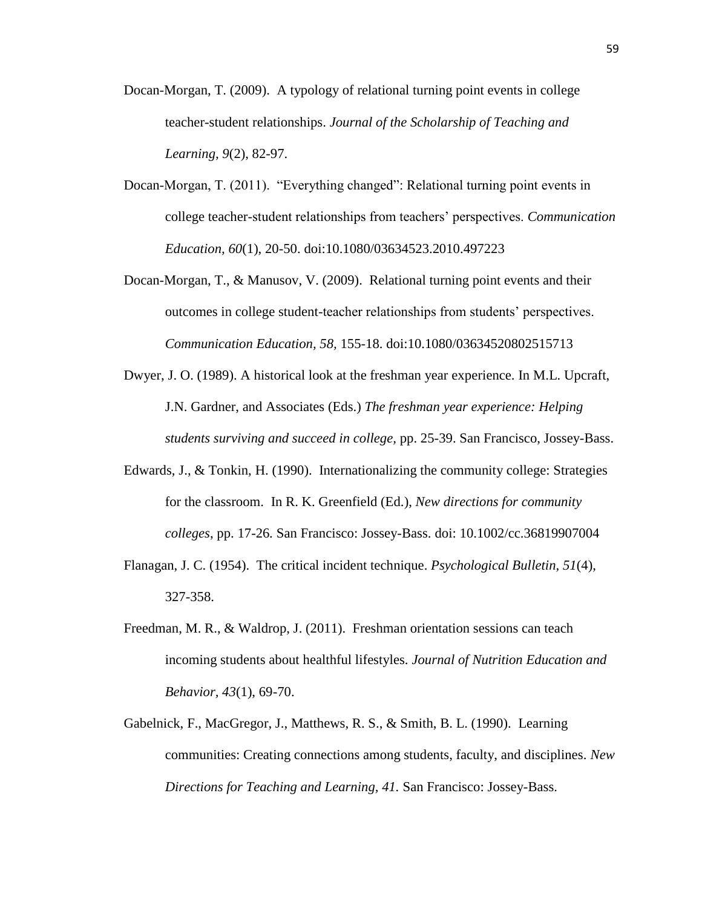- Docan-Morgan, T. (2009). A typology of relational turning point events in college teacher-student relationships. *Journal of the Scholarship of Teaching and Learning, 9*(2), 82-97.
- Docan-Morgan, T. (2011). "Everything changed": Relational turning point events in college teacher-student relationships from teachers' perspectives. *Communication Education, 60*(1), 20-50. doi:10.1080/03634523.2010.497223
- Docan-Morgan, T., & Manusov, V. (2009). Relational turning point events and their outcomes in college student-teacher relationships from students' perspectives. *Communication Education, 58,* 155-18. doi:10.1080/03634520802515713
- Dwyer, J. O. (1989). A historical look at the freshman year experience. In M.L. Upcraft, J.N. Gardner, and Associates (Eds.) *The freshman year experience: Helping students surviving and succeed in college,* pp. 25-39. San Francisco, Jossey-Bass.
- Edwards, J., & Tonkin, H. (1990). Internationalizing the community college: Strategies for the classroom. In R. K. Greenfield (Ed.), *New directions for community colleges*, pp. 17-26*.* San Francisco: Jossey-Bass. doi: 10.1002/cc.36819907004
- Flanagan, J. C. (1954). The critical incident technique. *Psychological Bulletin, 51*(4), 327-358.
- Freedman, M. R., & Waldrop, J. (2011). Freshman orientation sessions can teach incoming students about healthful lifestyles. *Journal of Nutrition Education and Behavior, 43*(1), 69-70.
- Gabelnick, F., MacGregor, J., Matthews, R. S., & Smith, B. L. (1990). Learning communities: Creating connections among students, faculty, and disciplines. *New Directions for Teaching and Learning, 41.* San Francisco: Jossey-Bass.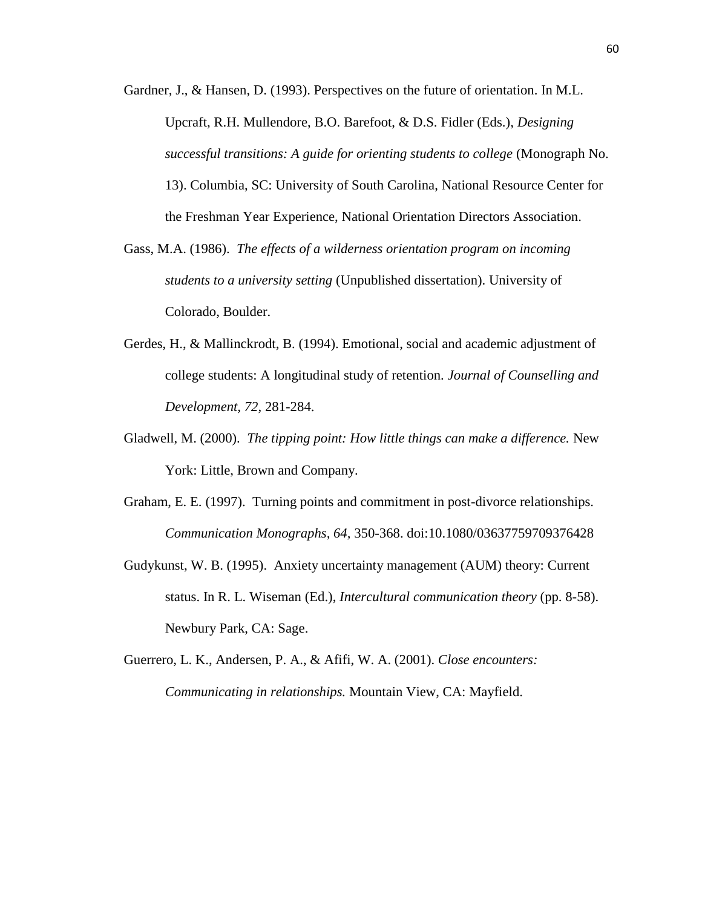- Gardner, J., & Hansen, D. (1993). Perspectives on the future of orientation. In M.L. Upcraft, R.H. Mullendore, B.O. Barefoot, & D.S. Fidler (Eds.), *Designing successful transitions: A guide for orienting students to college* (Monograph No. 13). Columbia, SC: University of South Carolina, National Resource Center for the Freshman Year Experience, National Orientation Directors Association.
- Gass, M.A. (1986). *The effects of a wilderness orientation program on incoming students to a university setting* (Unpublished dissertation). University of Colorado, Boulder.
- Gerdes, H., & Mallinckrodt, B. (1994). Emotional, social and academic adjustment of college students: A longitudinal study of retention. *Journal of Counselling and Development, 72,* 281-284.
- Gladwell, M. (2000). *The tipping point: How little things can make a difference.* New York: Little, Brown and Company.
- Graham, E. E. (1997). Turning points and commitment in post-divorce relationships. *Communication Monographs, 64,* 350-368. doi:10.1080/03637759709376428
- Gudykunst, W. B. (1995). Anxiety uncertainty management (AUM) theory: Current status. In R. L. Wiseman (Ed.), *Intercultural communication theory* (pp. 8-58). Newbury Park, CA: Sage.
- Guerrero, L. K., Andersen, P. A., & Afifi, W. A. (2001). *Close encounters: Communicating in relationships.* Mountain View, CA: Mayfield.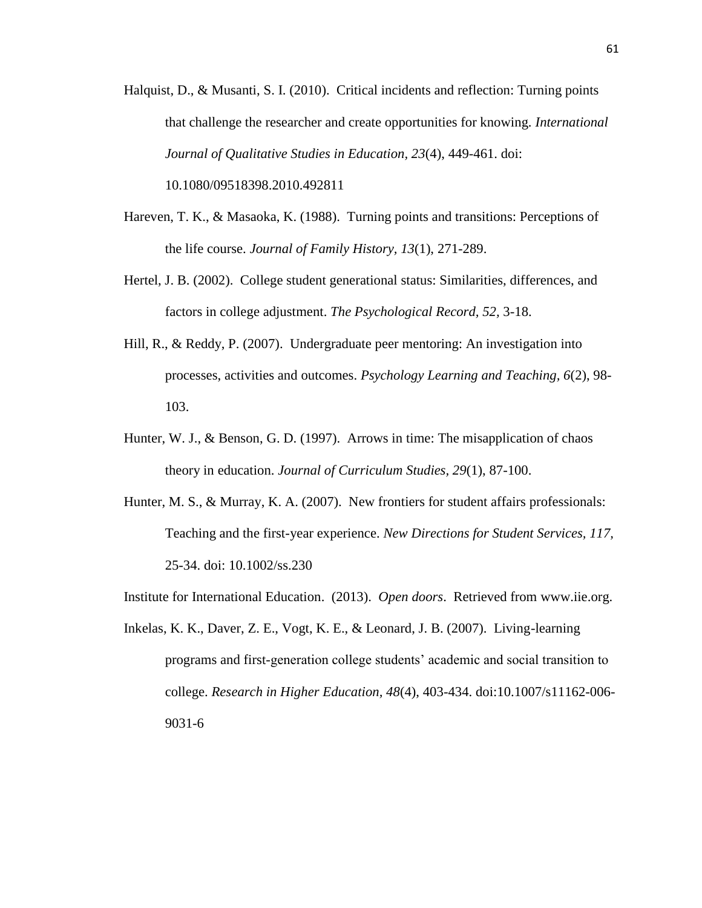Halquist, D., & Musanti, S. I. (2010). Critical incidents and reflection: Turning points that challenge the researcher and create opportunities for knowing. *International Journal of Qualitative Studies in Education, 23*(4), 449-461. doi:

10.1080/09518398.2010.492811

- Hareven, T. K., & Masaoka, K. (1988). Turning points and transitions: Perceptions of the life course. *Journal of Family History, 13*(1), 271-289.
- Hertel, J. B. (2002). College student generational status: Similarities, differences, and factors in college adjustment. *The Psychological Record, 52,* 3-18.
- Hill, R., & Reddy, P. (2007). Undergraduate peer mentoring: An investigation into processes, activities and outcomes. *Psychology Learning and Teaching, 6*(2), 98- 103.
- Hunter, W. J., & Benson, G. D. (1997). Arrows in time: The misapplication of chaos theory in education. *Journal of Curriculum Studies, 29*(1), 87-100.
- Hunter, M. S., & Murray, K. A. (2007). New frontiers for student affairs professionals: Teaching and the first-year experience. *New Directions for Student Services, 117,*  25-34. doi: 10.1002/ss.230

Institute for International Education. (2013). *Open doors*. Retrieved from www.iie.org.

Inkelas, K. K., Daver, Z. E., Vogt, K. E., & Leonard, J. B. (2007). Living-learning programs and first-generation college students' academic and social transition to college. *Research in Higher Education, 48*(4), 403-434. doi:10.1007/s11162-006- 9031-6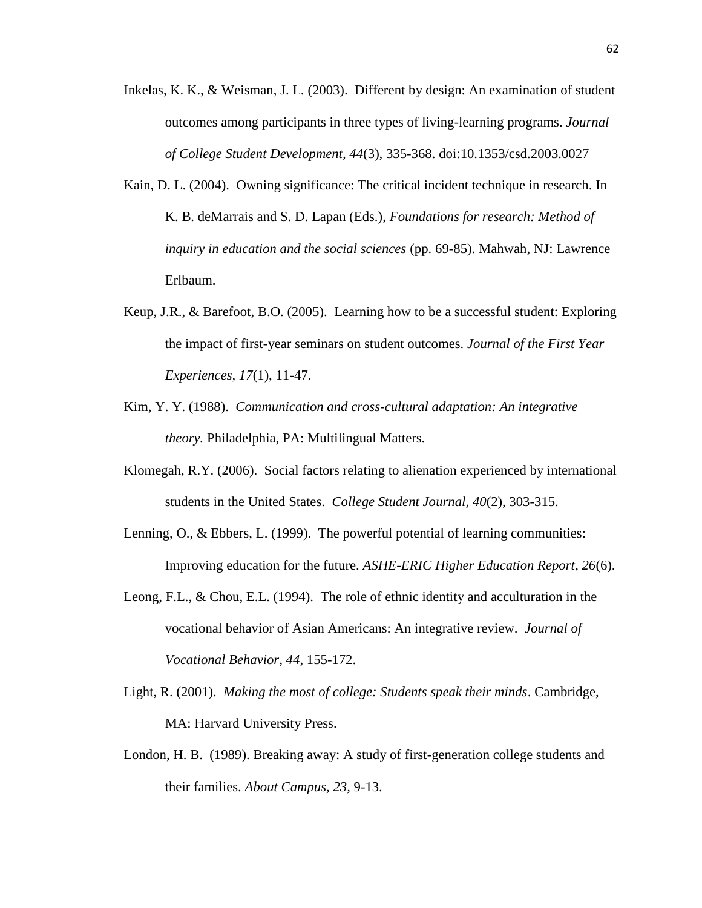- Inkelas, K. K., & Weisman, J. L. (2003). Different by design: An examination of student outcomes among participants in three types of living-learning programs. *Journal of College Student Development, 44*(3), 335-368. doi:10.1353/csd.2003.0027
- Kain, D. L. (2004). Owning significance: The critical incident technique in research. In K. B. deMarrais and S. D. Lapan (Eds.), *Foundations for research: Method of inquiry in education and the social sciences* (pp. 69-85). Mahwah, NJ: Lawrence Erlbaum.
- Keup, J.R., & Barefoot, B.O. (2005). Learning how to be a successful student: Exploring the impact of first-year seminars on student outcomes. *Journal of the First Year Experiences, 17*(1), 11-47.
- Kim, Y. Y. (1988). *Communication and cross-cultural adaptation: An integrative theory.* Philadelphia, PA: Multilingual Matters.
- Klomegah, R.Y. (2006). Social factors relating to alienation experienced by international students in the United States. *College Student Journal, 40*(2), 303-315.
- Lenning, O., & Ebbers, L. (1999). The powerful potential of learning communities: Improving education for the future. *ASHE-ERIC Higher Education Report, 26*(6).
- Leong, F.L., & Chou, E.L. (1994). The role of ethnic identity and acculturation in the vocational behavior of Asian Americans: An integrative review. *Journal of Vocational Behavior, 44*, 155-172.
- Light, R. (2001). *Making the most of college: Students speak their minds*. Cambridge, MA: Harvard University Press.
- London, H. B. (1989). Breaking away: A study of first-generation college students and their families. *About Campus, 23,* 9-13.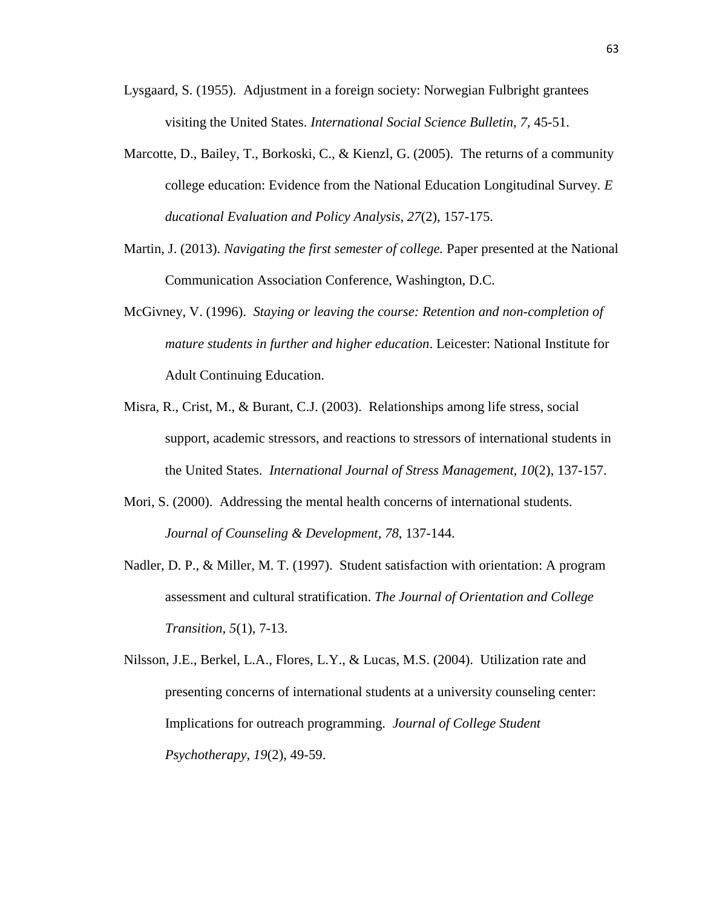- Lysgaard, S. (1955). Adjustment in a foreign society: Norwegian Fulbright grantees visiting the United States. *International Social Science Bulletin, 7,* 45-51.
- Marcotte, D., Bailey, T., Borkoski, C., & Kienzl, G. (2005). The returns of a community college education: Evidence from the National Education Longitudinal Survey. *E ducational Evaluation and Policy Analysis, 27*(2), 157-175.
- Martin, J. (2013). *Navigating the first semester of college.* Paper presented at the National Communication Association Conference, Washington, D.C.
- McGivney, V. (1996). *Staying or leaving the course: Retention and non-completion of mature students in further and higher education*. Leicester: National Institute for Adult Continuing Education.
- Misra, R., Crist, M., & Burant, C.J. (2003). Relationships among life stress, social support, academic stressors, and reactions to stressors of international students in the United States. *International Journal of Stress Management, 10*(2), 137-157.
- Mori, S. (2000). Addressing the mental health concerns of international students*. Journal of Counseling & Development, 78*, 137-144.
- Nadler, D. P., & Miller, M. T. (1997). Student satisfaction with orientation: A program assessment and cultural stratification. *The Journal of Orientation and College Transition, 5*(1), 7-13.
- Nilsson, J.E., Berkel, L.A., Flores, L.Y., & Lucas, M.S. (2004). Utilization rate and presenting concerns of international students at a university counseling center: Implications for outreach programming. *Journal of College Student Psychotherapy, 19*(2), 49-59.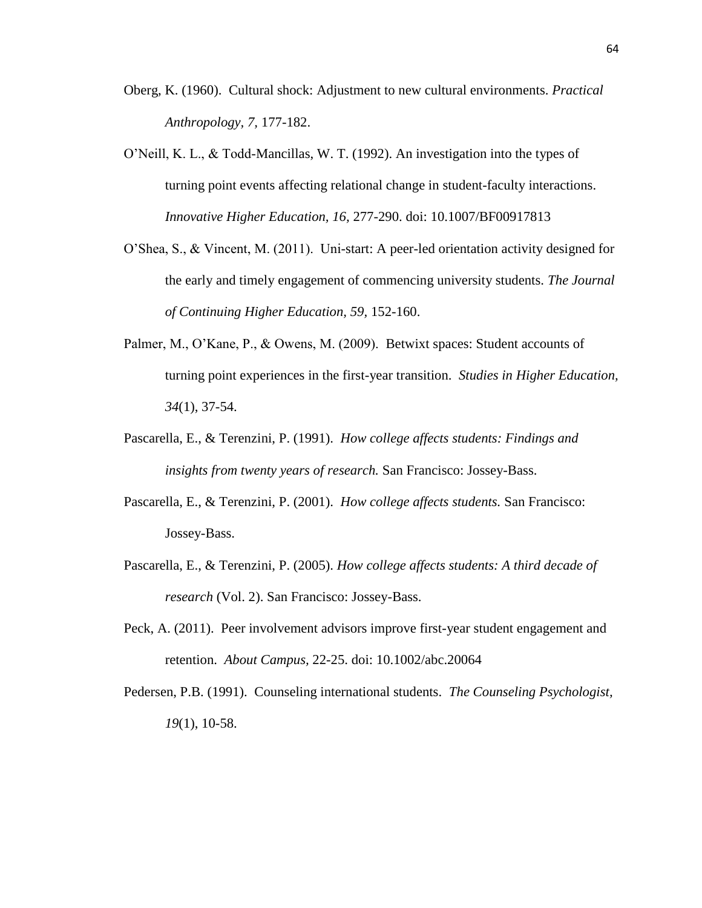- Oberg, K. (1960). Cultural shock: Adjustment to new cultural environments. *Practical Anthropology, 7,* 177-182.
- O'Neill, K. L., & Todd-Mancillas, W. T. (1992). An investigation into the types of turning point events affecting relational change in student-faculty interactions. *Innovative Higher Education, 16,* 277-290. doi: 10.1007/BF00917813
- O'Shea, S., & Vincent, M. (2011). Uni-start: A peer-led orientation activity designed for the early and timely engagement of commencing university students. *The Journal of Continuing Higher Education, 59,* 152-160.
- Palmer, M., O'Kane, P., & Owens, M. (2009). Betwixt spaces: Student accounts of turning point experiences in the first-year transition. *Studies in Higher Education, 34*(1), 37-54.
- Pascarella, E., & Terenzini, P. (1991). *How college affects students: Findings and insights from twenty years of research.* San Francisco: Jossey-Bass.
- Pascarella, E., & Terenzini, P. (2001). *How college affects students.* San Francisco: Jossey-Bass.
- Pascarella, E., & Terenzini, P. (2005). *How college affects students: A third decade of research* (Vol. 2). San Francisco: Jossey-Bass.
- Peck, A. (2011). Peer involvement advisors improve first-year student engagement and retention. *About Campus,* 22-25. doi: 10.1002/abc.20064
- Pedersen, P.B. (1991). Counseling international students. *The Counseling Psychologist, 19*(1), 10-58.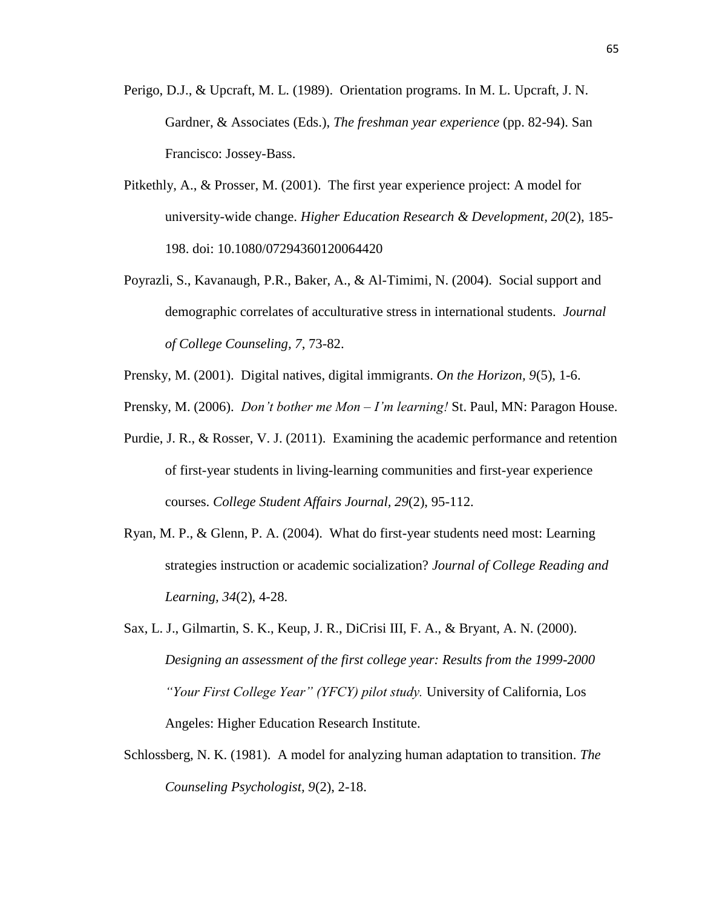- Perigo, D.J., & Upcraft, M. L. (1989). Orientation programs. In M. L. Upcraft, J. N. Gardner, & Associates (Eds.), *The freshman year experience* (pp. 82-94). San Francisco: Jossey-Bass.
- Pitkethly, A., & Prosser, M. (2001). The first year experience project: A model for university-wide change. *Higher Education Research & Development, 20*(2), 185- 198. doi: 10.1080/07294360120064420
- Poyrazli, S., Kavanaugh, P.R., Baker, A., & Al-Timimi, N. (2004). Social support and demographic correlates of acculturative stress in international students. *Journal of College Counseling, 7*, 73-82.
- Prensky, M. (2001). Digital natives, digital immigrants. *On the Horizon, 9*(5), 1-6.
- Prensky, M. (2006). *Don't bother me Mon – I'm learning!* St. Paul, MN: Paragon House.
- Purdie, J. R., & Rosser, V. J. (2011). Examining the academic performance and retention of first-year students in living-learning communities and first-year experience courses. *College Student Affairs Journal, 29*(2), 95-112.
- Ryan, M. P., & Glenn, P. A. (2004). What do first-year students need most: Learning strategies instruction or academic socialization? *Journal of College Reading and Learning, 34*(2), 4-28.
- Sax, L. J., Gilmartin, S. K., Keup, J. R., DiCrisi III, F. A., & Bryant, A. N. (2000). *Designing an assessment of the first college year: Results from the 1999-2000 "Your First College Year" (YFCY) pilot study.* University of California, Los Angeles: Higher Education Research Institute.
- Schlossberg, N. K. (1981). A model for analyzing human adaptation to transition. *The Counseling Psychologist, 9*(2), 2-18.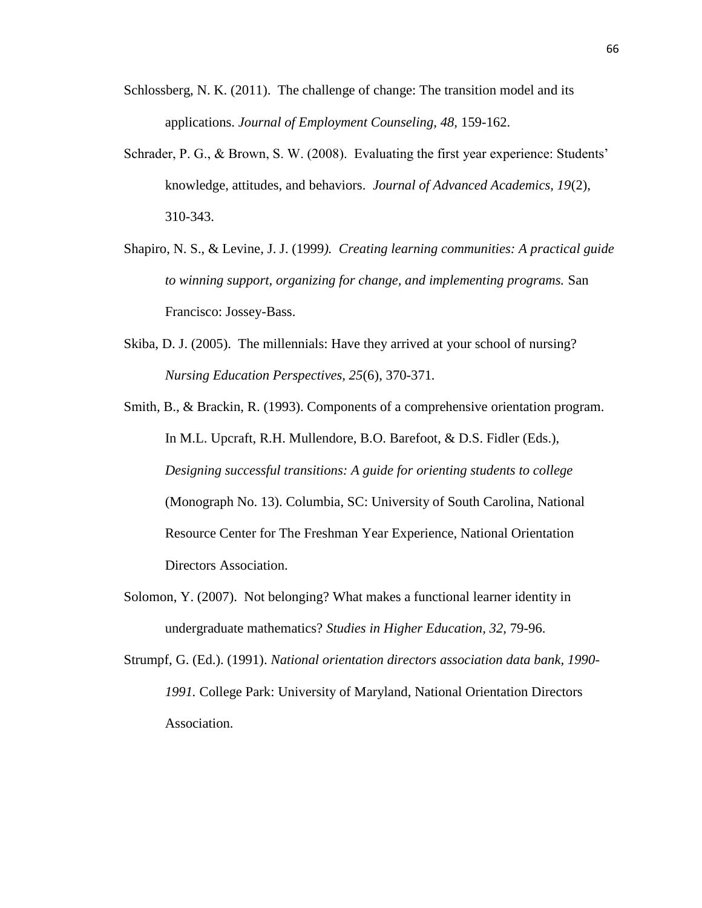- Schlossberg, N. K. (2011). The challenge of change: The transition model and its applications. *Journal of Employment Counseling, 48,* 159-162.
- Schrader, P. G., & Brown, S. W. (2008). Evaluating the first year experience: Students' knowledge, attitudes, and behaviors. *Journal of Advanced Academics, 19*(2), 310-343.
- Shapiro, N. S., & Levine, J. J. (1999*). Creating learning communities: A practical guide to winning support, organizing for change, and implementing programs.* San Francisco: Jossey-Bass.
- Skiba, D. J. (2005). The millennials: Have they arrived at your school of nursing? *Nursing Education Perspectives, 25*(6), 370-371*.*
- Smith, B., & Brackin, R. (1993). Components of a comprehensive orientation program. In M.L. Upcraft, R.H. Mullendore, B.O. Barefoot, & D.S. Fidler (Eds.), *Designing successful transitions: A guide for orienting students to college*  (Monograph No. 13). Columbia, SC: University of South Carolina, National Resource Center for The Freshman Year Experience, National Orientation Directors Association.
- Solomon, Y. (2007). Not belonging? What makes a functional learner identity in undergraduate mathematics? *Studies in Higher Education, 32*, 79-96.
- Strumpf, G. (Ed.). (1991). *National orientation directors association data bank, 1990- 1991.* College Park: University of Maryland, National Orientation Directors Association.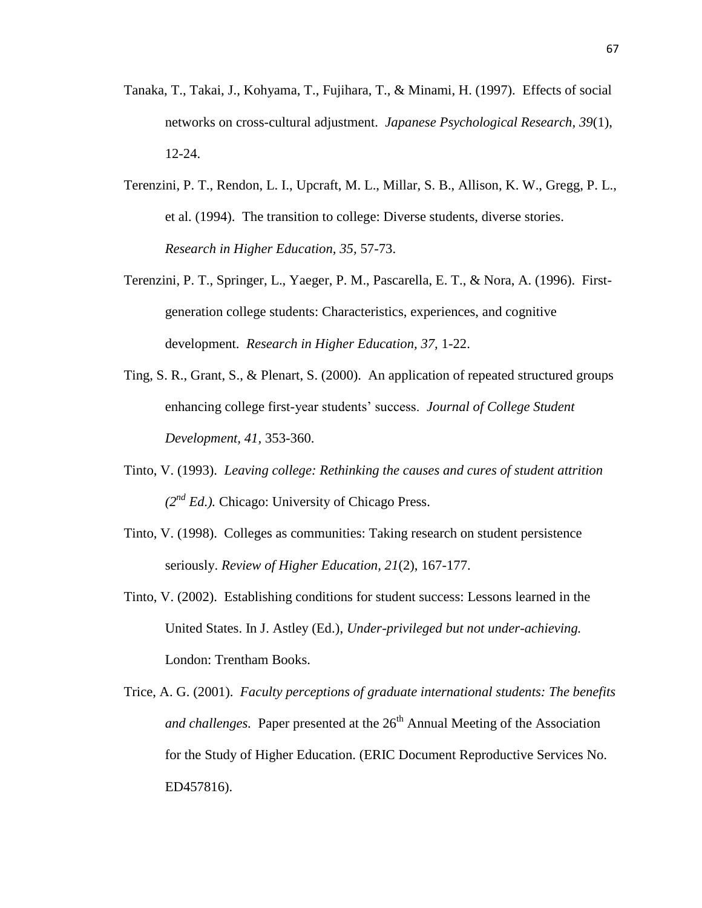- Tanaka, T., Takai, J., Kohyama, T., Fujihara, T., & Minami, H. (1997). Effects of social networks on cross-cultural adjustment. *Japanese Psychological Research, 39*(1), 12-24.
- Terenzini, P. T., Rendon, L. I., Upcraft, M. L., Millar, S. B., Allison, K. W., Gregg, P. L., et al. (1994). The transition to college: Diverse students, diverse stories. *Research in Higher Education, 35,* 57-73.
- Terenzini, P. T., Springer, L., Yaeger, P. M., Pascarella, E. T., & Nora, A. (1996). Firstgeneration college students: Characteristics, experiences, and cognitive development. *Research in Higher Education, 37,* 1-22.
- Ting, S. R., Grant, S., & Plenart, S. (2000). An application of repeated structured groups enhancing college first-year students' success. *Journal of College Student Development, 41,* 353-360.
- Tinto, V. (1993). *Leaving college: Rethinking the causes and cures of student attrition (2nd Ed.).* Chicago: University of Chicago Press.
- Tinto, V. (1998). Colleges as communities: Taking research on student persistence seriously. *Review of Higher Education, 21*(2), 167-177.
- Tinto, V. (2002). Establishing conditions for student success: Lessons learned in the United States. In J. Astley (Ed.), *Under-privileged but not under-achieving.*  London: Trentham Books.
- Trice, A. G. (2001). *Faculty perceptions of graduate international students: The benefits and challenges.* Paper presented at the 26<sup>th</sup> Annual Meeting of the Association for the Study of Higher Education. (ERIC Document Reproductive Services No. ED457816).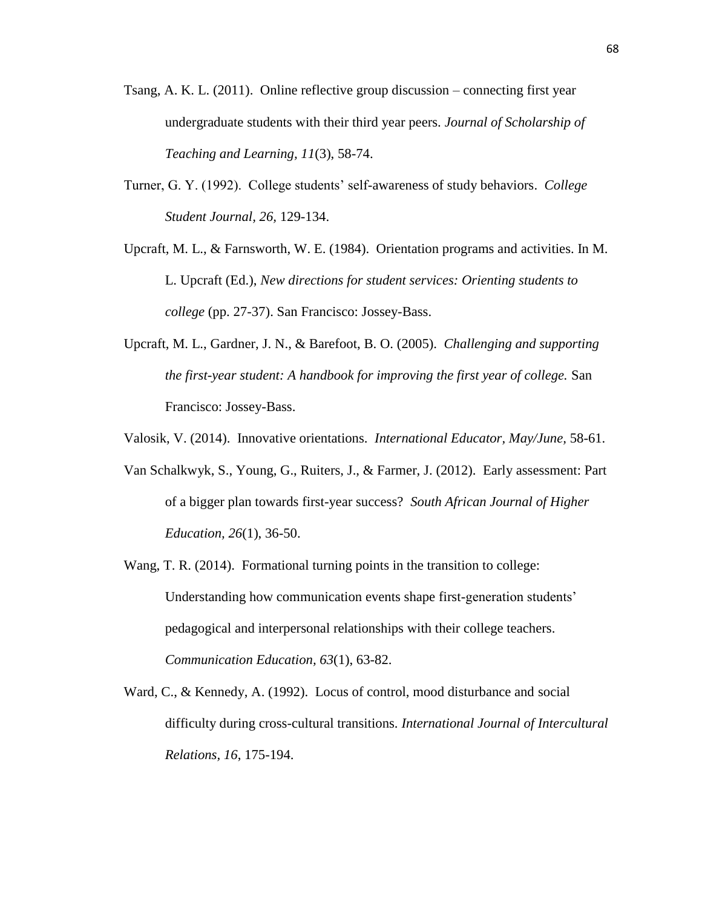- Tsang, A. K. L. (2011). Online reflective group discussion connecting first year undergraduate students with their third year peers. *Journal of Scholarship of Teaching and Learning, 11*(3), 58-74.
- Turner, G. Y. (1992). College students' self-awareness of study behaviors. *College Student Journal, 26,* 129-134.
- Upcraft, M. L., & Farnsworth, W. E. (1984). Orientation programs and activities. In M. L. Upcraft (Ed.), *New directions for student services: Orienting students to college* (pp. 27-37). San Francisco: Jossey-Bass.
- Upcraft, M. L., Gardner, J. N., & Barefoot, B. O. (2005). *Challenging and supporting the first-year student: A handbook for improving the first year of college.* San Francisco: Jossey-Bass.
- Valosik, V. (2014). Innovative orientations. *International Educator, May/June,* 58-61.
- Van Schalkwyk, S., Young, G., Ruiters, J., & Farmer, J. (2012). Early assessment: Part of a bigger plan towards first-year success? *South African Journal of Higher Education, 26*(1), 36-50.
- Wang, T. R. (2014). Formational turning points in the transition to college: Understanding how communication events shape first-generation students' pedagogical and interpersonal relationships with their college teachers. *Communication Education, 63*(1), 63-82.
- Ward, C., & Kennedy, A. (1992). Locus of control, mood disturbance and social difficulty during cross-cultural transitions. *International Journal of Intercultural Relations, 16*, 175-194.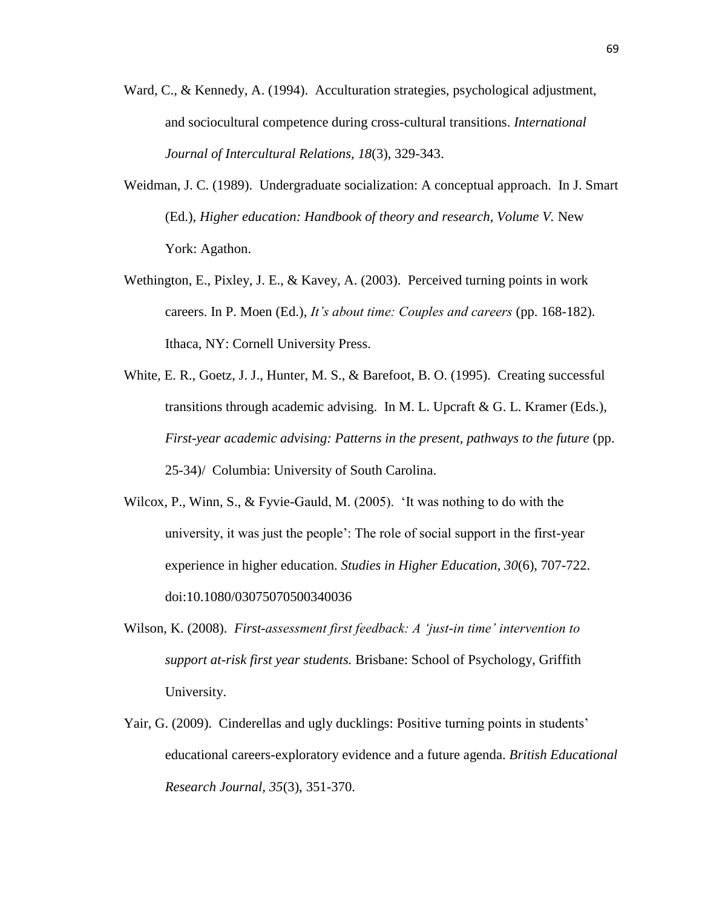- Ward, C., & Kennedy, A. (1994). Acculturation strategies, psychological adjustment, and sociocultural competence during cross-cultural transitions. *International Journal of Intercultural Relations, 18*(3), 329-343.
- Weidman, J. C. (1989). Undergraduate socialization: A conceptual approach. In J. Smart (Ed.), *Higher education: Handbook of theory and research, Volume V.* New York: Agathon.
- Wethington, E., Pixley, J. E., & Kavey, A. (2003). Perceived turning points in work careers. In P. Moen (Ed.), *It's about time: Couples and careers* (pp. 168-182). Ithaca, NY: Cornell University Press.
- White, E. R., Goetz, J. J., Hunter, M. S., & Barefoot, B. O. (1995). Creating successful transitions through academic advising. In M. L. Upcraft & G. L. Kramer (Eds.), *First-year academic advising: Patterns in the present, pathways to the future* (pp. 25-34)/ Columbia: University of South Carolina.
- Wilcox, P., Winn, S., & Fyvie-Gauld, M. (2005). 'It was nothing to do with the university, it was just the people': The role of social support in the first-year experience in higher education. *Studies in Higher Education, 30*(6), 707-722. doi:10.1080/03075070500340036
- Wilson, K. (2008). *First-assessment first feedback: A 'just-in time' intervention to support at-risk first year students.* Brisbane: School of Psychology, Griffith University.
- Yair, G. (2009). Cinderellas and ugly ducklings: Positive turning points in students' educational careers-exploratory evidence and a future agenda. *British Educational Research Journal, 35*(3), 351-370.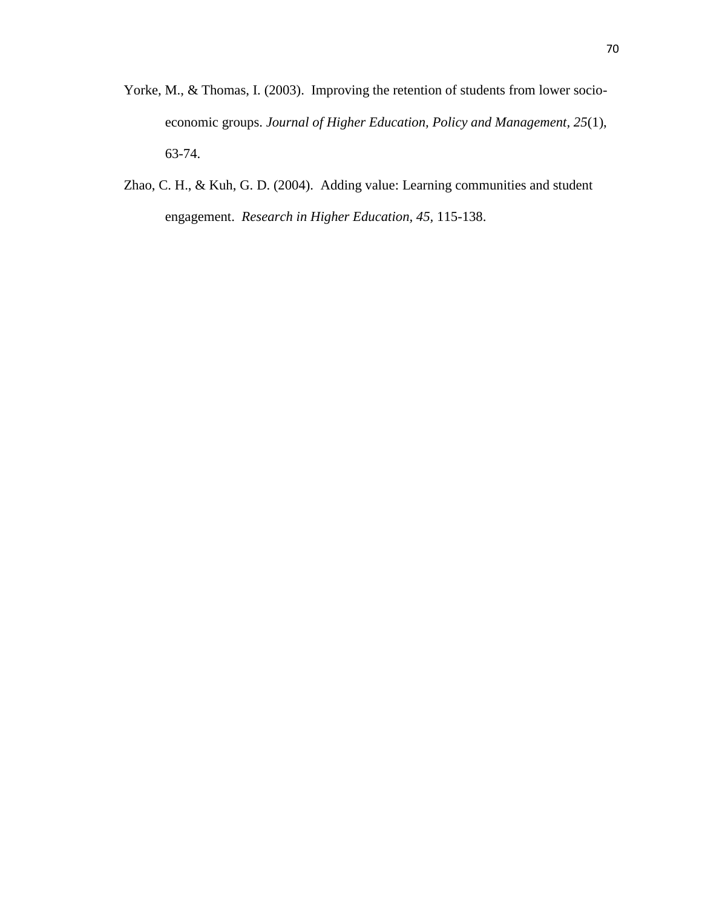- Yorke, M., & Thomas, I. (2003). Improving the retention of students from lower socioeconomic groups. *Journal of Higher Education, Policy and Management, 25*(1), 63-74.
- Zhao, C. H., & Kuh, G. D. (2004). Adding value: Learning communities and student engagement. *Research in Higher Education, 45,* 115-138.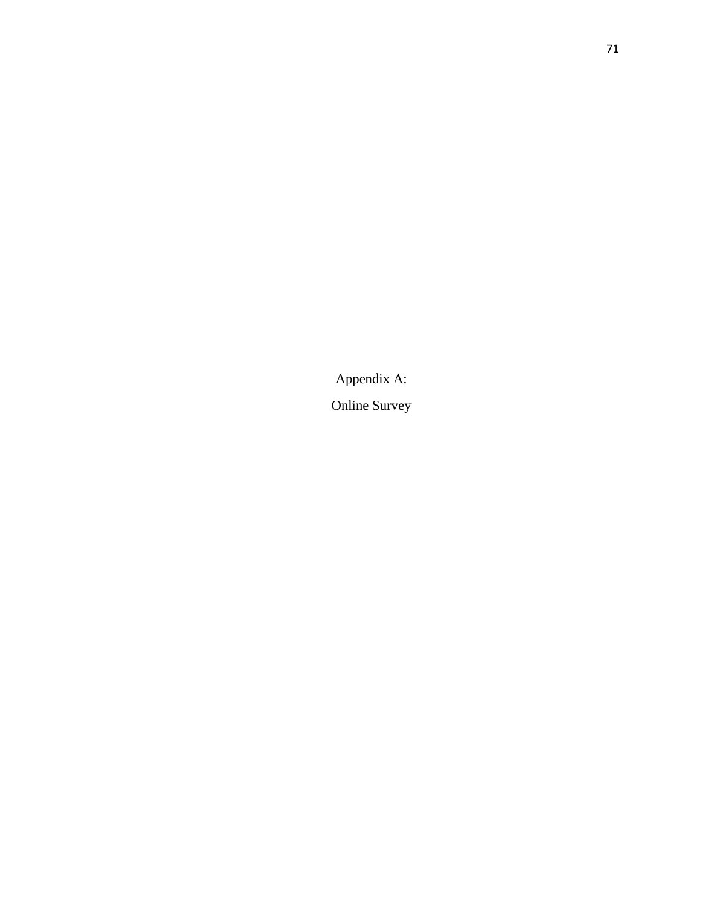Appendix A:

Online Survey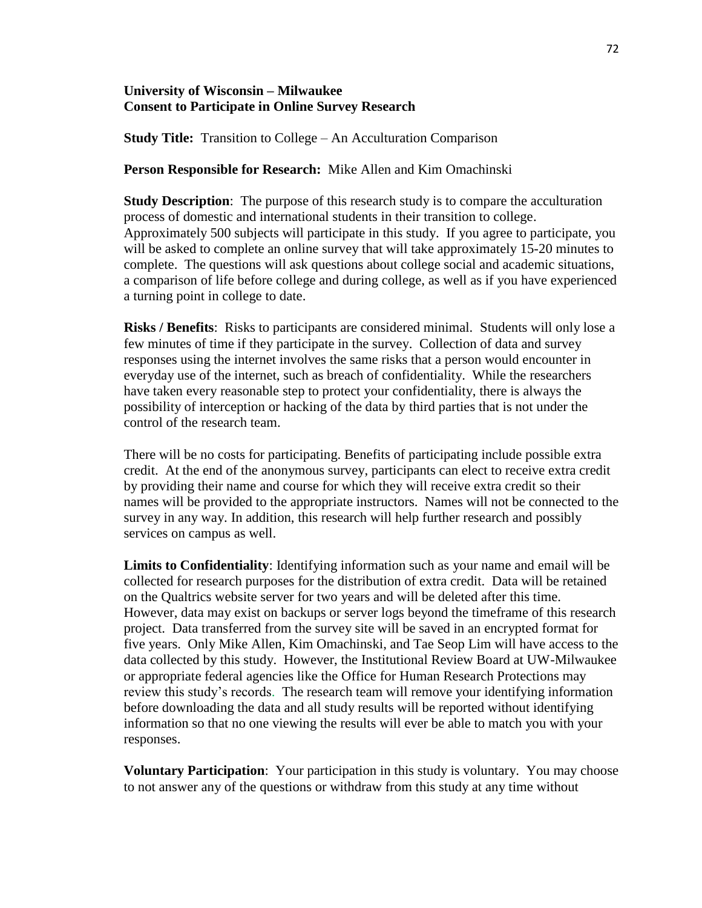# **University of Wisconsin – Milwaukee Consent to Participate in Online Survey Research**

**Study Title:** Transition to College – An Acculturation Comparison

# **Person Responsible for Research:** Mike Allen and Kim Omachinski

**Study Description:** The purpose of this research study is to compare the acculturation process of domestic and international students in their transition to college. Approximately 500 subjects will participate in this study. If you agree to participate, you will be asked to complete an online survey that will take approximately 15-20 minutes to complete. The questions will ask questions about college social and academic situations, a comparison of life before college and during college, as well as if you have experienced a turning point in college to date.

**Risks / Benefits**: Risks to participants are considered minimal. Students will only lose a few minutes of time if they participate in the survey. Collection of data and survey responses using the internet involves the same risks that a person would encounter in everyday use of the internet, such as breach of confidentiality. While the researchers have taken every reasonable step to protect your confidentiality, there is always the possibility of interception or hacking of the data by third parties that is not under the control of the research team.

There will be no costs for participating. Benefits of participating include possible extra credit. At the end of the anonymous survey, participants can elect to receive extra credit by providing their name and course for which they will receive extra credit so their names will be provided to the appropriate instructors. Names will not be connected to the survey in any way. In addition, this research will help further research and possibly services on campus as well.

**Limits to Confidentiality**: Identifying information such as your name and email will be collected for research purposes for the distribution of extra credit. Data will be retained on the Qualtrics website server for two years and will be deleted after this time. However, data may exist on backups or server logs beyond the timeframe of this research project. Data transferred from the survey site will be saved in an encrypted format for five years. Only Mike Allen, Kim Omachinski, and Tae Seop Lim will have access to the data collected by this study. However, the Institutional Review Board at UW-Milwaukee or appropriate federal agencies like the Office for Human Research Protections may review this study's records. The research team will remove your identifying information before downloading the data and all study results will be reported without identifying information so that no one viewing the results will ever be able to match you with your responses.

**Voluntary Participation**: Your participation in this study is voluntary. You may choose to not answer any of the questions or withdraw from this study at any time without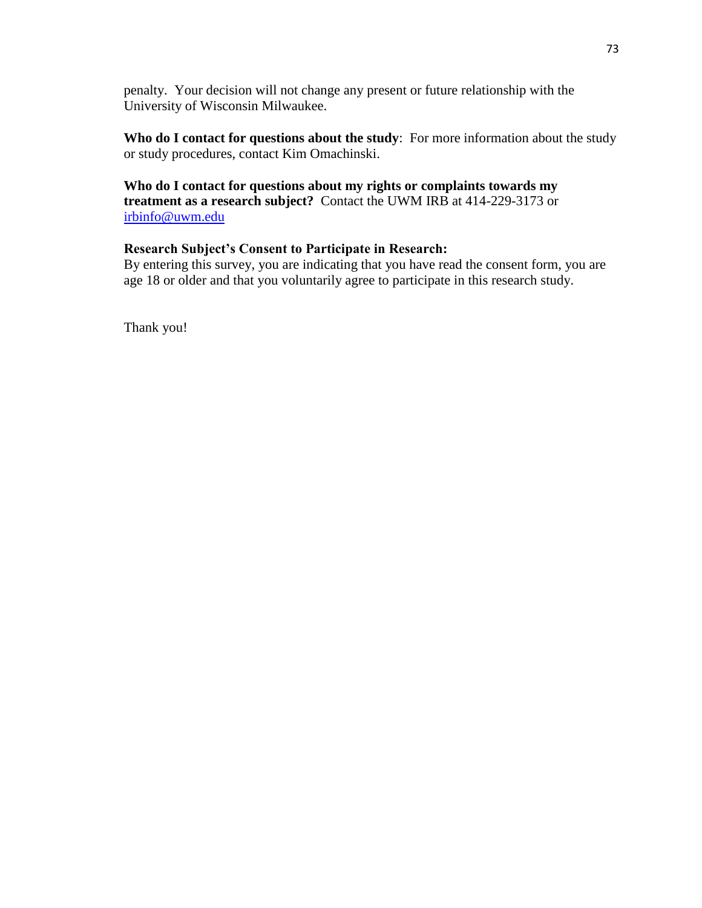penalty. Your decision will not change any present or future relationship with the University of Wisconsin Milwaukee.

**Who do I contact for questions about the study**: For more information about the study or study procedures, contact Kim Omachinski.

# **Who do I contact for questions about my rights or complaints towards my treatment as a research subject?** Contact the UWM IRB at 414-229-3173 or [irbinfo@uwm.edu](mailto:irbinfo@uwm.edu)

# **Research Subject's Consent to Participate in Research:**

By entering this survey, you are indicating that you have read the consent form, you are age 18 or older and that you voluntarily agree to participate in this research study.

Thank you!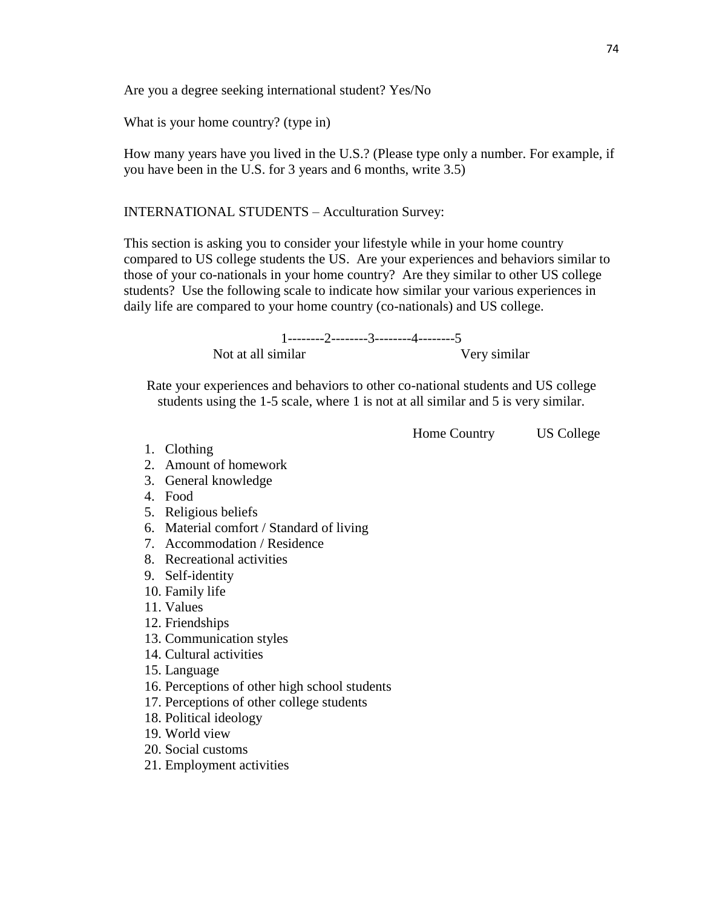Are you a degree seeking international student? Yes/No

What is your home country? (type in)

How many years have you lived in the U.S.? (Please type only a number. For example, if you have been in the U.S. for 3 years and 6 months, write 3.5)

INTERNATIONAL STUDENTS – Acculturation Survey:

This section is asking you to consider your lifestyle while in your home country compared to US college students the US. Are your experiences and behaviors similar to those of your co-nationals in your home country? Are they similar to other US college students? Use the following scale to indicate how similar your various experiences in daily life are compared to your home country (co-nationals) and US college.

> 1--------2--------3--------4--------5 Not at all similar Very similar

Rate your experiences and behaviors to other co-national students and US college students using the 1-5 scale, where 1 is not at all similar and 5 is very similar.

Home Country US College

- 1. Clothing
- 2. Amount of homework
- 3. General knowledge
- 4. Food
- 5. Religious beliefs
- 6. Material comfort / Standard of living
- 7. Accommodation / Residence
- 8. Recreational activities
- 9. Self-identity
- 10. Family life
- 11. Values
- 12. Friendships
- 13. Communication styles
- 14. Cultural activities
- 15. Language
- 16. Perceptions of other high school students
- 17. Perceptions of other college students
- 18. Political ideology
- 19. World view
- 20. Social customs
- 21. Employment activities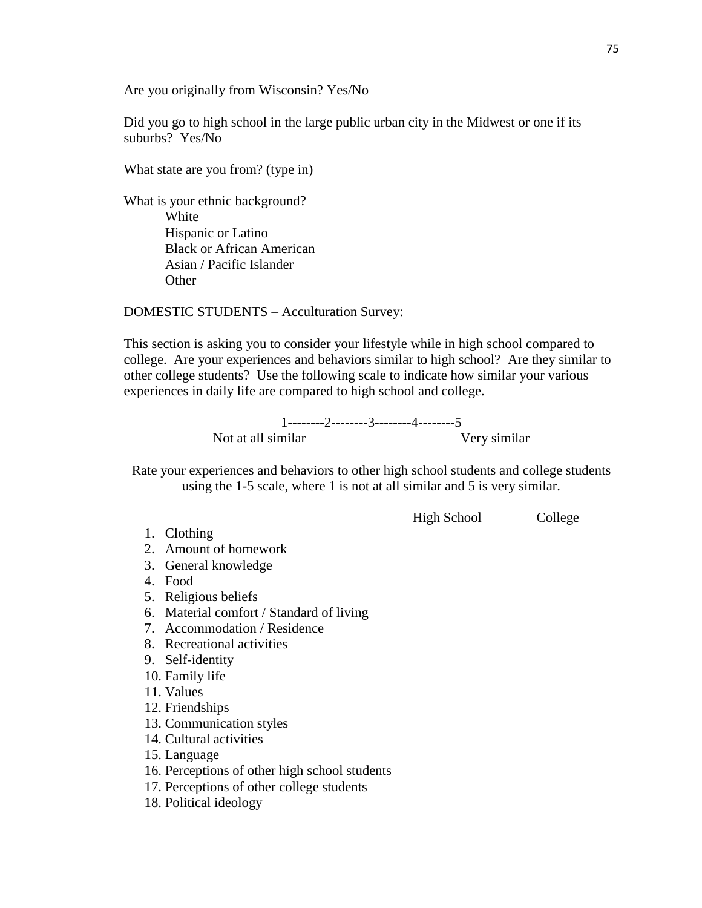Are you originally from Wisconsin? Yes/No

Did you go to high school in the large public urban city in the Midwest or one if its suburbs? Yes/No

What state are you from? (type in)

What is your ethnic background? White Hispanic or Latino Black or African American Asian / Pacific Islander **Other** 

DOMESTIC STUDENTS – Acculturation Survey:

This section is asking you to consider your lifestyle while in high school compared to college. Are your experiences and behaviors similar to high school? Are they similar to other college students? Use the following scale to indicate how similar your various experiences in daily life are compared to high school and college.

> 1--------2--------3--------4--------5 Not at all similar Very similar

Rate your experiences and behaviors to other high school students and college students using the 1-5 scale, where 1 is not at all similar and 5 is very similar.

High School College

- 1. Clothing
- 2. Amount of homework
- 3. General knowledge
- 4. Food
- 5. Religious beliefs
- 6. Material comfort / Standard of living
- 7. Accommodation / Residence
- 8. Recreational activities
- 9. Self-identity
- 10. Family life
- 11. Values
- 12. Friendships
- 13. Communication styles
- 14. Cultural activities
- 15. Language
- 16. Perceptions of other high school students
- 17. Perceptions of other college students
- 18. Political ideology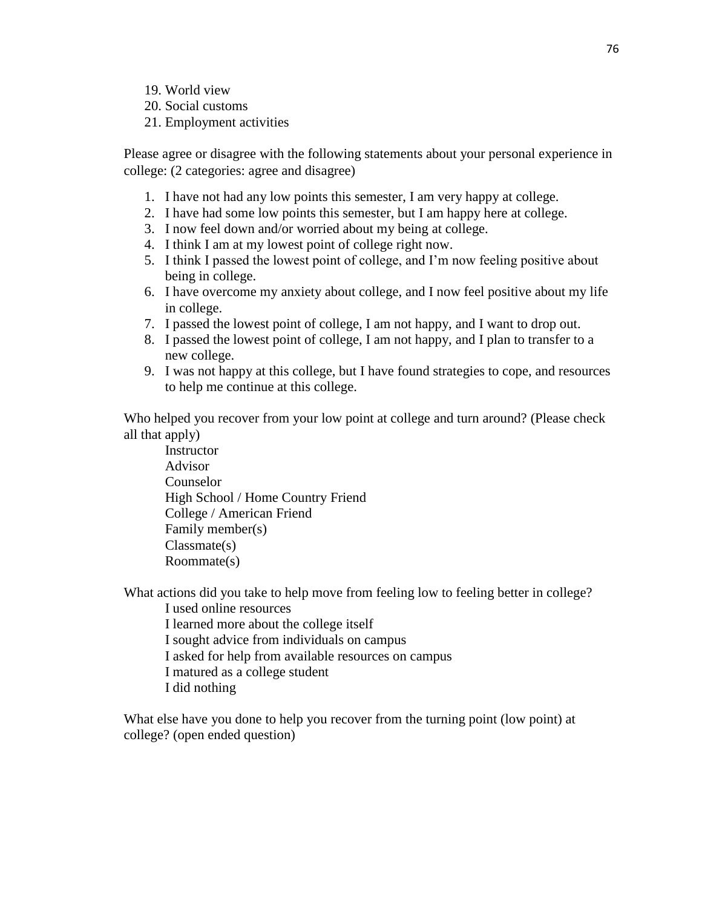- 19. World view
- 20. Social customs
- 21. Employment activities

Please agree or disagree with the following statements about your personal experience in college: (2 categories: agree and disagree)

- 1. I have not had any low points this semester, I am very happy at college.
- 2. I have had some low points this semester, but I am happy here at college.
- 3. I now feel down and/or worried about my being at college.
- 4. I think I am at my lowest point of college right now.
- 5. I think I passed the lowest point of college, and I'm now feeling positive about being in college.
- 6. I have overcome my anxiety about college, and I now feel positive about my life in college.
- 7. I passed the lowest point of college, I am not happy, and I want to drop out.
- 8. I passed the lowest point of college, I am not happy, and I plan to transfer to a new college.
- 9. I was not happy at this college, but I have found strategies to cope, and resources to help me continue at this college.

Who helped you recover from your low point at college and turn around? (Please check all that apply)

**Instructor** Advisor Counselor High School / Home Country Friend College / American Friend Family member(s) Classmate(s) Roommate(s)

What actions did you take to help move from feeling low to feeling better in college? I used online resources

I learned more about the college itself I sought advice from individuals on campus I asked for help from available resources on campus

- I matured as a college student
- I did nothing

What else have you done to help you recover from the turning point (low point) at college? (open ended question)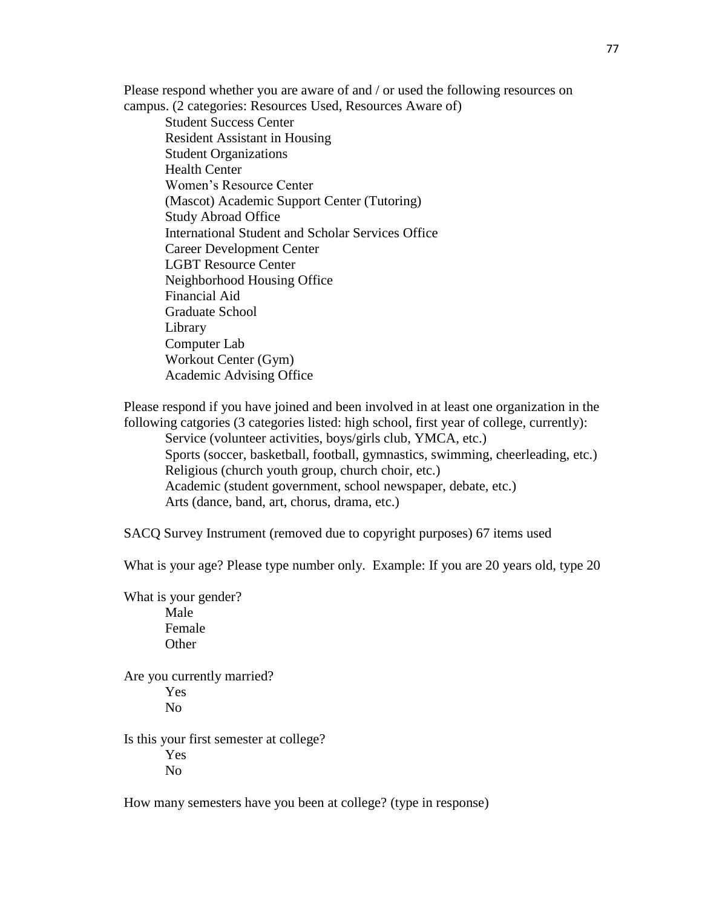Please respond whether you are aware of and / or used the following resources on campus. (2 categories: Resources Used, Resources Aware of)

Student Success Center Resident Assistant in Housing Student Organizations Health Center Women's Resource Center (Mascot) Academic Support Center (Tutoring) Study Abroad Office International Student and Scholar Services Office Career Development Center LGBT Resource Center Neighborhood Housing Office Financial Aid Graduate School Library Computer Lab Workout Center (Gym) Academic Advising Office

Please respond if you have joined and been involved in at least one organization in the following catgories (3 categories listed: high school, first year of college, currently): Service (volunteer activities, boys/girls club, YMCA, etc.) Sports (soccer, basketball, football, gymnastics, swimming, cheerleading, etc.) Religious (church youth group, church choir, etc.) Academic (student government, school newspaper, debate, etc.)

Arts (dance, band, art, chorus, drama, etc.)

SACQ Survey Instrument (removed due to copyright purposes) 67 items used

What is your age? Please type number only. Example: If you are 20 years old, type 20

What is your gender? Male Female **Other** 

Are you currently married? Yes No

Is this your first semester at college? Yes No

How many semesters have you been at college? (type in response)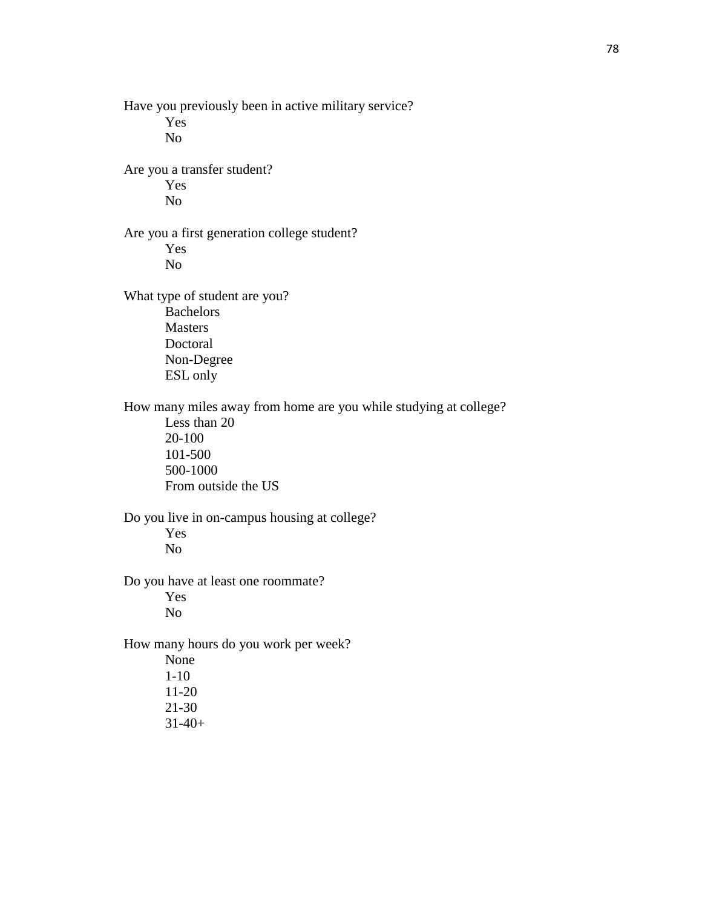Have you previously been in active military service? Yes No Are you a transfer student? Yes No Are you a first generation college student? Yes No What type of student are you? Bachelors Masters Doctoral Non-Degree ESL only How many miles away from home are you while studying at college? Less than 20 20-100 101-500 500-1000 From outside the US Do you live in on-campus housing at college? Yes No Do you have at least one roommate? Yes No How many hours do you work per week? None 1-10 11-20 21-30 31-40+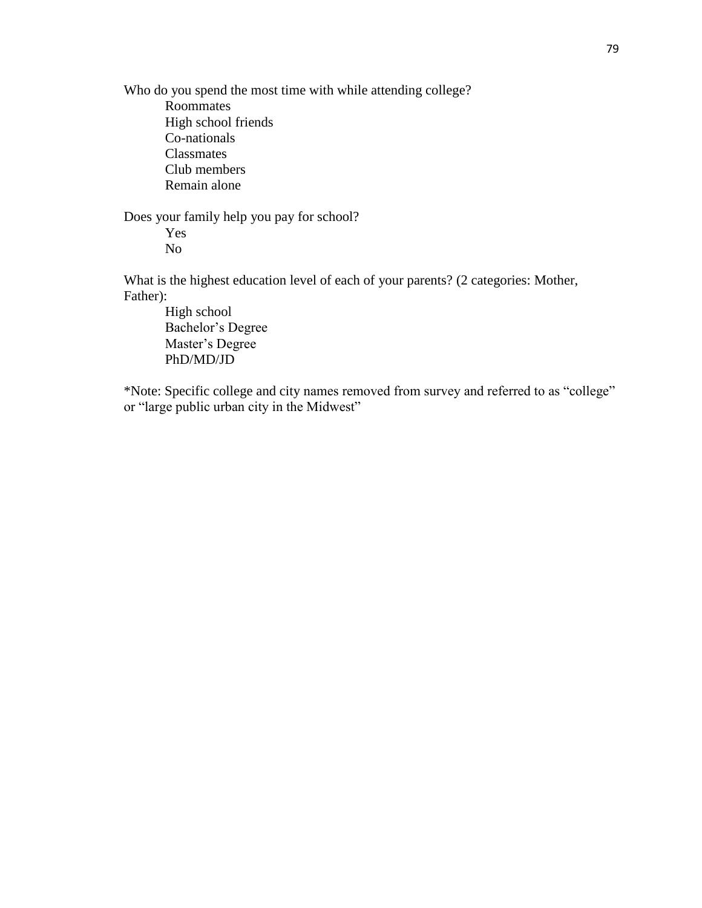Who do you spend the most time with while attending college? Roommates High school friends Co-nationals Classmates Club members Remain alone

Does your family help you pay for school? Yes No

What is the highest education level of each of your parents? (2 categories: Mother, Father):

High school Bachelor's Degree Master's Degree PhD/MD/JD

\*Note: Specific college and city names removed from survey and referred to as "college" or "large public urban city in the Midwest"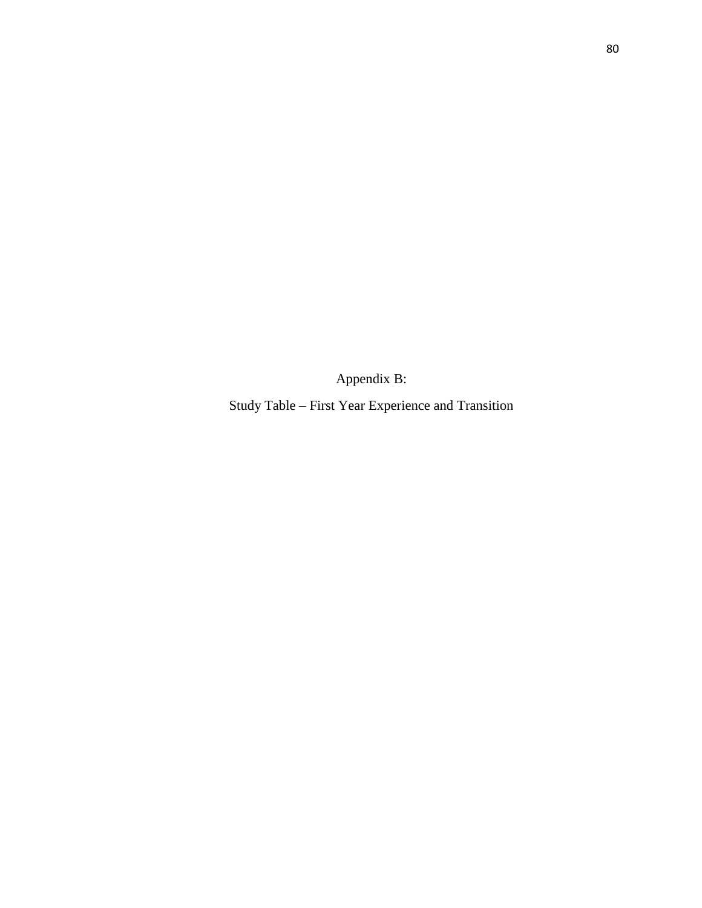Appendix B:

Study Table – First Year Experience and Transition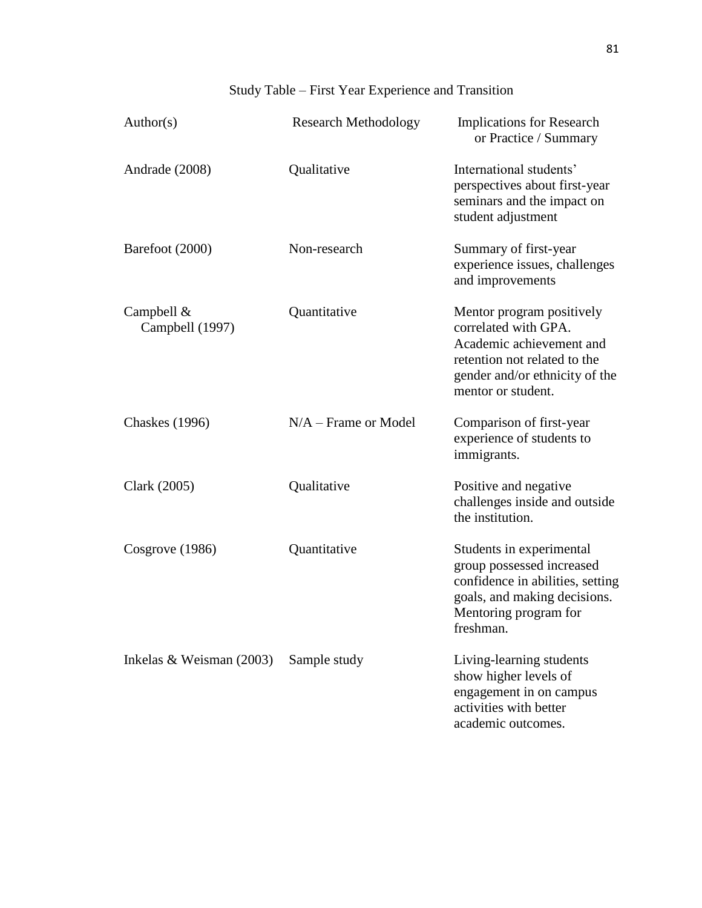# Study Table – First Year Experience and Transition

| Author(s)                       | <b>Research Methodology</b> | <b>Implications for Research</b><br>or Practice / Summary                                                                                                             |
|---------------------------------|-----------------------------|-----------------------------------------------------------------------------------------------------------------------------------------------------------------------|
| Andrade (2008)                  | Qualitative                 | International students'<br>perspectives about first-year<br>seminars and the impact on<br>student adjustment                                                          |
| Barefoot (2000)                 | Non-research                | Summary of first-year<br>experience issues, challenges<br>and improvements                                                                                            |
| Campbell $&$<br>Campbell (1997) | Quantitative                | Mentor program positively<br>correlated with GPA.<br>Academic achievement and<br>retention not related to the<br>gender and/or ethnicity of the<br>mentor or student. |
| <b>Chaskes</b> (1996)           | $N/A$ – Frame or Model      | Comparison of first-year<br>experience of students to<br>immigrants.                                                                                                  |
| Clark (2005)                    | Qualitative                 | Positive and negative<br>challenges inside and outside<br>the institution.                                                                                            |
| Cosgrove (1986)                 | Quantitative                | Students in experimental<br>group possessed increased<br>confidence in abilities, setting<br>goals, and making decisions.<br>Mentoring program for<br>freshman.       |
| Inkelas & Weisman $(2003)$      | Sample study                | Living-learning students<br>show higher levels of<br>engagement in on campus<br>activities with better<br>academic outcomes.                                          |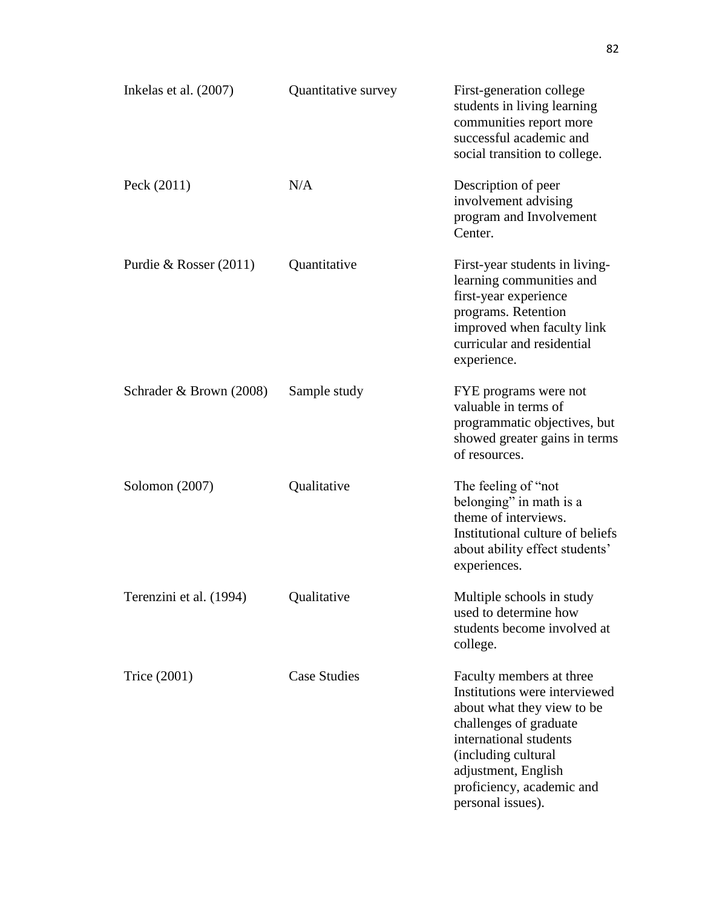| Inkelas et al. $(2007)$  | Quantitative survey | First-generation college<br>students in living learning<br>communities report more<br>successful academic and<br>social transition to college.                                                                                              |
|--------------------------|---------------------|---------------------------------------------------------------------------------------------------------------------------------------------------------------------------------------------------------------------------------------------|
| Peck $(2011)$            | N/A                 | Description of peer<br>involvement advising<br>program and Involvement<br>Center.                                                                                                                                                           |
| Purdie & Rosser $(2011)$ | Quantitative        | First-year students in living-<br>learning communities and<br>first-year experience<br>programs. Retention<br>improved when faculty link<br>curricular and residential<br>experience.                                                       |
| Schrader & Brown (2008)  | Sample study        | FYE programs were not<br>valuable in terms of<br>programmatic objectives, but<br>showed greater gains in terms<br>of resources.                                                                                                             |
| Solomon $(2007)$         | Qualitative         | The feeling of "not"<br>belonging" in math is a<br>theme of interviews.<br>Institutional culture of beliefs<br>about ability effect students'<br>experiences.                                                                               |
| Terenzini et al. (1994)  | Qualitative         | Multiple schools in study<br>used to determine how<br>students become involved at<br>college.                                                                                                                                               |
| Trice (2001)             | <b>Case Studies</b> | Faculty members at three<br>Institutions were interviewed<br>about what they view to be<br>challenges of graduate<br>international students<br>(including cultural<br>adjustment, English<br>proficiency, academic and<br>personal issues). |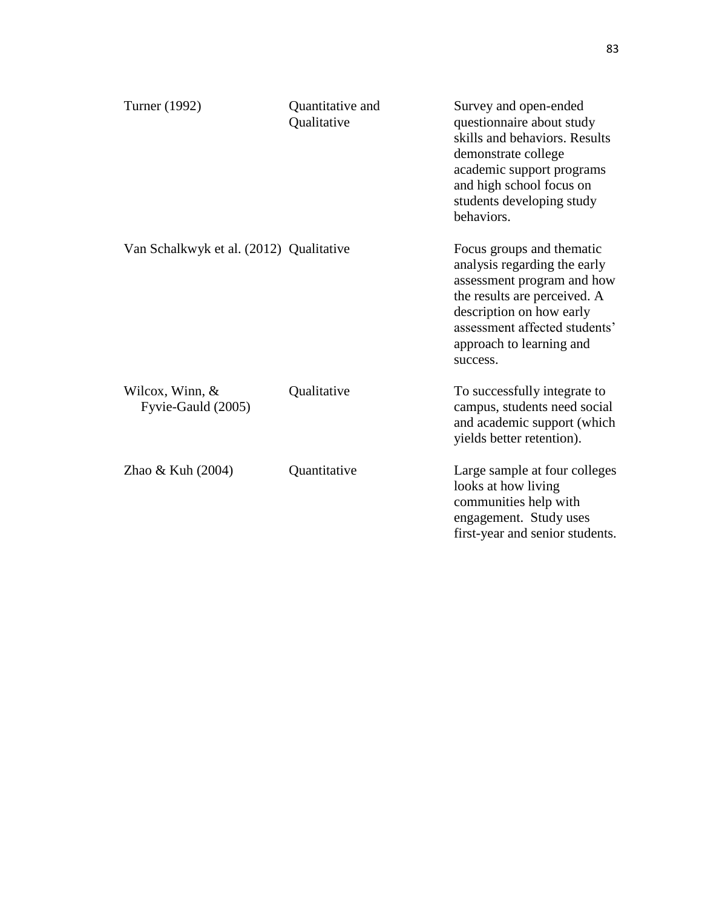| Turner (1992)                           | Quantitative and<br>Qualitative | Survey and open-ended<br>questionnaire about study<br>skills and behaviors. Results<br>demonstrate college<br>academic support programs<br>and high school focus on<br>students developing study<br>behaviors.               |
|-----------------------------------------|---------------------------------|------------------------------------------------------------------------------------------------------------------------------------------------------------------------------------------------------------------------------|
| Van Schalkwyk et al. (2012) Qualitative |                                 | Focus groups and thematic<br>analysis regarding the early<br>assessment program and how<br>the results are perceived. A<br>description on how early<br>assessment affected students'<br>approach to learning and<br>success. |
| Wilcox, Winn, $&$<br>Fyvie-Gauld (2005) | Qualitative                     | To successfully integrate to<br>campus, students need social<br>and academic support (which<br>yields better retention).                                                                                                     |
| Zhao $&$ Kuh $(2004)$                   | Quantitative                    | Large sample at four colleges<br>looks at how living<br>communities help with<br>engagement. Study uses<br>first-year and senior students.                                                                                   |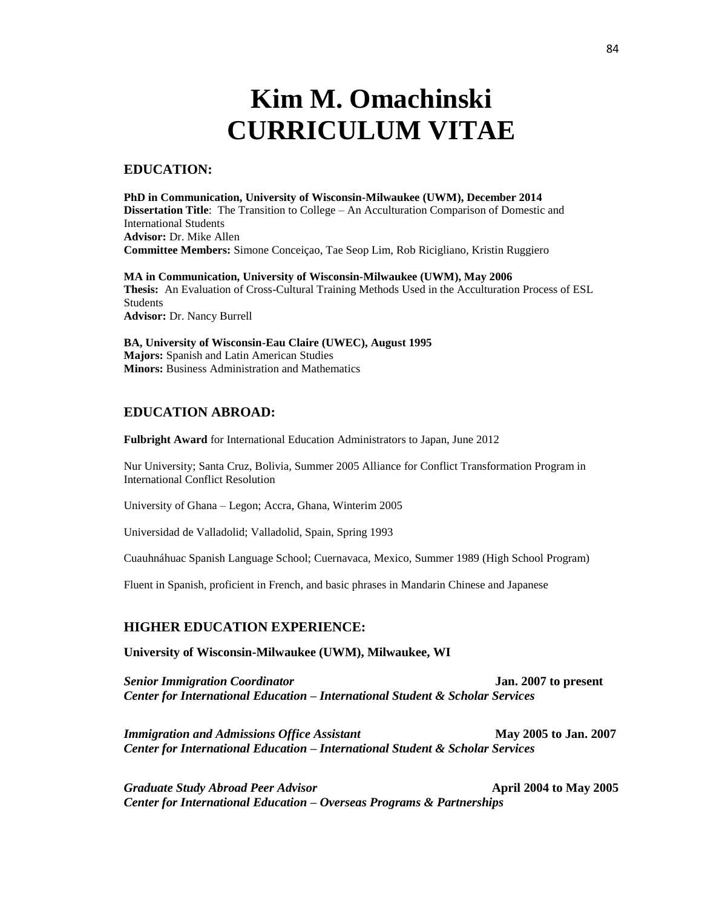# **Kim M. Omachinski CURRICULUM VITAE**

## **EDUCATION:**

**PhD in Communication, University of Wisconsin-Milwaukee (UWM), December 2014 Dissertation Title**: The Transition to College – An Acculturation Comparison of Domestic and International Students **Advisor:** Dr. Mike Allen **Committee Members:** Simone Conceiçao, Tae Seop Lim, Rob Ricigliano, Kristin Ruggiero

**MA in Communication, University of Wisconsin-Milwaukee (UWM), May 2006 Thesis:** An Evaluation of Cross-Cultural Training Methods Used in the Acculturation Process of ESL Students **Advisor:** Dr. Nancy Burrell

**BA, University of Wisconsin-Eau Claire (UWEC), August 1995 Majors:** Spanish and Latin American Studies **Minors:** Business Administration and Mathematics

# **EDUCATION ABROAD:**

**Fulbright Award** for International Education Administrators to Japan, June 2012

Nur University; Santa Cruz, Bolivia, Summer 2005 Alliance for Conflict Transformation Program in International Conflict Resolution

University of Ghana – Legon; Accra, Ghana, Winterim 2005

Universidad de Valladolid; Valladolid, Spain, Spring 1993

Cuauhnáhuac Spanish Language School; Cuernavaca, Mexico, Summer 1989 (High School Program)

Fluent in Spanish, proficient in French, and basic phrases in Mandarin Chinese and Japanese

#### **HIGHER EDUCATION EXPERIENCE:**

**University of Wisconsin-Milwaukee (UWM), Milwaukee, WI**

*Senior Immigration Coordinator* **Jan. 2007 to present** *Center for International Education – International Student & Scholar Services*

*Immigration and Admissions Office Assistant* **May 2005 to Jan. 2007** *Center for International Education – International Student & Scholar Services*

*Graduate Study Abroad Peer Advisor* **April 2004 to May 2005** *Center for International Education – Overseas Programs & Partnerships*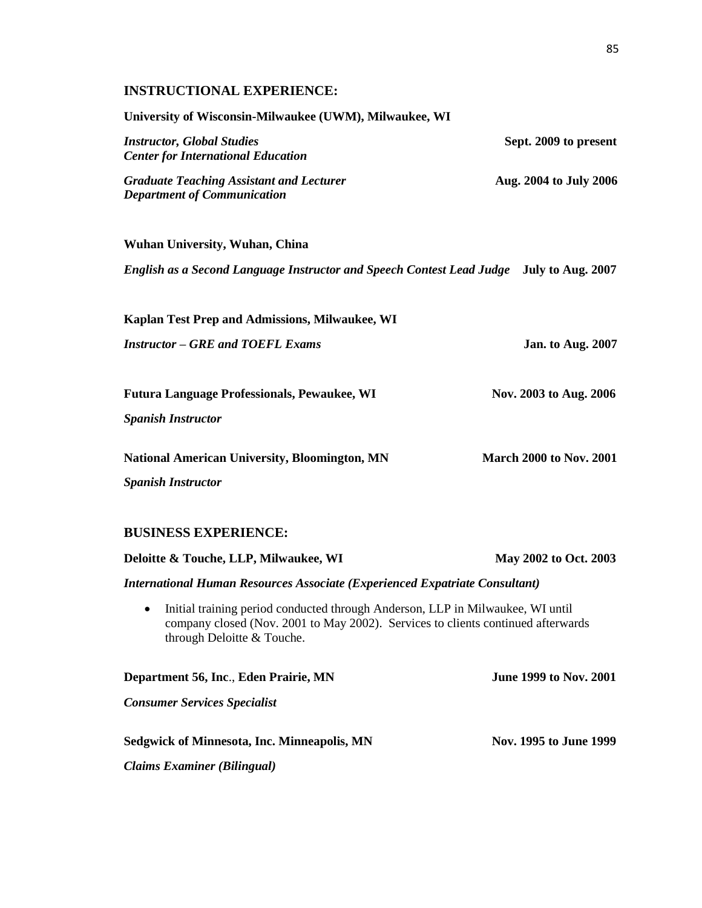# **INSTRUCTIONAL EXPERIENCE:**

| University of Wisconsin-Milwaukee (UWM), Milwaukee, WI                                                                                                                                                        |                                |
|---------------------------------------------------------------------------------------------------------------------------------------------------------------------------------------------------------------|--------------------------------|
| <b>Instructor, Global Studies</b><br><b>Center for International Education</b>                                                                                                                                | Sept. 2009 to present          |
| <b>Graduate Teaching Assistant and Lecturer</b><br><b>Department of Communication</b>                                                                                                                         | Aug. 2004 to July 2006         |
| <b>Wuhan University, Wuhan, China</b>                                                                                                                                                                         |                                |
| English as a Second Language Instructor and Speech Contest Lead Judge July to Aug. 2007                                                                                                                       |                                |
| Kaplan Test Prep and Admissions, Milwaukee, WI                                                                                                                                                                |                                |
| <b>Instructor – GRE and TOEFL Exams</b>                                                                                                                                                                       | <b>Jan. to Aug. 2007</b>       |
| <b>Futura Language Professionals, Pewaukee, WI</b>                                                                                                                                                            | Nov. 2003 to Aug. 2006         |
| <b>Spanish Instructor</b>                                                                                                                                                                                     |                                |
|                                                                                                                                                                                                               |                                |
| <b>National American University, Bloomington, MN</b>                                                                                                                                                          | <b>March 2000 to Nov. 2001</b> |
| <b>Spanish Instructor</b>                                                                                                                                                                                     |                                |
| <b>BUSINESS EXPERIENCE:</b>                                                                                                                                                                                   |                                |
| Deloitte & Touche, LLP, Milwaukee, WI                                                                                                                                                                         | May 2002 to Oct. 2003          |
| <b>International Human Resources Associate (Experienced Expatriate Consultant)</b>                                                                                                                            |                                |
| Initial training period conducted through Anderson, LLP in Milwaukee, WI until<br>$\bullet$<br>company closed (Nov. 2001 to May 2002). Services to clients continued afterwards<br>through Deloitte & Touche. |                                |
| Department 56, Inc., Eden Prairie, MN                                                                                                                                                                         | <b>June 1999 to Nov. 2001</b>  |
| <b>Consumer Services Specialist</b>                                                                                                                                                                           |                                |
| Sedgwick of Minnesota, Inc. Minneapolis, MN                                                                                                                                                                   | Nov. 1995 to June 1999         |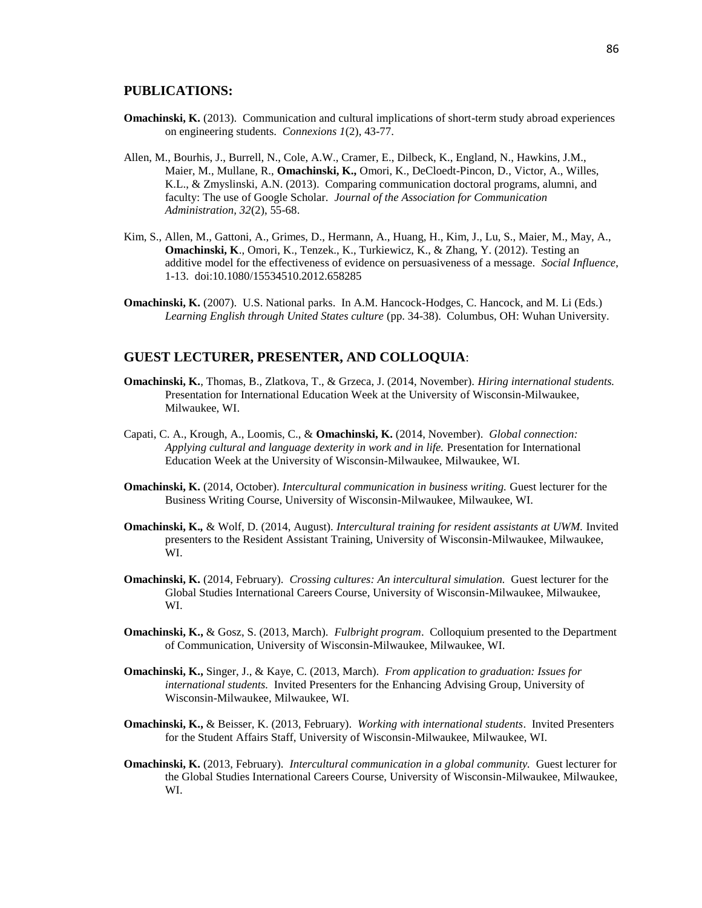## **PUBLICATIONS:**

- **Omachinski, K.** (2013). Communication and cultural implications of short-term study abroad experiences on engineering students. *Connexions 1*(2), 43-77.
- Allen, M., Bourhis, J., Burrell, N., Cole, A.W., Cramer, E., Dilbeck, K., England, N., Hawkins, J.M., Maier, M., Mullane, R., **Omachinski, K.,** Omori, K., DeCloedt-Pincon, D., Victor, A., Willes, K.L., & Zmyslinski, A.N. (2013). Comparing communication doctoral programs, alumni, and faculty: The use of Google Scholar. *Journal of the Association for Communication Administration, 32*(2), 55-68.
- Kim, S., Allen, M., Gattoni, A., Grimes, D., Hermann, A., Huang, H., Kim, J., Lu, S., Maier, M., May, A., **Omachinski, K**., Omori, K., Tenzek., K., Turkiewicz, K., & Zhang, Y. (2012). Testing an additive model for the effectiveness of evidence on persuasiveness of a message*. Social Influence*, 1-13. doi:10.1080/15534510.2012.658285
- **Omachinski, K.** (2007). U.S. National parks. In A.M. Hancock-Hodges, C. Hancock, and M. Li (Eds.) *Learning English through United States culture* (pp. 34-38). Columbus, OH: Wuhan University.

## **GUEST LECTURER, PRESENTER, AND COLLOQUIA**:

- **Omachinski, K.**, Thomas, B., Zlatkova, T., & Grzeca, J. (2014, November). *Hiring international students.* Presentation for International Education Week at the University of Wisconsin-Milwaukee, Milwaukee, WI.
- Capati, C. A., Krough, A., Loomis, C., & **Omachinski, K.** (2014, November). *Global connection: Applying cultural and language dexterity in work and in life.* Presentation for International Education Week at the University of Wisconsin-Milwaukee, Milwaukee, WI.
- **Omachinski, K.** (2014, October). *Intercultural communication in business writing.* Guest lecturer for the Business Writing Course, University of Wisconsin-Milwaukee, Milwaukee, WI.
- **Omachinski, K.***,* & Wolf, D. (2014, August). *Intercultural training for resident assistants at UWM.* Invited presenters to the Resident Assistant Training, University of Wisconsin-Milwaukee, Milwaukee, WI.
- **Omachinski, K.** (2014, February). *Crossing cultures: An intercultural simulation.* Guest lecturer for the Global Studies International Careers Course, University of Wisconsin-Milwaukee, Milwaukee, WI.
- **Omachinski, K.,** & Gosz, S. (2013, March). *Fulbright program*. Colloquium presented to the Department of Communication, University of Wisconsin-Milwaukee, Milwaukee, WI.
- **Omachinski, K.,** Singer, J., & Kaye, C. (2013, March). *From application to graduation: Issues for international students.* Invited Presenters for the Enhancing Advising Group, University of Wisconsin-Milwaukee, Milwaukee, WI.
- **Omachinski, K.,** & Beisser, K. (2013, February). *Working with international students*. Invited Presenters for the Student Affairs Staff, University of Wisconsin-Milwaukee, Milwaukee, WI.
- **Omachinski, K.** (2013, February). *Intercultural communication in a global community.* Guest lecturer for the Global Studies International Careers Course, University of Wisconsin-Milwaukee, Milwaukee, WI.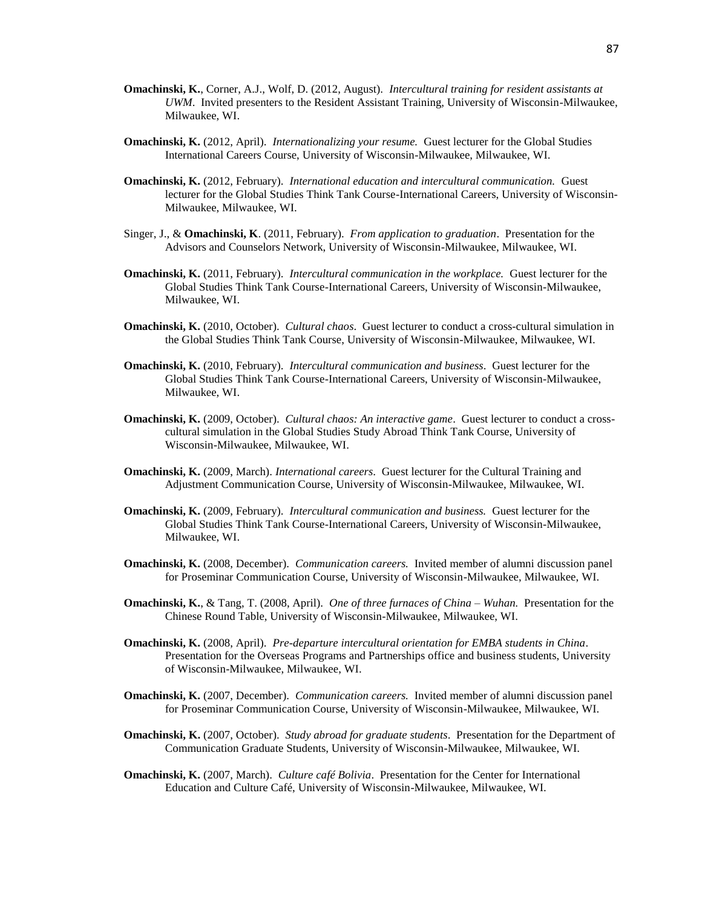- **Omachinski, K.**, Corner, A.J., Wolf, D. (2012, August). *Intercultural training for resident assistants at UWM*. Invited presenters to the Resident Assistant Training, University of Wisconsin-Milwaukee, Milwaukee, WI.
- **Omachinski, K.** (2012, April). *Internationalizing your resume.* Guest lecturer for the Global Studies International Careers Course, University of Wisconsin-Milwaukee, Milwaukee, WI.
- **Omachinski, K.** (2012, February). *International education and intercultural communication.* Guest lecturer for the Global Studies Think Tank Course-International Careers, University of Wisconsin-Milwaukee, Milwaukee, WI.
- Singer, J., & **Omachinski, K**. (2011, February). *From application to graduation*. Presentation for the Advisors and Counselors Network, University of Wisconsin-Milwaukee, Milwaukee, WI.
- **Omachinski, K.** (2011, February). *Intercultural communication in the workplace.* Guest lecturer for the Global Studies Think Tank Course-International Careers, University of Wisconsin-Milwaukee, Milwaukee, WI.
- **Omachinski, K.** (2010, October). *Cultural chaos*. Guest lecturer to conduct a cross-cultural simulation in the Global Studies Think Tank Course, University of Wisconsin-Milwaukee, Milwaukee, WI.
- **Omachinski, K.** (2010, February). *Intercultural communication and business*. Guest lecturer for the Global Studies Think Tank Course-International Careers, University of Wisconsin-Milwaukee, Milwaukee, WI.
- **Omachinski, K.** (2009, October). *Cultural chaos: An interactive game*. Guest lecturer to conduct a crosscultural simulation in the Global Studies Study Abroad Think Tank Course, University of Wisconsin-Milwaukee, Milwaukee, WI.
- **Omachinski, K.** (2009, March). *International careers*. Guest lecturer for the Cultural Training and Adjustment Communication Course, University of Wisconsin-Milwaukee, Milwaukee, WI.
- **Omachinski, K.** (2009, February). *Intercultural communication and business.* Guest lecturer for the Global Studies Think Tank Course-International Careers, University of Wisconsin-Milwaukee, Milwaukee, WI.
- **Omachinski, K.** (2008, December). *Communication careers.* Invited member of alumni discussion panel for Proseminar Communication Course, University of Wisconsin-Milwaukee, Milwaukee, WI.
- **Omachinski, K.**, & Tang, T. (2008, April). *One of three furnaces of China – Wuhan.* Presentation for the Chinese Round Table, University of Wisconsin-Milwaukee, Milwaukee, WI.
- **Omachinski, K.** (2008, April). *Pre-departure intercultural orientation for EMBA students in China*. Presentation for the Overseas Programs and Partnerships office and business students, University of Wisconsin-Milwaukee, Milwaukee, WI.
- **Omachinski, K.** (2007, December). *Communication careers.* Invited member of alumni discussion panel for Proseminar Communication Course, University of Wisconsin-Milwaukee, Milwaukee, WI.
- **Omachinski, K.** (2007, October). *Study abroad for graduate students*. Presentation for the Department of Communication Graduate Students, University of Wisconsin-Milwaukee, Milwaukee, WI.
- **Omachinski, K.** (2007, March). *Culture café Bolivia*. Presentation for the Center for International Education and Culture Café, University of Wisconsin-Milwaukee, Milwaukee, WI.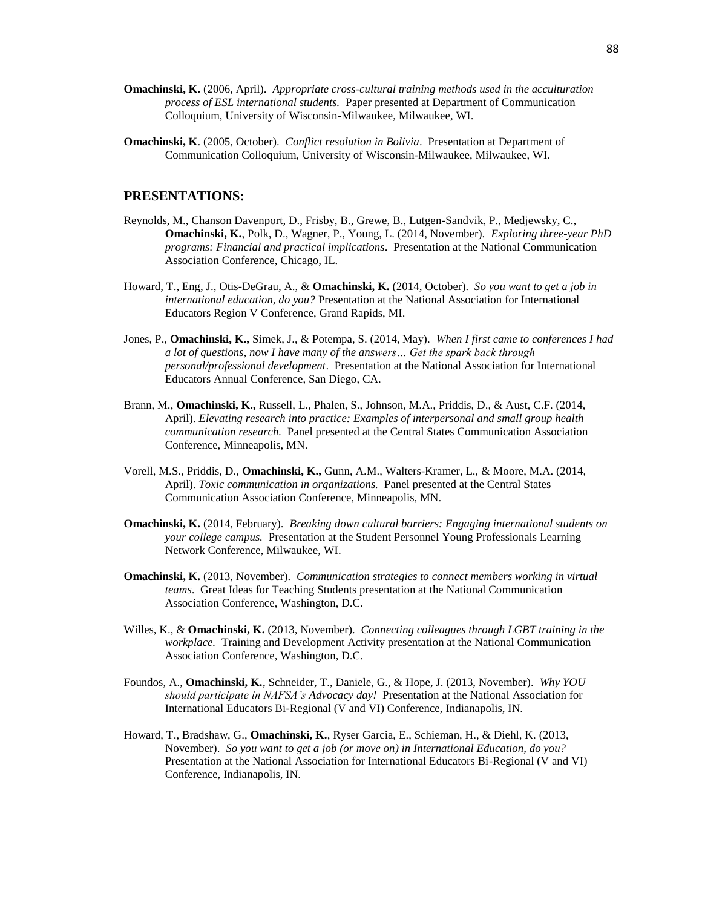- **Omachinski, K.** (2006, April). *Appropriate cross-cultural training methods used in the acculturation process of ESL international students.* Paper presented at Department of Communication Colloquium, University of Wisconsin-Milwaukee, Milwaukee, WI.
- **Omachinski, K**. (2005, October). *Conflict resolution in Bolivia*. Presentation at Department of Communication Colloquium, University of Wisconsin-Milwaukee, Milwaukee, WI.

# **PRESENTATIONS:**

- Reynolds, M., Chanson Davenport, D., Frisby, B., Grewe, B., Lutgen-Sandvik, P., Medjewsky, C., **Omachinski, K.**, Polk, D., Wagner, P., Young, L. (2014, November). *Exploring three-year PhD programs: Financial and practical implications*. Presentation at the National Communication Association Conference, Chicago, IL.
- Howard, T., Eng, J., Otis-DeGrau, A., & **Omachinski, K.** (2014, October). *So you want to get a job in international education, do you?* Presentation at the National Association for International Educators Region V Conference, Grand Rapids, MI.
- Jones, P., **Omachinski, K.,** Simek, J., & Potempa, S. (2014, May). *When I first came to conferences I had a lot of questions, now I have many of the answers… Get the spark back through personal/professional development*. Presentation at the National Association for International Educators Annual Conference, San Diego, CA.
- Brann, M., **Omachinski, K.,** Russell, L., Phalen, S., Johnson, M.A., Priddis, D., & Aust, C.F. (2014, April). *Elevating research into practice: Examples of interpersonal and small group health communication research.* Panel presented at the Central States Communication Association Conference, Minneapolis, MN.
- Vorell, M.S., Priddis, D., **Omachinski, K.,** Gunn, A.M., Walters-Kramer, L., & Moore, M.A. (2014, April). *Toxic communication in organizations.* Panel presented at the Central States Communication Association Conference, Minneapolis, MN.
- **Omachinski, K.** (2014, February). *Breaking down cultural barriers: Engaging international students on your college campus.* Presentation at the Student Personnel Young Professionals Learning Network Conference, Milwaukee, WI.
- **Omachinski, K.** (2013, November). *Communication strategies to connect members working in virtual teams*. Great Ideas for Teaching Students presentation at the National Communication Association Conference, Washington, D.C.
- Willes, K., & **Omachinski, K.** (2013, November). *Connecting colleagues through LGBT training in the workplace.* Training and Development Activity presentation at the National Communication Association Conference, Washington, D.C.
- Foundos, A., **Omachinski, K.**, Schneider, T., Daniele, G., & Hope, J. (2013, November). *Why YOU should participate in NAFSA's Advocacy day!* Presentation at the National Association for International Educators Bi-Regional (V and VI) Conference, Indianapolis, IN.
- Howard, T., Bradshaw, G., **Omachinski, K.**, Ryser Garcia, E., Schieman, H., & Diehl, K. (2013, November). *So you want to get a job (or move on) in International Education, do you?*  Presentation at the National Association for International Educators Bi-Regional (V and VI) Conference, Indianapolis, IN.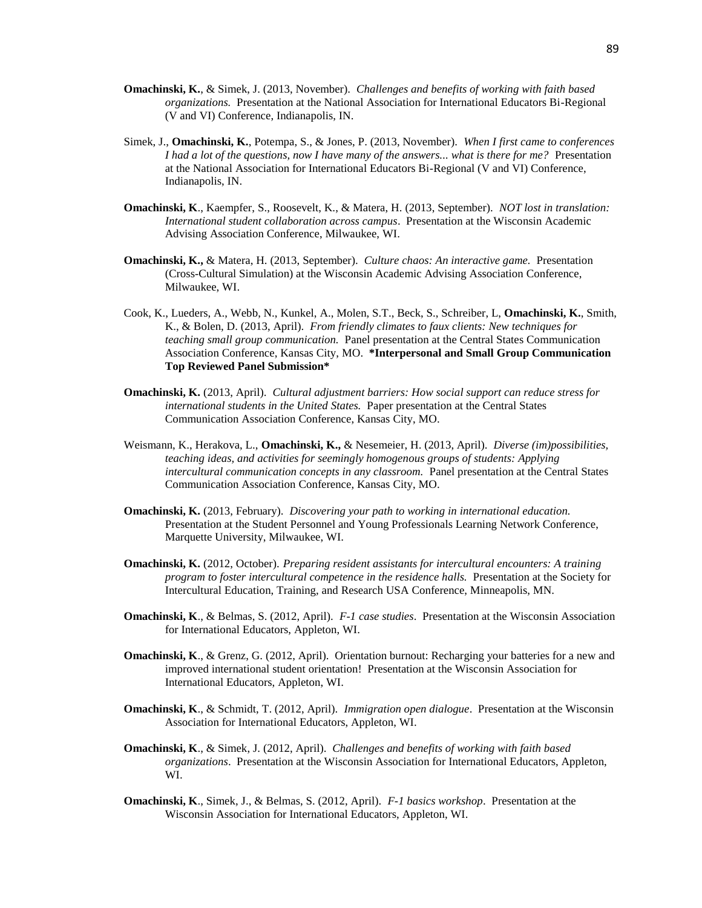- **Omachinski, K.**, & Simek, J. (2013, November). *Challenges and benefits of working with faith based organizations.* Presentation at the National Association for International Educators Bi-Regional (V and VI) Conference, Indianapolis, IN.
- Simek, J., **Omachinski, K.**, Potempa, S., & Jones, P. (2013, November). *When I first came to conferences I had a lot of the questions, now I have many of the answers... what is there for me?* Presentation at the National Association for International Educators Bi-Regional (V and VI) Conference, Indianapolis, IN.
- **Omachinski, K**., Kaempfer, S., Roosevelt, K., & Matera, H. (2013, September). *NOT lost in translation: International student collaboration across campus*. Presentation at the Wisconsin Academic Advising Association Conference, Milwaukee, WI.
- **Omachinski, K.,** & Matera, H. (2013, September). *Culture chaos: An interactive game.* Presentation (Cross-Cultural Simulation) at the Wisconsin Academic Advising Association Conference, Milwaukee, WI.
- Cook, K., Lueders, A., Webb, N., Kunkel, A., Molen, S.T., Beck, S., Schreiber, L, **Omachinski, K.**, Smith, K., & Bolen, D. (2013, April). *From friendly climates to faux clients: New techniques for teaching small group communication.* Panel presentation at the Central States Communication Association Conference, Kansas City, MO. **\*Interpersonal and Small Group Communication Top Reviewed Panel Submission\***
- **Omachinski, K.** (2013, April). *Cultural adjustment barriers: How social support can reduce stress for international students in the United States.* Paper presentation at the Central States Communication Association Conference, Kansas City, MO.
- Weismann, K., Herakova, L., **Omachinski, K.,** & Nesemeier, H. (2013, April). *Diverse (im)possibilities, teaching ideas, and activities for seemingly homogenous groups of students: Applying intercultural communication concepts in any classroom.* Panel presentation at the Central States Communication Association Conference, Kansas City, MO.
- **Omachinski, K.** (2013, February). *Discovering your path to working in international education.*  Presentation at the Student Personnel and Young Professionals Learning Network Conference, Marquette University, Milwaukee, WI.
- **Omachinski, K.** (2012, October). *Preparing resident assistants for intercultural encounters: A training program to foster intercultural competence in the residence halls.* Presentation at the Society for Intercultural Education, Training, and Research USA Conference, Minneapolis, MN.
- **Omachinski, K**., & Belmas, S. (2012, April). *F-1 case studies*. Presentation at the Wisconsin Association for International Educators, Appleton, WI.
- **Omachinski, K**., & Grenz, G. (2012, April). Orientation burnout: Recharging your batteries for a new and improved international student orientation! Presentation at the Wisconsin Association for International Educators, Appleton, WI.
- **Omachinski, K**., & Schmidt, T. (2012, April). *Immigration open dialogue*. Presentation at the Wisconsin Association for International Educators, Appleton, WI.
- **Omachinski, K**., & Simek, J. (2012, April). *Challenges and benefits of working with faith based organizations*. Presentation at the Wisconsin Association for International Educators, Appleton, WI.
- **Omachinski, K**., Simek, J., & Belmas, S. (2012, April). *F-1 basics workshop*. Presentation at the Wisconsin Association for International Educators, Appleton, WI.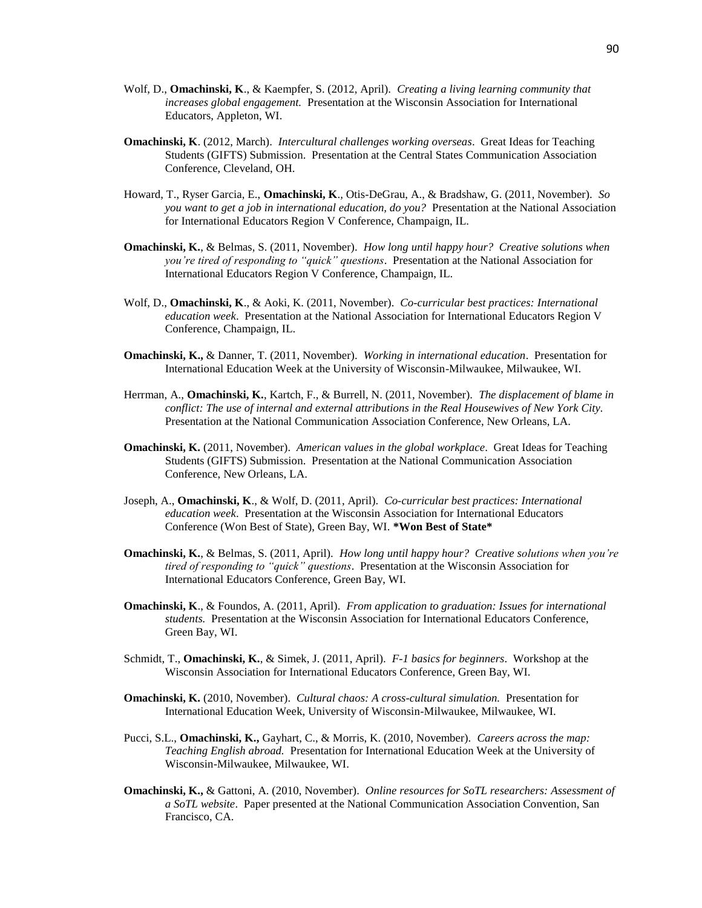- Wolf, D., **Omachinski, K**., & Kaempfer, S. (2012, April). *Creating a living learning community that increases global engagement.* Presentation at the Wisconsin Association for International Educators, Appleton, WI.
- **Omachinski, K**. (2012, March). *Intercultural challenges working overseas*. Great Ideas for Teaching Students (GIFTS) Submission. Presentation at the Central States Communication Association Conference, Cleveland, OH.
- Howard, T., Ryser Garcia, E., **Omachinski, K**., Otis-DeGrau, A., & Bradshaw, G. (2011, November). *So you want to get a job in international education, do you?* Presentation at the National Association for International Educators Region V Conference, Champaign, IL.
- **Omachinski, K.**, & Belmas, S. (2011, November). *How long until happy hour? Creative solutions when you're tired of responding to "quick" questions*. Presentation at the National Association for International Educators Region V Conference, Champaign, IL.
- Wolf, D., **Omachinski, K**., & Aoki, K. (2011, November). *Co-curricular best practices: International education week*. Presentation at the National Association for International Educators Region V Conference, Champaign, IL.
- **Omachinski, K.,** & Danner, T. (2011, November). *Working in international education*. Presentation for International Education Week at the University of Wisconsin-Milwaukee, Milwaukee, WI.
- Herrman, A., **Omachinski, K.**, Kartch, F., & Burrell, N. (2011, November). *The displacement of blame in conflict: The use of internal and external attributions in the Real Housewives of New York City.* Presentation at the National Communication Association Conference, New Orleans, LA.
- **Omachinski, K.** (2011, November). *American values in the global workplace*. Great Ideas for Teaching Students (GIFTS) Submission. Presentation at the National Communication Association Conference, New Orleans, LA.
- Joseph, A., **Omachinski, K**., & Wolf, D. (2011, April). *Co-curricular best practices: International education week*. Presentation at the Wisconsin Association for International Educators Conference (Won Best of State), Green Bay, WI. **\*Won Best of State\***
- **Omachinski, K.**, & Belmas, S. (2011, April). *How long until happy hour? Creative solutions when you're tired of responding to "quick" questions*. Presentation at the Wisconsin Association for International Educators Conference, Green Bay, WI.
- **Omachinski, K**., & Foundos, A. (2011, April)*. From application to graduation: Issues for international students.* Presentation at the Wisconsin Association for International Educators Conference, Green Bay, WI.
- Schmidt, T., **Omachinski, K.**, & Simek, J. (2011, April). *F-1 basics for beginners*. Workshop at the Wisconsin Association for International Educators Conference, Green Bay, WI.
- **Omachinski, K.** (2010, November). *Cultural chaos: A cross-cultural simulation.* Presentation for International Education Week, University of Wisconsin-Milwaukee, Milwaukee, WI.
- Pucci, S.L., **Omachinski, K.,** Gayhart, C., & Morris, K. (2010, November). *Careers across the map: Teaching English abroad.* Presentation for International Education Week at the University of Wisconsin-Milwaukee, Milwaukee, WI.
- **Omachinski, K.,** & Gattoni, A. (2010, November). *Online resources for SoTL researchers: Assessment of a SoTL website*. Paper presented at the National Communication Association Convention, San Francisco, CA.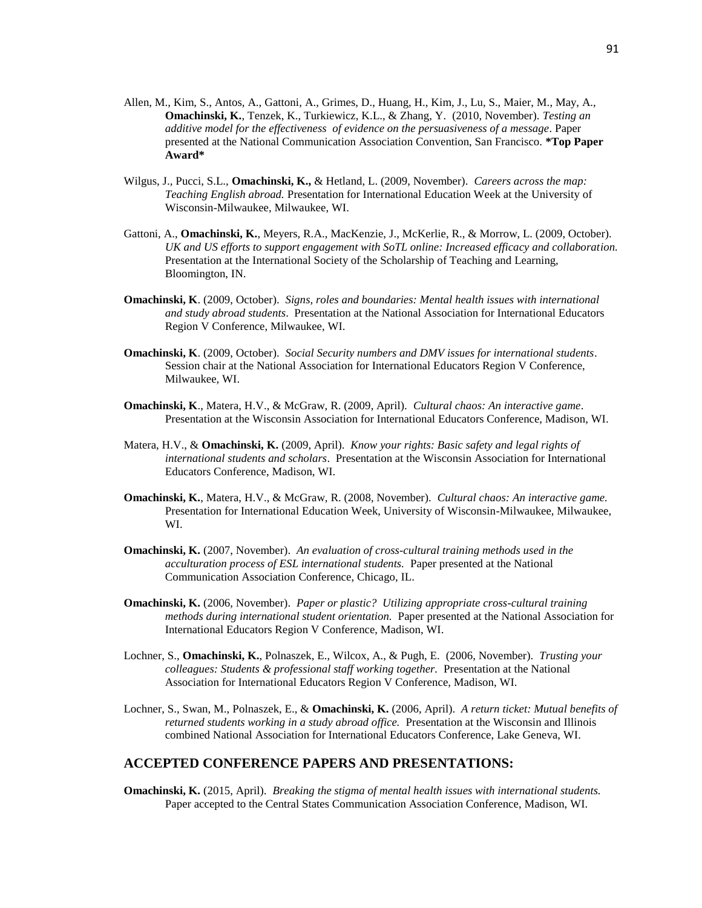- Allen, M., Kim, S., Antos, A., Gattoni, A., Grimes, D., Huang, H., Kim, J., Lu, S., Maier, M., May, A., **Omachinski, K.**, Tenzek, K., Turkiewicz, K.L., & Zhang, Y. (2010, November). *Testing an additive model for the effectiveness of evidence on the persuasiveness of a message*. Paper presented at the National Communication Association Convention, San Francisco. **\*Top Paper Award\***
- Wilgus, J., Pucci, S.L., **Omachinski, K.,** & Hetland, L. (2009, November). *Careers across the map: Teaching English abroad.* Presentation for International Education Week at the University of Wisconsin-Milwaukee, Milwaukee, WI.
- Gattoni, A., **Omachinski, K.**, Meyers, R.A., MacKenzie, J., McKerlie, R., & Morrow, L. (2009, October). *UK and US efforts to support engagement with SoTL online: Increased efficacy and collaboration.* Presentation at the International Society of the Scholarship of Teaching and Learning, Bloomington, IN.
- **Omachinski, K**. (2009, October). *Signs, roles and boundaries: Mental health issues with international and study abroad students*. Presentation at the National Association for International Educators Region V Conference, Milwaukee, WI.
- **Omachinski, K**. (2009, October). *Social Security numbers and DMV issues for international students*. Session chair at the National Association for International Educators Region V Conference, Milwaukee, WI.
- **Omachinski, K**., Matera, H.V., & McGraw, R. (2009, April). *Cultural chaos: An interactive game*. Presentation at the Wisconsin Association for International Educators Conference, Madison, WI.
- Matera, H.V., & **Omachinski, K.** (2009, April). *Know your rights: Basic safety and legal rights of international students and scholars*. Presentation at the Wisconsin Association for International Educators Conference, Madison, WI.
- **Omachinski, K.**, Matera, H.V., & McGraw, R. (2008, November). *Cultural chaos: An interactive game.* Presentation for International Education Week, University of Wisconsin-Milwaukee, Milwaukee, WI.
- **Omachinski, K.** (2007, November). *An evaluation of cross-cultural training methods used in the acculturation process of ESL international students.* Paper presented at the National Communication Association Conference, Chicago, IL.
- **Omachinski, K.** (2006, November). *Paper or plastic? Utilizing appropriate cross-cultural training methods during international student orientation.* Paper presented at the National Association for International Educators Region V Conference, Madison, WI.
- Lochner, S., **Omachinski, K.**, Polnaszek, E., Wilcox, A., & Pugh, E. (2006, November). *Trusting your colleagues: Students & professional staff working together.* Presentation at the National Association for International Educators Region V Conference, Madison, WI.
- Lochner, S., Swan, M., Polnaszek, E., & **Omachinski, K.** (2006, April). *A return ticket: Mutual benefits of returned students working in a study abroad office.* Presentation at the Wisconsin and Illinois combined National Association for International Educators Conference, Lake Geneva, WI.

# **ACCEPTED CONFERENCE PAPERS AND PRESENTATIONS:**

**Omachinski, K.** (2015, April). *Breaking the stigma of mental health issues with international students.*  Paper accepted to the Central States Communication Association Conference, Madison, WI.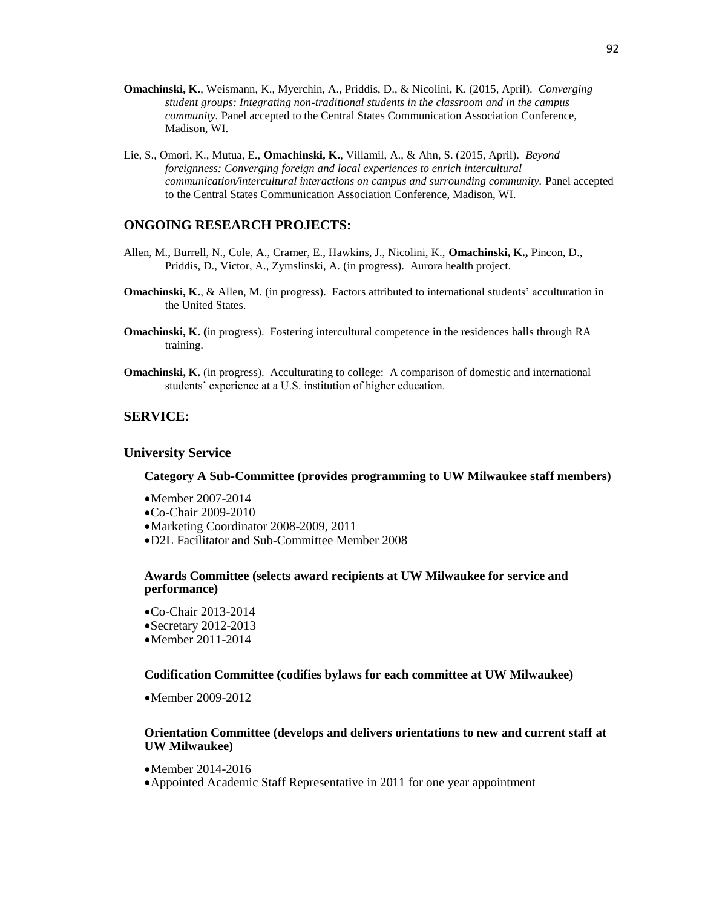- **Omachinski, K.**, Weismann, K., Myerchin, A., Priddis, D., & Nicolini, K. (2015, April). *Converging student groups: Integrating non-traditional students in the classroom and in the campus community.* Panel accepted to the Central States Communication Association Conference, Madison, WI.
- Lie, S., Omori, K., Mutua, E., **Omachinski, K.**, Villamil, A., & Ahn, S. (2015, April). *Beyond foreignness: Converging foreign and local experiences to enrich intercultural communication/intercultural interactions on campus and surrounding community.* Panel accepted to the Central States Communication Association Conference, Madison, WI.

# **ONGOING RESEARCH PROJECTS:**

- Allen, M., Burrell, N., Cole, A., Cramer, E., Hawkins, J., Nicolini, K., **Omachinski, K.,** Pincon, D., Priddis, D., Victor, A., Zymslinski, A. (in progress). Aurora health project.
- **Omachinski, K., & Allen, M.** (in progress). Factors attributed to international students' acculturation in the United States.
- **Omachinski, K. (**in progress). Fostering intercultural competence in the residences halls through RA training.
- **Omachinski, K.** (in progress). Acculturating to college: A comparison of domestic and international students' experience at a U.S. institution of higher education.

# **SERVICE:**

# **University Service**

#### **Category A Sub-Committee (provides programming to UW Milwaukee staff members)**

Member 2007-2014 Co-Chair 2009-2010 Marketing Coordinator 2008-2009, 2011 D2L Facilitator and Sub-Committee Member 2008

#### **Awards Committee (selects award recipients at UW Milwaukee for service and performance)**

Co-Chair 2013-2014 Secretary 2012-2013 Member 2011-2014

#### **Codification Committee (codifies bylaws for each committee at UW Milwaukee)**

Member 2009-2012

#### **Orientation Committee (develops and delivers orientations to new and current staff at UW Milwaukee)**

- Member 2014-2016
- Appointed Academic Staff Representative in 2011 for one year appointment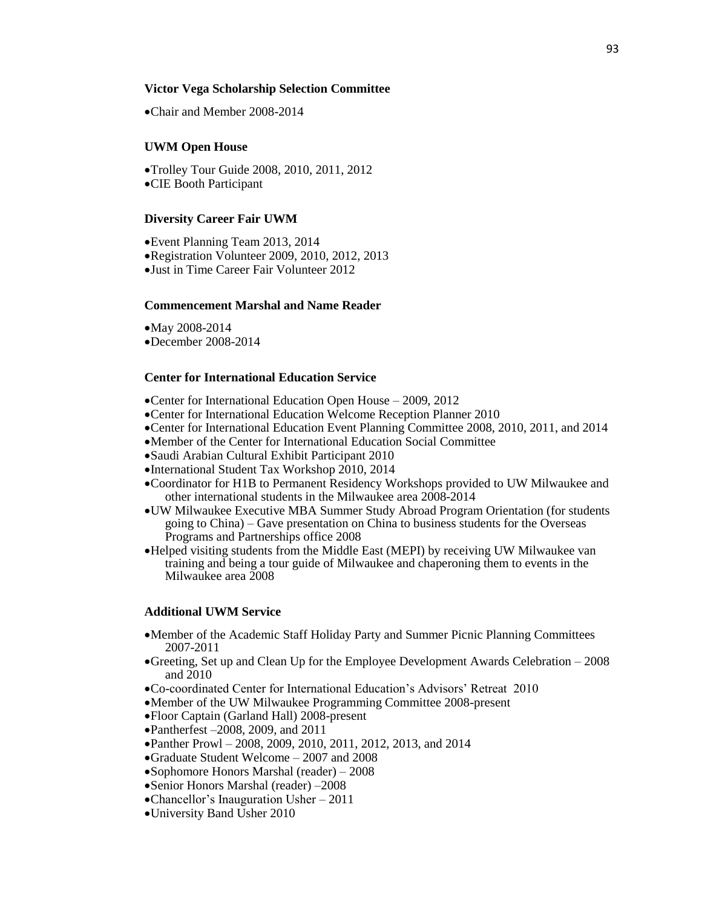## **Victor Vega Scholarship Selection Committee**

Chair and Member 2008-2014

#### **UWM Open House**

Trolley Tour Guide 2008, 2010, 2011, 2012 CIE Booth Participant

#### **Diversity Career Fair UWM**

Event Planning Team 2013, 2014 Registration Volunteer 2009, 2010, 2012, 2013 Just in Time Career Fair Volunteer 2012

#### **Commencement Marshal and Name Reader**

May 2008-2014 December 2008-2014

# **Center for International Education Service**

- Center for International Education Open House 2009, 2012
- Center for International Education Welcome Reception Planner 2010
- Center for International Education Event Planning Committee 2008, 2010, 2011, and 2014
- Member of the Center for International Education Social Committee
- Saudi Arabian Cultural Exhibit Participant 2010
- International Student Tax Workshop 2010, 2014
- Coordinator for H1B to Permanent Residency Workshops provided to UW Milwaukee and other international students in the Milwaukee area 2008-2014
- UW Milwaukee Executive MBA Summer Study Abroad Program Orientation (for students going to China) – Gave presentation on China to business students for the Overseas Programs and Partnerships office 2008
- Helped visiting students from the Middle East (MEPI) by receiving UW Milwaukee van training and being a tour guide of Milwaukee and chaperoning them to events in the Milwaukee area 2008

#### **Additional UWM Service**

- Member of the Academic Staff Holiday Party and Summer Picnic Planning Committees 2007-2011
- Greeting, Set up and Clean Up for the Employee Development Awards Celebration 2008 and 2010
- Co-coordinated Center for International Education's Advisors' Retreat 2010
- Member of the UW Milwaukee Programming Committee 2008-present
- Floor Captain (Garland Hall) 2008-present
- Pantherfest –2008, 2009, and 2011
- Panther Prowl 2008, 2009, 2010, 2011, 2012, 2013, and 2014
- Graduate Student Welcome 2007 and 2008
- Sophomore Honors Marshal (reader) 2008
- Senior Honors Marshal (reader) –2008
- Chancellor's Inauguration Usher 2011
- University Band Usher 2010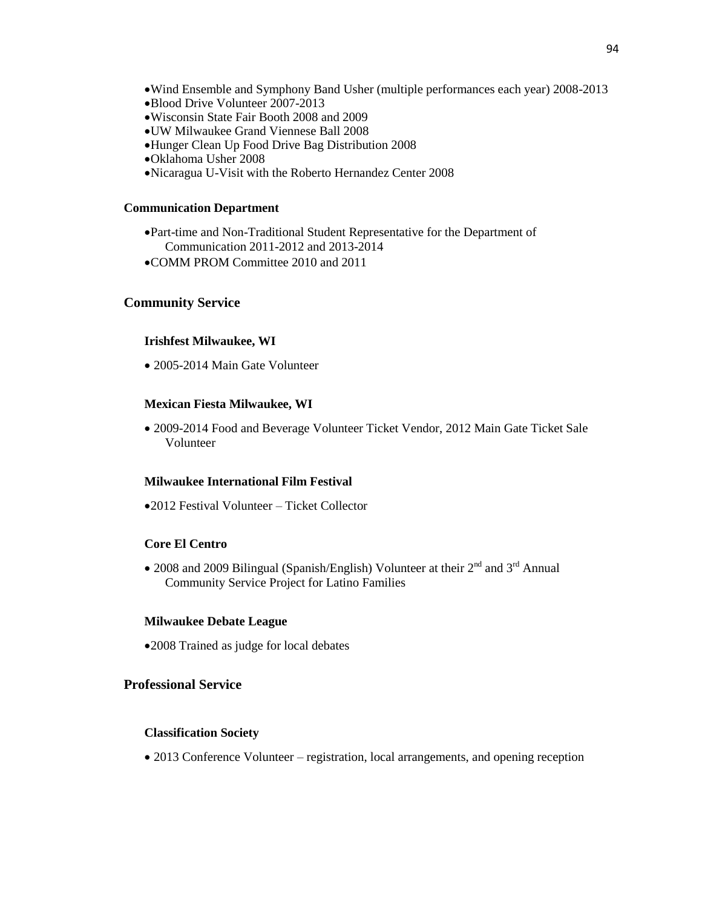- Wind Ensemble and Symphony Band Usher (multiple performances each year) 2008-2013
- Blood Drive Volunteer 2007-2013
- Wisconsin State Fair Booth 2008 and 2009
- UW Milwaukee Grand Viennese Ball 2008
- Hunger Clean Up Food Drive Bag Distribution 2008
- Oklahoma Usher 2008
- Nicaragua U-Visit with the Roberto Hernandez Center 2008

#### **Communication Department**

- Part-time and Non-Traditional Student Representative for the Department of Communication 2011-2012 and 2013-2014
- COMM PROM Committee 2010 and 2011

# **Community Service**

#### **Irishfest Milwaukee, WI**

2005-2014 Main Gate Volunteer

#### **Mexican Fiesta Milwaukee, WI**

 2009-2014 Food and Beverage Volunteer Ticket Vendor, 2012 Main Gate Ticket Sale Volunteer

#### **Milwaukee International Film Festival**

2012 Festival Volunteer – Ticket Collector

# **Core El Centro**

• 2008 and 2009 Bilingual (Spanish/English) Volunteer at their  $2^{nd}$  and  $3^{rd}$  Annual Community Service Project for Latino Families

## **Milwaukee Debate League**

2008 Trained as judge for local debates

# **Professional Service**

## **Classification Society**

2013 Conference Volunteer – registration, local arrangements, and opening reception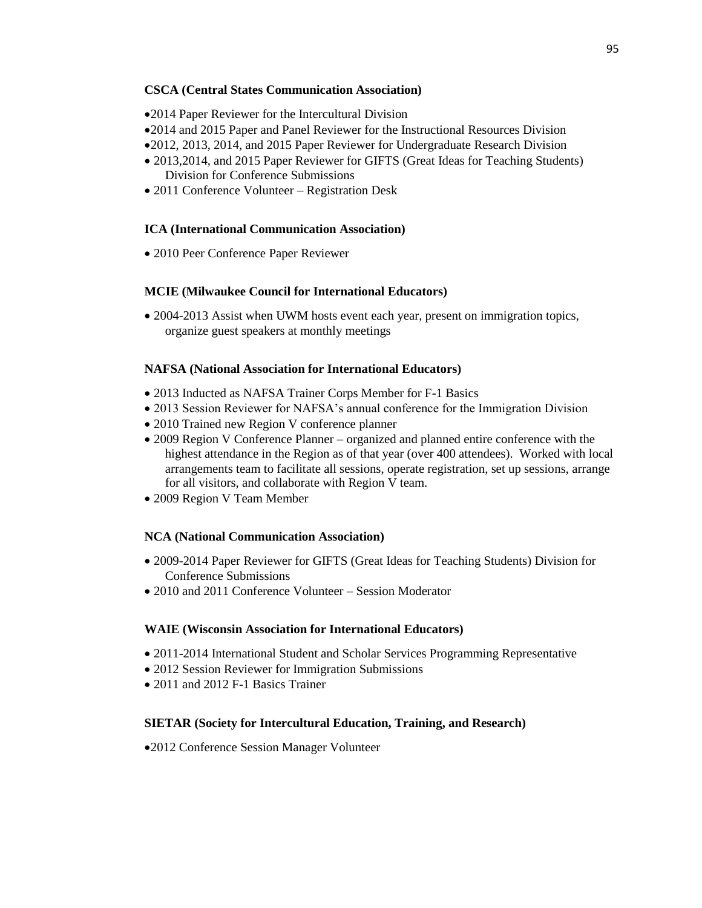## **CSCA (Central States Communication Association)**

2014 Paper Reviewer for the Intercultural Division

- 2014 and 2015 Paper and Panel Reviewer for the Instructional Resources Division
- 2012, 2013, 2014, and 2015 Paper Reviewer for Undergraduate Research Division
- 2013,2014, and 2015 Paper Reviewer for GIFTS (Great Ideas for Teaching Students) Division for Conference Submissions
- 2011 Conference Volunteer Registration Desk

# **ICA (International Communication Association)**

2010 Peer Conference Paper Reviewer

# **MCIE (Milwaukee Council for International Educators)**

 2004-2013 Assist when UWM hosts event each year, present on immigration topics, organize guest speakers at monthly meetings

# **NAFSA (National Association for International Educators)**

- 2013 Inducted as NAFSA Trainer Corps Member for F-1 Basics
- 2013 Session Reviewer for NAFSA's annual conference for the Immigration Division
- 2010 Trained new Region V conference planner
- 2009 Region V Conference Planner organized and planned entire conference with the highest attendance in the Region as of that year (over 400 attendees). Worked with local arrangements team to facilitate all sessions, operate registration, set up sessions, arrange for all visitors, and collaborate with Region V team.
- 2009 Region V Team Member

# **NCA (National Communication Association)**

- 2009-2014 Paper Reviewer for GIFTS (Great Ideas for Teaching Students) Division for Conference Submissions
- 2010 and 2011 Conference Volunteer Session Moderator

# **WAIE (Wisconsin Association for International Educators)**

- 2011-2014 International Student and Scholar Services Programming Representative
- 2012 Session Reviewer for Immigration Submissions
- 2011 and 2012 F-1 Basics Trainer

### **SIETAR (Society for Intercultural Education, Training, and Research)**

2012 Conference Session Manager Volunteer